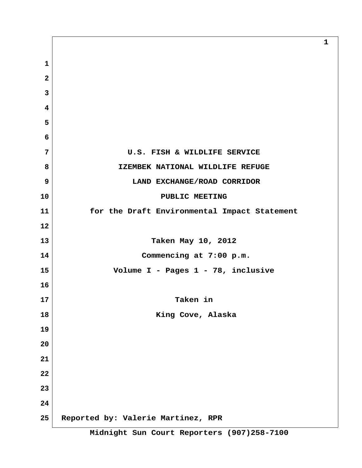**1 2 3 4 5 6 7 U.S. FISH & WILDLIFE SERVICE 8 IZEMBEK NATIONAL WILDLIFE REFUGE 9 LAND EXCHANGE/ROAD CORRIDOR 10 PUBLIC MEETING 11 for the Draft Environmental Impact Statement 12 13 Taken May 10, 2012 14 Commencing at 7:00 p.m. 15 Volume I - Pages 1 - 78, inclusive 16 17 Taken in 18 King Cove, Alaska 19 20 21 22 23 24 25 Reported by: Valerie Martinez, RPR**

**1**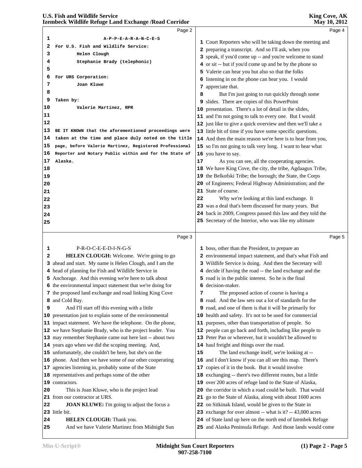|          | izembeck whame Keruge Land Exchange / Koad Corridor                                                                 |    | <b>NIAY 10, 2012</b>                                           |  |
|----------|---------------------------------------------------------------------------------------------------------------------|----|----------------------------------------------------------------|--|
|          | Page 2                                                                                                              |    | Page 4                                                         |  |
| 1        | A-P-P-E-A-R-A-N-C-E-S                                                                                               |    | 1 Court Reporters who will be taking down the meeting and      |  |
| 2        | For U.S. Fish and Wildlife Service:                                                                                 |    | 2 preparing a transcript. And so I'll ask, when you            |  |
| 3        | Helen Clough                                                                                                        |    | 3 speak, if you'd come up -- and you're welcome to stand       |  |
| 4        | Stephanie Brady (telephonic)                                                                                        |    | 4 or sit -- but if you'd come up and be by the phone so        |  |
| 5        |                                                                                                                     |    | 5 Valerie can hear you but also so that the folks              |  |
| 6        | For URS Corporation:                                                                                                |    | 6 listening in on the phone can hear you. I would              |  |
| 7        | Joan Kluwe                                                                                                          |    | 7 appreciate that.                                             |  |
| 8        |                                                                                                                     | 8  | But I'm just going to run quickly through some                 |  |
| 9        | Taken by:                                                                                                           |    | 9 slides. There are copies of this PowerPoint                  |  |
| 10       | Valerie Martinez, RPR                                                                                               |    | 10 presentation. There's a lot of detail in the slides,        |  |
| 11       |                                                                                                                     |    | 11 and I'm not going to talk to every one. But I would         |  |
| 12       |                                                                                                                     |    | 12 just like to give a quick overview and then we'll take a    |  |
| 13       | BE IT KNOWN that the aforementioned proceedings were                                                                |    | 13 little bit of time if you have some specific questions.     |  |
| 14       | taken at the time and place duly noted on the title                                                                 |    | 14 And then the main reason we're here is to hear from you,    |  |
| 15       | page, before Valerie Martinez, Registered Professional                                                              |    | 15 so I'm not going to talk very long. I want to hear what     |  |
| 16       | Reporter and Notary Public within and for the State of                                                              |    | 16 you have to say.                                            |  |
| 17       | Alaska.                                                                                                             | 17 | As you can see, all the cooperating agencies.                  |  |
| 18       |                                                                                                                     |    | 18 We have King Cove, the city, the tribe, Agdaagux Tribe,     |  |
| 19       |                                                                                                                     |    | 19 the Belkofski Tribe; the borough; the State, the Corps      |  |
| 20       |                                                                                                                     |    | 20 of Engineers; Federal Highway Administration; and the       |  |
| 21       |                                                                                                                     |    | 21 State of course.                                            |  |
| 22       |                                                                                                                     | 22 | Why we're looking at this land exchange. It                    |  |
| 23       |                                                                                                                     |    | 23 was a deal that's been discussed for many years. But        |  |
| 24       |                                                                                                                     |    | 24 back in 2009, Congress passed this law and they told the    |  |
|          |                                                                                                                     |    | 25 Secretary of the Interior, who was like my ultimate         |  |
| 25       |                                                                                                                     |    |                                                                |  |
|          |                                                                                                                     |    |                                                                |  |
|          | Page 3                                                                                                              |    | Page 5                                                         |  |
|          |                                                                                                                     |    |                                                                |  |
| 1<br>2   | P-R-O-C-E-E-D-I-N-G-S                                                                                               |    | 1 boss, other than the President, to prepare an                |  |
|          | HELEN CLOUGH: Welcome. We're going to go                                                                            |    | 2 environmental impact statement, and that's what Fish and     |  |
|          | 3 ahead and start. My name is Helen Clough, and I am the                                                            |    | 3 Wildlife Service is doing. And then the Secretary will       |  |
|          | 4 head of planning for Fish and Wildlife Service in                                                                 |    | 4 decide if having the road -- the land exchange and the       |  |
|          | 5 Anchorage. And this evening we're here to talk about<br>6 the environmental impact statement that we're doing for |    | 5 road is in the public interest. So he is the final           |  |
|          | 7 the proposed land exchange and road linking King Cove                                                             | 7  | 6 decision-maker.<br>The proposed action of course is having a |  |
|          | 8 and Cold Bay.                                                                                                     |    | 8 road. And the law sets out a lot of standards for the        |  |
| 9        | And I'll start off this evening with a little                                                                       |    | 9 road, and one of them is that it will be primarily for       |  |
|          | 10 presentation just to explain some of the environmental                                                           |    | 10 health and safety. It's not to be used for commercial       |  |
|          | 11 impact statement. We have the telephone. On the phone,                                                           |    | 11 purposes, other than transportation of people. So           |  |
|          | 12 we have Stephanie Brady, who is the project leader. You                                                          |    | 12 people can go back and forth, including like people to      |  |
|          | 13 may remember Stephanie came out here last -- about two                                                           |    | 13 Peter Pan or wherever, but it wouldn't be allowed to        |  |
|          | 14 years ago when we did the scoping meeting. And,                                                                  |    | 14 haul freight and things over the road.                      |  |
|          | 15 unfortunately, she couldn't be here, but she's on the                                                            | 15 | The land exchange itself, we're looking at --                  |  |
|          | 16 phone. And then we have some of our other cooperating                                                            |    | 16 and I don't know if you can all see this map. There's       |  |
|          | 17 agencies listening in, probably some of the State                                                                |    | 17 copies of it in the book. But it would involve              |  |
|          | 18 representatives and perhaps some of the other                                                                    |    | 18 exchanging -- there's two different routes, but a little    |  |
|          | 19 contractors.                                                                                                     |    | 19 over 200 acres of refuge land to the State of Alaska,       |  |
|          | This is Joan Kluwe, who is the project lead                                                                         |    | 20 the corridor in which a road could be built. That would     |  |
| 20       | 21 from our contractor at URS.                                                                                      |    | 21 go to the State of Alaska, along with about 1600 acres      |  |
|          | JOAN KLUWE: I'm going to adjust the focus a                                                                         |    | 22 on Sitkinak Island, would be given to the State in          |  |
|          | 23 little bit.                                                                                                      |    | 23 exchange for over almost -- what is it? -- 43,000 acres     |  |
| 22<br>24 | HELEN CLOUGH: Thank you.                                                                                            |    | 24 of State land up here on the north end of Izembek Refuge    |  |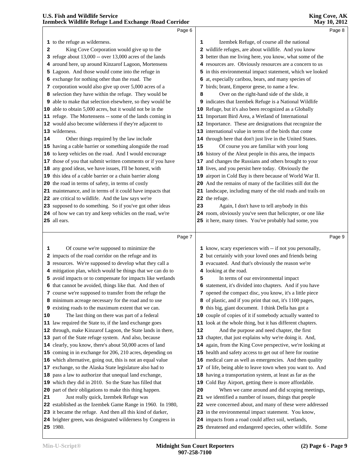|    | Extinted Whathe Kerage Land Exenange Astau Corridor         |    |                                                             | 111ay 10, 2012 |
|----|-------------------------------------------------------------|----|-------------------------------------------------------------|----------------|
|    | Page 6                                                      |    |                                                             | Page 8         |
|    | 1 to the refuge as wilderness.                              | 1  | Izembek Refuge, of course all the national                  |                |
| 2  | King Cove Corporation would give up to the                  |    | 2 wildlife refuges, are about wildlife. And you know        |                |
|    | 3 refuge about $13,000$ -- over $13,000$ acres of the lands |    | 3 better than me living here, you know, what some of the    |                |
|    | 4 around here, up around Kinzarof Lagoon, Mortensens        |    | 4 resources are. Obviously resources are a concern to us    |                |
|    | 5 Lagoon. And those would come into the refuge in           |    | 5 in this environmental impact statement, which we looked   |                |
|    | 6 exchange for nothing other than the road. The             |    | 6 at, especially caribou, bears, and many species of        |                |
|    | 7 corporation would also give up over 5,000 acres of a      |    | 7 birds; brant, Emperor geese, to name a few.               |                |
|    | 8 selection they have within the refuge. They would be      | 8  | Over on the right-hand side of the slide, it                |                |
|    | 9 able to make that selection elsewhere, so they would be   |    | 9 indicates that Izembek Refuge is a National Wildlife      |                |
|    | 10 able to obtain 5,000 acres, but it would not be in the   |    | 10 Refuge, but it's also been recognized as a Globally      |                |
|    | 11 refuge. The Mortensens -- some of the lands coming in    |    | 11 Important Bird Area, a Wetland of International          |                |
|    | 12 would also become wilderness if they're adjacent to      |    | 12 Importance. These are designations that recognize the    |                |
|    | 13 wilderness.                                              |    | 13 international value in terms of the birds that come      |                |
| 14 | Other things required by the law include                    |    | 14 through here that don't just live in the United States.  |                |
|    | 15 having a cable barrier or something alongside the road   | 15 | Of course you are familiar with your long                   |                |
|    | 16 to keep vehicles on the road. And I would encourage      |    | 16 history of the Aleut people in this area, the impacts    |                |
|    | 17 those of you that submit written comments or if you have |    | 17 and changes the Russians and others brought to your      |                |
|    | 18 any good ideas, we have issues, I'll be honest, with     |    | 18 lives, and you persist here today. Obviously the         |                |
|    | 19 this idea of a cable barrier or a chain barrier along    |    | 19 airport in Cold Bay is there because of World War II.    |                |
|    | 20 the road in terms of safety, in terms of costly          |    | 20 And the remains of many of the facilities still dot the  |                |
|    | 21 maintenance, and in terms of it could have impacts that  |    | 21 landscape, including many of the old roads and trails on |                |
|    | 22 are critical to wildlife. And the law says we're         |    | 22 the refuge.                                              |                |
|    | 23 supposed to do something. So if you've got other ideas   | 23 | Again, I don't have to tell anybody in this                 |                |
|    | 24 of how we can try and keep vehicles on the road, we're   |    | 24 room, obviously you've seen that helicopter, or one like |                |
|    | 25 all ears.                                                |    | 25 it here, many times. You've probably had some, you       |                |
|    |                                                             |    |                                                             |                |
|    | Page 7                                                      |    |                                                             | Page 9         |
| 1  | Of course we're supposed to minimize the                    |    | 1 know, scary experiences with -- if not you personally,    |                |
|    | 2 impacts of the road corridor on the refuge and its        |    | 2 but certainly with your loved ones and friends being      |                |
|    | 3 resources. We're supposed to develop what they call a     |    | 3 evacuated. And that's obviously the reason we're          |                |
|    | 4 mitigation plan, which would be things that we can do to  |    | 4 looking at the road.                                      |                |
|    | 5 avoid impacts or to compensate for impacts like wetlands  | 5  | In terms of our environmental impact                        |                |
|    | 6 that cannot be avoided, things like that. And then of     |    | 6 statement, it's divided into chapters. And if you have    |                |
|    | 7 course we're supposed to transfer from the refuge the     |    | 7 opened the compact disc, you know, it's a little piece    |                |
|    | 8 minimum acreage necessary for the road and to use         |    | 8 of plastic, and if you print that out, it's 1100 pages,   |                |
|    | 9 existing roads to the maximum extent that we can.         |    | 9 this big, giant document. I think Della has got a         |                |
| 10 | The last thing on there was part of a federal               |    | 10 couple of copies of it if somebody actually wanted to    |                |
|    | 11 law required the State to, if the land exchange goes     |    | 11 look at the whole thing, but it has different chapters.  |                |
|    | 12 through, make Kinzarof Lagoon, the State lands in there, | 12 | And the purpose and need chapter, the first                 |                |
|    | 13 part of the State refuge system. And also, because       |    | 13 chapter, that just explains why we're doing it. And,     |                |
|    | 14 clearly, you know, there's about 50,000 acres of land    |    | 14 again, from the King Cove perspective, we're looking at  |                |
|    | 15 coming in in exchange for 206, 210 acres, depending on   |    | 15 health and safety access to get out of here for routine  |                |
|    | 16 which alternative, going out, this is not an equal value |    | 16 medical care as well as emergencies. And then quality    |                |
|    | 17 exchange, so the Alaska State legislature also had to    |    | 17 of life, being able to leave town when you want to. And  |                |
|    | 18 pass a law to authorize that unequal land exchange,      |    | 18 having a transportation system, at least as far as the   |                |
|    | 19 which they did in 2010. So the State has filled that     |    | 19 Cold Bay Airport, getting there is more affordable.      |                |
|    | 20 part of their obligations to make this thing happen.     | 20 | When we came around and did scoping meetings,               |                |
| 21 | Just really quick, Izembek Refuge was                       |    | 21 we identified a number of issues, things that people     |                |
|    | 22 established as the Izembek Game Range in 1960. In 1980,  |    | 22 were concerned about, and many of these were addressed   |                |
|    | 23 it became the refuge. And then all this kind of darker,  |    | 23 in the environmental impact statement. You know,         |                |

 brighter green, was designated wilderness by Congress in 1980.

 impacts from a road could affect soil, wetlands, threatened and endangered species, other wildlife. Some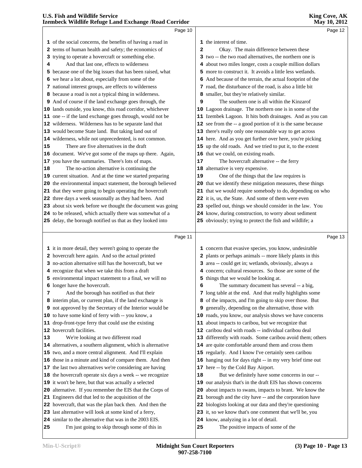|    | Izembeck Wildlife Refuge Land Exchange / Road Corridor                                                            |    | <b>May 10, 2012</b>                                                                               |  |
|----|-------------------------------------------------------------------------------------------------------------------|----|---------------------------------------------------------------------------------------------------|--|
|    | Page 10                                                                                                           |    | Page 12                                                                                           |  |
|    | 1 of the social concerns, the benefits of having a road in                                                        |    | 1 the interest of time.                                                                           |  |
|    | 2 terms of human health and safety; the economics of                                                              | 2  | Okay. The main difference between these                                                           |  |
|    | 3 trying to operate a hovercraft or something else.                                                               |    | 3 two -- the two road alternatives, the northern one is                                           |  |
| 4  | And that last one, effects to wilderness                                                                          |    | 4 about two miles longer, costs a couple million dollars                                          |  |
|    | 5 because one of the big issues that has been raised, what                                                        |    | 5 more to construct it. It avoids a little less wetlands.                                         |  |
|    | 6 we hear a lot about, especially from some of the                                                                |    | 6 And because of the terrain, the actual footprint of the                                         |  |
|    | 7 national interest groups, are effects to wilderness                                                             |    | 7 road, the disturbance of the road, is also a little bit                                         |  |
|    | 8 because a road is not a typical thing in wilderness.                                                            |    | 8 smaller, but they're relatively similar.                                                        |  |
|    | 9 And of course if the land exchange goes through, the                                                            | 9  | The southern one is all within the Kinzarof                                                       |  |
|    | 10 lands outside, you know, this road corridor, whichever                                                         |    | 10 Lagoon drainage. The northern one is in some of the                                            |  |
|    | 11 one -- if the land exchange goes through, would not be                                                         |    | 11 Izembek Lagoon. It hits both drainages. And as you can                                         |  |
|    | 12 wilderness. Wilderness has to be separate land that                                                            |    | 12 see from the -- a good portion of it is the same because                                       |  |
|    | 13 would become State land. But taking land out of                                                                |    | 13 there's really only one reasonable way to get across                                           |  |
|    | 14 wilderness, while not unprecedented, is not common.                                                            |    | 14 here. And as you get further over here, you're picking                                         |  |
| 15 | There are five alternatives in the draft                                                                          |    | 15 up the old roads. And we tried to put it, to the extent                                        |  |
|    | 16 document. We've got some of the maps up there. Again,                                                          |    | 16 that we could, on existing roads.                                                              |  |
|    | 17 you have the summaries. There's lots of maps.                                                                  | 17 | The hovercraft alternative -- the ferry                                                           |  |
| 18 | The no-action alternative is continuing the                                                                       |    | 18 alternative is very expensive.                                                                 |  |
|    | 19 current situation. And at the time we started preparing                                                        | 19 | One of the things that the law requires is                                                        |  |
|    | 20 the environmental impact statement, the borough believed                                                       |    | 20 that we identify these mitigation measures, these things                                       |  |
|    | 21 that they were going to begin operating the hovercraft                                                         |    | 21 that we would require somebody to do, depending on who                                         |  |
|    | 22 three days a week seasonally as they had been. And                                                             |    | 22 it is, us, the State. And some of them were even                                               |  |
|    | 23 about six week before we thought the document was going                                                        |    | 23 spelled out, things we should consider in the law. You                                         |  |
|    | 24 to be released, which actually there was somewhat of a                                                         |    | 24 know, during construction, to worry about sediment                                             |  |
|    | 25 delay, the borough notified us that as they looked into                                                        |    | 25 obviously; trying to protect the fish and wildlife; a                                          |  |
|    |                                                                                                                   |    |                                                                                                   |  |
|    | Page 11                                                                                                           |    | Page 13                                                                                           |  |
|    | 1 it in more detail, they weren't going to operate the                                                            |    | 1 concern that evasive species, you know, undesirable                                             |  |
|    | 2 hovercraft here again. And so the actual printed                                                                |    | 2 plants or perhaps animals -- more likely plants in this                                         |  |
|    | 3 no-action alternative still has the hovercraft, but we                                                          |    | 3 area -- could get in; wetlands, obviously, always a                                             |  |
|    | 4 recognize that when we take this from a draft                                                                   |    | 4 concern; cultural resources. So those are some of the                                           |  |
|    | 5 environmental impact statement to a final, we will no                                                           |    | 5 things that we would be looking at.                                                             |  |
|    | <b>6</b> longer have the hovercraft.                                                                              |    | The summary document has several -- a big,                                                        |  |
| 7  | And the borough has notified us that their                                                                        |    | 7 long table at the end. And that really highlights some                                          |  |
|    | 8 interim plan, or current plan, if the land exchange is                                                          |    | 8 of the impacts, and I'm going to skip over those. But                                           |  |
|    | 9 not approved by the Secretary of the Interior would be                                                          | 9  | generally, depending on the alternative, those with                                               |  |
|    | 10 to have some kind of ferry with -- you know, a                                                                 |    | 10 roads, you know, our analysis shows we have concerns                                           |  |
|    | 11 drop-front-type ferry that could use the existing                                                              |    | 11 about impacts to caribou, but we recognize that                                                |  |
|    | 12 hovercraft facilities.                                                                                         |    | 12 caribou deal with roads -- individual caribou deal                                             |  |
| 13 | We're looking at two different road                                                                               |    | 13 differently with roads. Some caribou avoid them; others                                        |  |
|    | 14 alternatives, a southern alignment, which is alternative                                                       |    | 14 are quite comfortable around them and cross them                                               |  |
|    | 15 two, and a more central alignment. And I'll explain                                                            |    | 15 regularly. And I know I've certainly seen caribou                                              |  |
|    | 16 those in a minute and kind of compare them. And then                                                           |    | 16 hanging out for days right -- in my very brief time out                                        |  |
|    | 17 the last two alternatives we're considering are having                                                         |    | 17 here -- by the Cold Bay Airport.                                                               |  |
|    | 18 the hovercraft operate six days a week -- we recognize                                                         | 18 | But we definitely have some concerns in our --                                                    |  |
|    | 19 it won't be here, but that was actually a selected                                                             |    | 19 our analysis that's in the draft EIS has shown concerns                                        |  |
|    | 20 alternative. If you remember the EIS that the Corps of                                                         | 20 | about impacts to swans, impacts to brant. We know the                                             |  |
|    | 21 Engineers did that led to the acquisition of the                                                               | 21 | borough and the city have -- and the corporation have                                             |  |
|    |                                                                                                                   |    |                                                                                                   |  |
|    | 22 hovercraft, that was the plan back then. And then the                                                          |    | 22 biologists looking at our data and they're questioning                                         |  |
|    | 23 last alternative will look at some kind of a ferry,<br>24 similar to the alternative that was in the 2003 EIS. |    | 23 it, so we know that's one comment that we'll be, you<br>24 know, analyzing in a lot of detail. |  |

 similar to the alternative that was in the 2003 EIS. I'm just going to skip through some of this in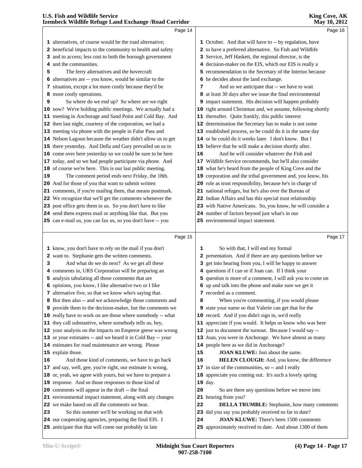|    | Page 14                                                                                                           |    | Page 16                                                                                                    |  |
|----|-------------------------------------------------------------------------------------------------------------------|----|------------------------------------------------------------------------------------------------------------|--|
|    | 1 alternatives, of course would be the road alternative;                                                          |    | 1 October. And that will have to -- by regulation, have                                                    |  |
|    | 2 beneficial impacts to the community to health and safety                                                        |    | 2 to have a preferred alternative. So Fish and Wildlife                                                    |  |
|    | 3 and to access; less cost to both the borough government                                                         |    | 3 Service, Jeff Haskett, the regional director, is the                                                     |  |
|    | 4 and the communities.                                                                                            | 4  | decision-maker on the EIS, which our EIS is really a                                                       |  |
| 5  | The ferry alternatives and the hovercraft                                                                         |    | 5 recommendation to the Secretary of the Interior because                                                  |  |
|    | 6 alternatives are -- you know, would be similar to the                                                           |    | 6 he decides about the land exchange.                                                                      |  |
|    | 7 situation, except a lot more costly because they'd be                                                           | 7  | And so we anticipate that -- we have to wait                                                               |  |
|    | 8 more costly operations.                                                                                         | 8  | at least 30 days after we issue the final environmental                                                    |  |
| 9  | So where do we end up? So where are we right                                                                      |    | 9 impact statement. His decision will happen probably                                                      |  |
|    | 10 now? We're holding public meetings. We actually had a                                                          |    | 10 right around Christmas and, we assume, following shortly                                                |  |
|    | 11 meeting in Anchorage and Sand Point and Cold Bay. And                                                          |    | 11 thereafter. Quite frankly, this public interest                                                         |  |
|    | 12 then last night, courtesy of the corporation, we had a                                                         |    | 12 determination the Secretary has to make is not some                                                     |  |
|    | 13 meeting via phone with the people in False Pass and                                                            |    | 13 established process, so he could do it in the same day                                                  |  |
| 14 | Nelson Lagoon because the weather didn't allow us to get                                                          |    | 14 or he could do it weeks later. I don't know. But I                                                      |  |
| 15 | there yesterday. And Della and Gary prevailed on us to                                                            |    | 15 believe that he will make a decision shortly after.                                                     |  |
| 16 | come over here yesterday so we could be sure to be here                                                           | 16 | And he will consider whatever the Fish and                                                                 |  |
| 17 | today, and so we had people participate via phone. And                                                            |    | 17 Wildlife Service recommends, but he'll also consider                                                    |  |
| 18 | of course we're here. This is our last public meeting.                                                            |    | 18 what he's heard from the people of King Cove and the                                                    |  |
| 19 | The comment period ends next Friday, the 18th.                                                                    |    | 19 corporation and the tribal government and, you know, his                                                |  |
| 20 | And for those of you that want to submit written                                                                  |    | 20 role as trust responsibility, because he's in charge of                                                 |  |
| 21 | comments, if you're mailing them, that means postmark.                                                            |    | 21 national refuges, but he's also over the Bureau of                                                      |  |
| 22 | We recognize that we'll get the comments whenever the                                                             |    | 22 Indian Affairs and has this special trust relationship                                                  |  |
| 23 | post office gets them to us. So you don't have to like                                                            |    | 23 with Native Americans. So, you know, he will consider a                                                 |  |
|    | 24 send them express mail or anything like that. But you                                                          |    | 24 number of factors beyond just what's in our                                                             |  |
|    | 25 can e-mail us, you can fax us, so you don't have -- you                                                        |    | 25 environmental impact statement.                                                                         |  |
|    |                                                                                                                   |    |                                                                                                            |  |
|    |                                                                                                                   |    |                                                                                                            |  |
|    | Page 15                                                                                                           |    | Page 17                                                                                                    |  |
|    | 1 know, you don't have to rely on the mail if you don't                                                           | 1  | So with that, I will end my formal                                                                         |  |
|    | 2 want to. Stephanie gets the written comments.                                                                   | 2  | presentation. And if there are any questions before we                                                     |  |
| з  | And what do we do next? As we get all these                                                                       | 3  | get into hearing from you, I will be happy to answer                                                       |  |
|    | 4 comments in, URS Corporation will be preparing an                                                               |    | 4 questions if I can or if Joan can. If I think your                                                       |  |
|    | 5 analysis tabulating all those comments that are                                                                 |    | 5 question is more of a comment, I will ask you to come on                                                 |  |
|    | 6 opinions, you know, I like alternative two or I like                                                            |    | 6 up and talk into the phone and make sure we get it                                                       |  |
|    | 7 alternative five, so that we know who's saying that.                                                            |    | 7 recorded as a comment.                                                                                   |  |
|    | 8 But then also -- and we acknowledge those comments and                                                          | 8  | When you're commenting, if you would please                                                                |  |
|    | 9 provide them to the decision-maker, but the comments we                                                         |    | 9 state your name so that Valerie can get that for the                                                     |  |
|    | 10 really have to work on are those where somebody -- what                                                        |    | 10 record. And if you didn't sign in, we'd really                                                          |  |
| 11 | they call substantive, where somebody tells us, hey,                                                              |    | 11 appreciate if you would. It helps us know who was here                                                  |  |
| 12 | your analysis on the impacts on Emperor geese was wrong                                                           |    | 12 just to document the turnout. Because I would say --                                                    |  |
| 13 | or your estimates -- and we heard it in Cold Bay -- your                                                          |    | 13 Joan, you were in Anchorage. We have almost as many                                                     |  |
| 14 | estimates for road maintenance are wrong. Please                                                                  |    | 14 people here as we did in Anchorage?                                                                     |  |
|    | 15 explain those.                                                                                                 | 15 | JOAN KLUWE: Just about the same.                                                                           |  |
| 16 | And those kind of comments, we have to go back                                                                    | 16 | HELEN CLOUGH: And, you know, the difference                                                                |  |
| 17 | and say, well, gee, you're right, our estimate is wrong,                                                          |    | 17 in size of the communities, so -- and I really                                                          |  |
| 18 | or, yeah, we agree with yours, but we have to prepare a                                                           | 18 | appreciate you coming out. It's such a lovely spring                                                       |  |
| 19 | response. And so those responses to those kind of                                                                 |    | 19 day.                                                                                                    |  |
| 20 | comments will appear in the draft -- the final                                                                    | 20 | So are there any questions before we move into                                                             |  |
| 21 | environmental impact statement, along with any changes                                                            |    | 21 hearing from you?                                                                                       |  |
| 22 | we make based on all the comments we hear.                                                                        | 22 | <b>DELLA TRUMBLE:</b> Stephanie, how many comments                                                         |  |
| 23 | So this summer we'll be working on that with                                                                      |    | 23 did you say you probably received so far to date?                                                       |  |
|    | 24 our cooperating agencies, preparing the final EIS. I<br>25 anticipate that that will come out probably in late | 24 | <b>JOAN KLUWE:</b> There's been 1500 comments<br>25 approximately received to date. And about 1300 of them |  |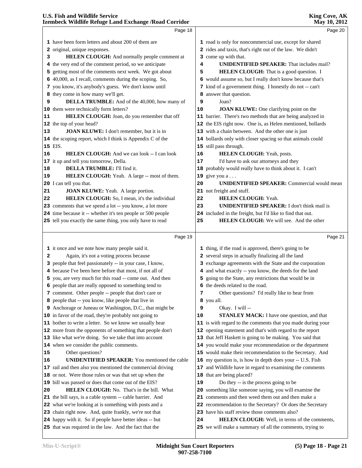# **U.S. Fish and Wildlife Service**

|    | Izembeck Wildlife Refuge Land Exchange / Road Corridor      |    | May 10, 2012                                                                                                                                                                                                                          |
|----|-------------------------------------------------------------|----|---------------------------------------------------------------------------------------------------------------------------------------------------------------------------------------------------------------------------------------|
|    | Page 18                                                     |    | Page 20                                                                                                                                                                                                                               |
|    | 1 have been form letters and about 200 of them are          |    | 1 road is only for noncommercial use, except for shared                                                                                                                                                                               |
|    | 2 original, unique responses.                               |    | 2 rides and taxis, that's right out of the law. We didn't                                                                                                                                                                             |
| 3  | HELEN CLOUGH: And normally people comment at                |    | 3 come up with that.                                                                                                                                                                                                                  |
|    | 4 the very end of the comment period, so we anticipate      | 4  | <b>UNIDENTIFIED SPEAKER:</b> That includes mail?                                                                                                                                                                                      |
|    | 5 getting most of the comments next week. We got about      | 5  | HELEN CLOUGH: That is a good question. I                                                                                                                                                                                              |
|    | 6 40,000, as I recall, comments during the scoping. So,     |    | 6 would assume so, but I really don't know because that's                                                                                                                                                                             |
|    | 7 you know, it's anybody's guess. We don't know until       |    | 7 kind of a government thing. I honestly do not -- can't                                                                                                                                                                              |
|    | 8 they come in how many we'll get.                          |    | 8 answer that question.                                                                                                                                                                                                               |
| 9  | DELLA TRUMBLE: And of the 40,000, how many of               | 9  | Joan?                                                                                                                                                                                                                                 |
|    | 10 them were technically form letters?                      | 10 | <b>JOAN KLUWE:</b> One clarifying point on the                                                                                                                                                                                        |
| 11 | HELEN CLOUGH: Joan, do you remember that off                |    | 11 barrier. There's two methods that are being analyzed in                                                                                                                                                                            |
|    | 12 the top of your head?                                    |    | 12 the EIS right now. One is, as Helen mentioned, bollards                                                                                                                                                                            |
| 13 | JOAN KLUWE: I don't remember, but it is in                  |    | 13 with a chain between. And the other one is just                                                                                                                                                                                    |
|    | 14 the scoping report, which I think is Appendix C of the   |    | 14 bollards only with closer spacing so that animals could                                                                                                                                                                            |
|    | 15 EIS.                                                     |    | 15 still pass through.                                                                                                                                                                                                                |
| 16 | <b>HELEN CLOUGH:</b> And we can look -- I can look          | 16 | HELEN CLOUGH: Yeah, posts.                                                                                                                                                                                                            |
|    | 17 it up and tell you tomorrow, Della.                      | 17 | I'd have to ask our attorneys and they                                                                                                                                                                                                |
| 18 | <b>DELLA TRUMBLE:</b> I'll find it.                         |    | 18 probably would really have to think about it. I can't                                                                                                                                                                              |
| 19 | HELEN CLOUGH: Yeah. A large -- most of them.                |    | 19 give you $a \ldots$                                                                                                                                                                                                                |
|    | 20 I can tell you that.                                     | 20 | <b>UNIDENTIFIED SPEAKER:</b> Commercial would mean                                                                                                                                                                                    |
| 21 | JOAN KLUWE: Yeah. A large portion.                          |    | 21 not freight and stuff.                                                                                                                                                                                                             |
| 22 | HELEN CLOUGH: So, I mean, it's the individual               | 22 | <b>HELEN CLOUGH: Yeah.</b>                                                                                                                                                                                                            |
|    | 23 comments that we spend a lot -- you know, a lot more     | 23 | <b>UNIDENTIFIED SPEAKER:</b> I don't think mail is                                                                                                                                                                                    |
|    | 24 time because it -- whether it's ten people or 500 people |    | 24 included in the freight, but I'd like to find that out.                                                                                                                                                                            |
|    | 25 tell you exactly the same thing, you only have to read   | 25 | <b>HELEN CLOUGH:</b> We will see. And the other                                                                                                                                                                                       |
|    | Page 19                                                     |    | Page 21                                                                                                                                                                                                                               |
|    | 1 it once and we note how many people said it.              |    | 1 thing, if the road is approved, there's going to be                                                                                                                                                                                 |
|    |                                                             |    | $\mathbf{r}$ and $\mathbf{r}$ are assumed to the contract of the contract of the contract of the contract of the contract of the contract of the contract of the contract of the contract of the contract of the contract of the cont |

|    | It once and we note now many people said it.                    |    | $\pm$ thing, if the road is approved, there's going to be   |
|----|-----------------------------------------------------------------|----|-------------------------------------------------------------|
| 2  | Again, it's not a voting process because                        |    | 2 several steps in actually finalizing all the land         |
|    | 3 people that feel passionately -- in your case, I know,        |    | 3 exchange agreements with the State and the corporation    |
|    | 4 because I've been here before that most, if not all of        |    | 4 and what exactly -- you know, the deeds for the land      |
|    | 5 you, are very much for this road -- come out. And then        |    | 5 going to the State, any restrictions that would be in     |
|    | 6 people that are really opposed to something tend to           |    | 6 the deeds related to the road.                            |
|    | 7 comment. Other people -- people that don't care or            | 7  | Other questions? I'd really like to hear from               |
|    | 8 people that -- you know, like people that live in             |    | 8 you all.                                                  |
|    | <b>9</b> Anchorage or Juneau or Washington, D.C., that might be | 9  | Okay. I will --                                             |
|    | 10 in favor of the road, they're probably not going to          | 10 | <b>STANLEY MACK:</b> I have one question, and that          |
|    | 11 bother to write a letter. So we know we usually hear         |    | 11 is with regard to the comments that you made during your |
|    | 12 more from the opponents of something that people don't       |    | 12 opening statement and that's with regard to the report   |
|    | 13 like what we're doing. So we take that into account          |    | 13 that Jeff Haskett is going to be making. You said that   |
|    | 14 when we consider the public comments.                        |    | 14 you would make your recommendation or the department     |
| 15 | Other questions?                                                |    | 15 would make their recommendation to the Secretary. And    |
| 16 | <b>UNIDENTIFIED SPEAKER:</b> You mentioned the cable            |    | 16 my question is, is how in depth does your -- U.S. Fish   |
|    | 17 rail and then also you mentioned the commercial driving      |    | 17 and Wildlife have in regard to examining the comments    |
|    | 18 or not. Were those rules or was that set up when the         |    | 18 that are being placed?                                   |
|    | 19 bill was passed or does that come out of the EIS?            | 19 | Do they -- is the process going to be                       |
| 20 | <b>HELEN CLOUGH:</b> No. That's in the bill. What               |    | 20 something like someone saying, you will examine the      |
|    | 21 the bill says, is a cable system -- cable barrier. And       |    | 21 comments and then weed them out and then make a          |
|    | 22 what we're looking at is something with posts and a          |    | 22 recommendation to the Secretary? Or does the Secretary   |
|    | 23 chain right now. And, quite frankly, we're not that          |    | 23 have his staff review those comments also?               |
|    | <b>24</b> happy with it. So if people have better ideas -- but  | 24 | <b>HELEN CLOUGH:</b> Well, in terms of the comments,        |
|    | 25 that was required in the law. And the fact that the          |    | 25 we will make a summary of all the comments, trying to    |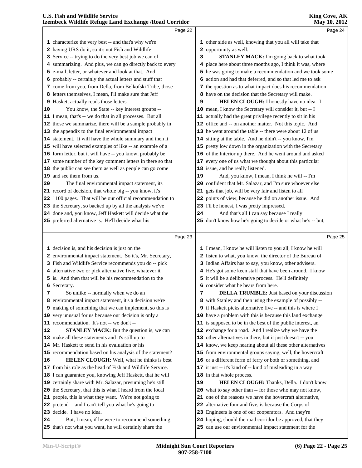| Page 22                                                                            |                                                                                                                                                                                                                                                                                                                                                                                                                                                                                                            | Page 24                                                                                                           |
|------------------------------------------------------------------------------------|------------------------------------------------------------------------------------------------------------------------------------------------------------------------------------------------------------------------------------------------------------------------------------------------------------------------------------------------------------------------------------------------------------------------------------------------------------------------------------------------------------|-------------------------------------------------------------------------------------------------------------------|
| 1 characterize the very best -- and that's why we're                               |                                                                                                                                                                                                                                                                                                                                                                                                                                                                                                            | 1 other side as well, knowing that you all will take that                                                         |
| 2 having URS do it, so it's not Fish and Wildlife                                  |                                                                                                                                                                                                                                                                                                                                                                                                                                                                                                            | 2 opportunity as well.                                                                                            |
| 3 Service -- trying to do the very best job we can of                              | 3                                                                                                                                                                                                                                                                                                                                                                                                                                                                                                          | STANLEY MACK: I'm going back to what took                                                                         |
| 4 summarizing. And plus, we can go directly back to every                          |                                                                                                                                                                                                                                                                                                                                                                                                                                                                                                            | 4 place here about three months ago, I think it was, where                                                        |
| 5 e-mail, letter, or whatever and look at that. And                                |                                                                                                                                                                                                                                                                                                                                                                                                                                                                                                            | 5 he was going to make a recommendation and we took some                                                          |
| 6 probably -- certainly the actual letters and stuff that                          |                                                                                                                                                                                                                                                                                                                                                                                                                                                                                                            | 6 action and had that deferred, and so that led me to ask                                                         |
| 7 come from you, from Della, from Belkofski Tribe, those                           |                                                                                                                                                                                                                                                                                                                                                                                                                                                                                                            | 7 the question as to what impact does his recommendation                                                          |
| 8 letters themselves, I mean, I'll make sure that Jeff                             |                                                                                                                                                                                                                                                                                                                                                                                                                                                                                                            | 8 have on the decision that the Secretary will make.                                                              |
| 9 Haskett actually reads those letters.                                            | 9                                                                                                                                                                                                                                                                                                                                                                                                                                                                                                          | HELEN CLOUGH: I honestly have no idea. I                                                                          |
| You know, the State -- key interest groups --                                      |                                                                                                                                                                                                                                                                                                                                                                                                                                                                                                            | 10 mean, I know the Secretary will consider it, but -- I                                                          |
| 11 I mean, that's -- we do that in all processes. But all                          |                                                                                                                                                                                                                                                                                                                                                                                                                                                                                                            | 11 actually had the great privilege recently to sit in his                                                        |
| 12 those we summarize, there will be a sample probably in                          |                                                                                                                                                                                                                                                                                                                                                                                                                                                                                                            | 12 office and -- on another matter. Not this topic. And                                                           |
| 13 the appendix to the final environmental impact                                  |                                                                                                                                                                                                                                                                                                                                                                                                                                                                                                            | 13 he went around the table -- there were about 12 of us                                                          |
| 14 statement. It will have the whole summary and then it                           |                                                                                                                                                                                                                                                                                                                                                                                                                                                                                                            | 14 sitting at the table. And he didn't -- you know, I'm                                                           |
| 15 will have selected examples of like -- an example of a                          |                                                                                                                                                                                                                                                                                                                                                                                                                                                                                                            | 15 pretty low down in the organization with the Secretary                                                         |
| 16 form letter, but it will have -- you know, probably be                          |                                                                                                                                                                                                                                                                                                                                                                                                                                                                                                            | 16 of the Interior up there. And he went around and asked                                                         |
| 17 some number of the key comment letters in there so that                         |                                                                                                                                                                                                                                                                                                                                                                                                                                                                                                            | 17 every one of us what we thought about this particular                                                          |
| 18 the public can see them as well as people can go come                           |                                                                                                                                                                                                                                                                                                                                                                                                                                                                                                            | 18 issue, and he really listened.                                                                                 |
|                                                                                    | 19                                                                                                                                                                                                                                                                                                                                                                                                                                                                                                         | And, you know, I mean, I think he will -- I'm                                                                     |
|                                                                                    |                                                                                                                                                                                                                                                                                                                                                                                                                                                                                                            | 20 confident that Mr. Salazar, and I'm sure whoever else                                                          |
|                                                                                    |                                                                                                                                                                                                                                                                                                                                                                                                                                                                                                            | 21 gets that job, will be very fair and listen to all                                                             |
|                                                                                    |                                                                                                                                                                                                                                                                                                                                                                                                                                                                                                            | 22 points of view, because he did on another issue. And                                                           |
|                                                                                    |                                                                                                                                                                                                                                                                                                                                                                                                                                                                                                            | 23 I'll be honest, I was pretty impressed.                                                                        |
|                                                                                    | 24                                                                                                                                                                                                                                                                                                                                                                                                                                                                                                         | And that's all I can say because I really                                                                         |
|                                                                                    |                                                                                                                                                                                                                                                                                                                                                                                                                                                                                                            | 25 don't know how he's going to decide or what he's -- but,                                                       |
|                                                                                    |                                                                                                                                                                                                                                                                                                                                                                                                                                                                                                            | Page 25                                                                                                           |
|                                                                                    |                                                                                                                                                                                                                                                                                                                                                                                                                                                                                                            |                                                                                                                   |
|                                                                                    |                                                                                                                                                                                                                                                                                                                                                                                                                                                                                                            | 1 I mean, I know he will listen to you all, I know he will                                                        |
| 3 Fish and Wildlife Service recommends you do -- pick                              |                                                                                                                                                                                                                                                                                                                                                                                                                                                                                                            | 2 listen to what, you know, the director of the Bureau of                                                         |
|                                                                                    |                                                                                                                                                                                                                                                                                                                                                                                                                                                                                                            |                                                                                                                   |
|                                                                                    |                                                                                                                                                                                                                                                                                                                                                                                                                                                                                                            | 3 Indian Affairs has to say, you know, other advisers.                                                            |
| 4 alternative two or pick alternative five, whatever it                            |                                                                                                                                                                                                                                                                                                                                                                                                                                                                                                            | 4 He's got some keen staff that have been around. I know                                                          |
| 5 is. And then that will be his recommendation to the                              |                                                                                                                                                                                                                                                                                                                                                                                                                                                                                                            | 5 it will be a deliberative process. He'll definitely                                                             |
| 6 Secretary.                                                                       |                                                                                                                                                                                                                                                                                                                                                                                                                                                                                                            | 6 consider what he hears from here.                                                                               |
| So unlike -- normally when we do an<br>7                                           | 7                                                                                                                                                                                                                                                                                                                                                                                                                                                                                                          | <b>DELLA TRUMBLE:</b> Just based on your discussion                                                               |
| 8 environmental impact statement, it's a decision we're                            |                                                                                                                                                                                                                                                                                                                                                                                                                                                                                                            | 8 with Stanley and then using the example of possibly --                                                          |
| 9 making of something that we can implement, so this is                            |                                                                                                                                                                                                                                                                                                                                                                                                                                                                                                            | 9 if Haskett picks alternative five -- and this is where I                                                        |
| very unusual for us because our decision is only a<br>10                           |                                                                                                                                                                                                                                                                                                                                                                                                                                                                                                            | 10 have a problem with this is because this land exchange                                                         |
| recommendation. It's not -- we don't --<br>11                                      |                                                                                                                                                                                                                                                                                                                                                                                                                                                                                                            | 11 is supposed to be in the best of the public interest, an                                                       |
| <b>STANLEY MACK:</b> But the question is, we can                                   |                                                                                                                                                                                                                                                                                                                                                                                                                                                                                                            | 12 exchange for a road. And I realize why we have the                                                             |
| 13 make all these statements and it's still up to                                  |                                                                                                                                                                                                                                                                                                                                                                                                                                                                                                            | 13 other alternatives in there, but it just doesn't -- you                                                        |
| 14 Mr. Haskett to send in his evaluation or his                                    |                                                                                                                                                                                                                                                                                                                                                                                                                                                                                                            | 14 know, we keep hearing about all these other alternatives                                                       |
| 15 recommendation based on his analysis of the statement?                          |                                                                                                                                                                                                                                                                                                                                                                                                                                                                                                            | 15 from environmental groups saying, well, the hovercraft                                                         |
| <b>HELEN CLOUGH:</b> Well, what he thinks is best<br>16                            |                                                                                                                                                                                                                                                                                                                                                                                                                                                                                                            | 16 or a different form of ferry or both or something, and                                                         |
| 17 from his role as the head of Fish and Wildlife Service.                         |                                                                                                                                                                                                                                                                                                                                                                                                                                                                                                            | 17 it just -- it's kind of -- kind of misleading in a way                                                         |
| 18 I can guarantee you, knowing Jeff Haskett, that he will                         |                                                                                                                                                                                                                                                                                                                                                                                                                                                                                                            | 18 in that whole process.                                                                                         |
| 19 certainly share with Mr. Salazar, presuming he's still                          | 19                                                                                                                                                                                                                                                                                                                                                                                                                                                                                                         | <b>HELEN CLOUGH:</b> Thanks, Della. I don't know                                                                  |
| 20 the Secretary, that this is what I heard from the local<br>21                   |                                                                                                                                                                                                                                                                                                                                                                                                                                                                                                            | 20 what to say other than -- for those who may not know,                                                          |
| people, this is what they want. We're not going to                                 |                                                                                                                                                                                                                                                                                                                                                                                                                                                                                                            | 21 one of the reasons we have the hovercraft alternative,                                                         |
| 22 pretend -- and I can't tell you what he's going to                              |                                                                                                                                                                                                                                                                                                                                                                                                                                                                                                            | 22 alternative four and five, is because the Corps of                                                             |
| 23 decide. I have no idea.<br>But, I mean, if he were to recommend something<br>24 |                                                                                                                                                                                                                                                                                                                                                                                                                                                                                                            | 23 Engineers is one of our cooperators. And they're<br>24 hoping, should the road corridor be approved, that they |
|                                                                                    | 19 and see them from us.<br>The final environmental impact statement, its<br>21 record of decision, that whole big -- you know, it's<br>22 1100 pages. That will be our official recommendation to<br>23 the Secretary, so backed up by all the analysis we've<br>24 done and, you know, Jeff Haskett will decide what the<br>25 preferred alternative is. He'll decide what his<br>Page 23<br>1 decision is, and his decision is just on the<br>2 environmental impact statement. So it's, Mr. Secretary, |                                                                                                                   |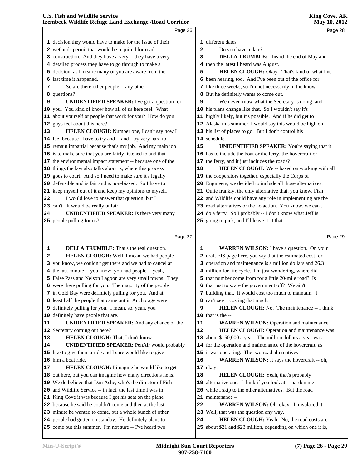|    | Page 26                                                                                                             |    | Page 28                                                                                                          |  |
|----|---------------------------------------------------------------------------------------------------------------------|----|------------------------------------------------------------------------------------------------------------------|--|
|    | 1 decision they would have to make for the issue of their                                                           |    | 1 different dates.                                                                                               |  |
|    | 2 wetlands permit that would be required for road                                                                   | 2  | Do you have a date?                                                                                              |  |
|    | 3 construction. And they have a very -- they have a very                                                            | з  | <b>DELLA TRUMBLE:</b> I heard the end of May and                                                                 |  |
|    | 4 detailed process they have to go through to make a                                                                | 4  | then the latest I heard was August.                                                                              |  |
|    | 5 decision, as I'm sure many of you are aware from the                                                              | 5  | HELEN CLOUGH: Okay. That's kind of what I've                                                                     |  |
|    | 6 last time it happened.                                                                                            |    | 6 been hearing, too. And I've been out of the office for                                                         |  |
| 7  | So are there other people -- any other                                                                              |    | 7 like three weeks, so I'm not necessarily in the know.                                                          |  |
|    | 8 questions?                                                                                                        |    | 8 But he definitely wants to come out.                                                                           |  |
| 9  | <b>UNIDENTIFIED SPEAKER:</b> I've got a question for                                                                | 9  | We never know what the Secretary is doing, and                                                                   |  |
|    | 10 you. You kind of know how all of us here feel. What                                                              |    | 10 his plans change like that. So I wouldn't say it's                                                            |  |
|    | 11 about yourself or people that work for you? How do you                                                           |    | 11 highly likely, but it's possible. And if he did get to                                                        |  |
|    | 12 guys feel about this here?                                                                                       |    | 12 Alaska this summer, I would say this would be high on                                                         |  |
| 13 | HELEN CLOUGH: Number one, I can't say how I                                                                         |    | 13 his list of places to go. But I don't control his                                                             |  |
|    | 14 feel because I have to try and -- and I try very hard to                                                         |    | 14 schedule.                                                                                                     |  |
|    | 15 remain impartial because that's my job. And my main job                                                          | 15 | <b>UNIDENTIFIED SPEAKER:</b> You're saying that it                                                               |  |
|    | 16 is to make sure that you are fairly listened to and that                                                         |    | 16 has to include the boat or the ferry, the hovercraft or                                                       |  |
|    | 17 the environmental impact statement -- because one of the                                                         |    | 17 the ferry, and it just includes the roads?                                                                    |  |
|    | 18 things the law also talks about is, where this process                                                           | 18 | HELEN CLOUGH: We -- based on working with all                                                                    |  |
|    | 19 goes to court. And so I need to make sure it's legally                                                           |    | 19 the cooperators together, especially the Corps of                                                             |  |
|    | 20 defensible and is fair and is non-biased. So I have to                                                           |    | 20 Engineers, we decided to include all those alternatives.                                                      |  |
|    | 21 keep myself out of it and keep my opinions to myself.                                                            |    | 21 Quite frankly, the only alternative that, you know, Fish                                                      |  |
| 22 | I would love to answer that question, but I                                                                         |    | 22 and Wildlife could have any role in implementing are the                                                      |  |
|    | 23 can't. It would be really unfair.                                                                                |    | 23 road alternatives or the no action. You know, we can't                                                        |  |
| 24 | <b>UNIDENTIFIED SPEAKER:</b> Is there very many                                                                     |    | 24 do a ferry. So I probably -- I don't know what Jeff is                                                        |  |
|    | 25 people pulling for us?                                                                                           |    | 25 going to pick, and I'll leave it at that.                                                                     |  |
|    |                                                                                                                     |    |                                                                                                                  |  |
|    |                                                                                                                     |    |                                                                                                                  |  |
|    | Page 27                                                                                                             |    | Page 29                                                                                                          |  |
| 1  |                                                                                                                     |    |                                                                                                                  |  |
| 2  | <b>DELLA TRUMBLE:</b> That's the real question.                                                                     | 1  | <b>WARREN WILSON:</b> I have a question. On your<br>2 draft EIS page here, you say that the estimated cost for   |  |
|    | HELEN CLOUGH: Well, I mean, we had people --                                                                        |    |                                                                                                                  |  |
|    | 3 you know, we couldn't get there and we had to cancel at                                                           |    | 3 operation and maintenance is a million dollars and 26.3                                                        |  |
|    | 4 the last minute -- you know, you had people -- yeah,<br>5 False Pass and Nelson Lagoon are very small towns. They |    | 4 million for life cycle. I'm just wondering, where did<br>5 that number come from for a little 20-mile road? Is |  |
|    | 6 were there pulling for you. The majority of the people                                                            |    |                                                                                                                  |  |
|    | 7 in Cold Bay were definitely pulling for you. And at                                                               |    | 6 that just to scare the government off? We ain't<br>7 building that. It would cost too much to maintain. I      |  |
|    | 8 least half the people that came out in Anchorage were                                                             |    | 8 can't see it costing that much.                                                                                |  |
|    | 9 definitely pulling for you. I mean, so, yeah, you                                                                 | 9  | HELEN CLOUGH: No. The maintenance -- I think                                                                     |  |
|    | 10 definitely have people that are.                                                                                 |    | $10$ that is the $-$                                                                                             |  |
| 11 | UNIDENTIFIED SPEAKER: And any chance of the                                                                         | 11 | <b>WARREN WILSON: Operation and maintenance.</b>                                                                 |  |
|    | 12 Secretary coming out here?                                                                                       | 12 | HELEN CLOUGH: Operation and maintenance was                                                                      |  |
| 13 | HELEN CLOUGH: That, I don't know.                                                                                   |    | 13 about \$150,000 a year. The million dollars a year was                                                        |  |
| 14 | <b>UNIDENTIFIED SPEAKER: PenAir would probably</b>                                                                  |    | 14 for the operation and maintenance of the hovercraft, as                                                       |  |
|    | 15 like to give them a ride and I sure would like to give                                                           |    | 15 it was operating. The two road alternatives --                                                                |  |
|    | 16 him a boat ride.                                                                                                 | 16 | WARREN WILSON: It says the hovercraft -- oh,                                                                     |  |
| 17 | <b>HELEN CLOUGH:</b> I imagine he would like to get                                                                 |    | 17 okay.                                                                                                         |  |
|    | 18 out here, but you can imagine how many directions he is.                                                         | 18 | HELEN CLOUGH: Yeah, that's probably                                                                              |  |
|    | 19 We do believe that Dan Ashe, who's the director of Fish                                                          |    | 19 alternative one. I think if you look at -- pardon me                                                          |  |
|    | 20 and Wildlife Service -- in fact, the last time I was in                                                          |    | 20 while I skip to the other alternatives. But the road                                                          |  |
|    | 21 King Cove it was because I got his seat on the plane                                                             |    | 21 maintenance --                                                                                                |  |
|    | 22 because he said he couldn't come and then at the last                                                            | 22 | WARREN WILSON: Oh, okay. I misplaced it.                                                                         |  |
|    | 23 minute he wanted to come, but a whole bunch of other                                                             |    | 23 Well, that was the question any way.                                                                          |  |
|    | 24 people had gotten on standby. He definitely plans to<br>25 come out this summer. I'm not sure -- I've heard two  | 24 | HELEN CLOUGH: Yeah. No, the road costs are<br>25 about \$21 and \$23 million, depending on which one it is,      |  |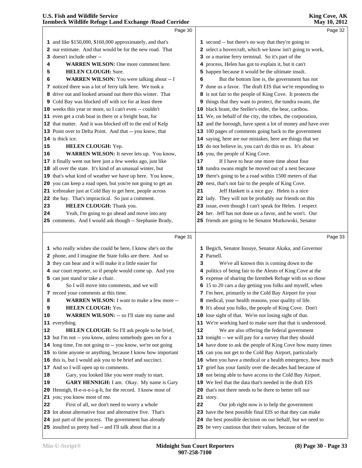| Izembeck Wildlife Refuge Land Exchange / Road Corridor      | May 10, 2012                                                |
|-------------------------------------------------------------|-------------------------------------------------------------|
| Page 30                                                     | Page 32                                                     |
| 1 and like \$150,000, \$160,000 approximately, and that's   | 1 second -- but there's no way that they're going to        |
| 2 our estimate. And that would be for the new road. That    | 2 select a hovercraft, which we know isn't going to work,   |
| 3 doesn't include other --                                  | 3 or a marine ferry terminal. So it's part of the           |
| <b>WARREN WILSON:</b> One more comment here.<br>4           | 4 process, Helen has got to explain it, but it can't        |
| <b>HELEN CLOUGH: Sure.</b><br>5                             | 5 happen because it would be the ultimate insult.           |
| <b>WARREN WILSON:</b> You were talking about -- I<br>6      | But the bottom line is, the government has not<br>6         |
| 7 noticed there was a lot of ferry talk here. We took a     | 7 done us a favor. The draft EIS that we're responding to   |
| 8 drive out and looked around out there this winter. That   | 8 is not fair to the people of King Cove. It protects the   |
| 9 Cold Bay was blocked off with ice for at least three      | 9 things that they want to protect, the tundra swans, the   |
| 10 weeks this year or more, so I can't even -- couldn't     | 10 black brant, the Steller's eider, the bear, caribou.     |
| 11 even get a crab boat in there or a freight boat, for     | 11 We, on behalf of the city, the tribes, the corporation,  |
| 12 that matter. And it was blocked off to the end of Kelp   | 12 and the borough, have spent a lot of money and have over |
| 13 Point over to Delta Point. And that -- you know, that    | 13 100 pages of comments going back to the government       |
| 14 is thick ice.                                            | 14 saying, here are our mistakes, here are things that we   |
| HELEN CLOUGH: Yep.<br>15                                    | 15 do not believe in, you can't do this to us. It's about   |
| WARREN WILSON: It never lets up. You know,<br>16            | 16 you, the people of King Cove.                            |
| 17 it finally went out here just a few weeks ago, just like | If I have to hear one more time about four<br>17            |
| 18 all over the state. It's kind of an unusual winter, but  | 18 tundra swans might be moved out of a nest because        |
| 19 that's what kind of weather we have up here. You know,   | 19 there's going to be a road within 1500 meters of that    |
| 20 you can keep a road open, but you're not going to get an | 20 nest, that's not fair to the people of King Cove.        |
| 21 icebreaker just at Cold Bay to get here, people across   | Jeff Haskett is a nice guy. Helen is a nice<br>21           |
| 22 the bay. That's impractical. So just a comment.          | 22 lady. They will not be probably our friends on this      |
| HELEN CLOUGH: Thank you.<br>23                              | 23 issue, even though I can't speak for Helen. I respect    |
| Yeah, I'm going to go ahead and move into any<br>24         | 24 her. Jeff has not done us a favor, and he won't. Our     |
| 25 comments. And I would ask though -- Stephanie Brady,     | 25 friends are going to be Senator Murkowski, Senator       |
| Page 31                                                     | Page 33                                                     |
| 1 who really wishes she could be here, I know she's on the  | 1 Begich, Senator Inouye, Senator Akaka, and Governor       |
| 2 phone, and I imagine the State folks are there. And so    | 2 Parnell.                                                  |
| 3 they can hear and it will make it a little easier for     | We've all known this is coming down to the<br>3             |
| 4 our court reporter, so if people would come up. And you   | 4 politics of being fair to the Aleuts of King Cove at the  |
| 5 can just stand or take a chair.                           | 5 expense of sharing the Izembek Refuge with us so those    |
| 6<br>So I will move into comments, and we will              | 6 15 to 20 cars a day getting you folks and myself, when    |
| 7 record your comments at this time.                        | 7 I'm here, primarily to the Cold Bay Airport for your      |
| <b>WARREN WILSON:</b> I want to make a few more --<br>8     | 8 medical, your health reasons, your quality of life.       |
| <b>HELEN CLOUGH: Yes.</b><br>9                              | 9 It's about you folks, the people of King Cove. Don't      |
| WARREN WILSON: -- so I'll state my name and<br>10           | 10 lose sight of that. We're not losing sight of that.      |
| 11 everything.                                              | 11 We're working hard to make sure that that is understood. |
| HELEN CLOUGH: So I'll ask people to be brief,<br>12         | ${\bf 12}$<br>We are also offering the federal government   |
| 13 but I'm not -- you know, unless somebody goes on for a   | 13 tonight -- we will pay for a survey that they should     |

- long time, I'm not going to -- you know, we're not going
- to time anyone or anything, because I know how important
- this is, but I would ask you to be brief and succinct.
- And so I will open up to comments.
- Gary, you looked like you were ready to start.
- **GARY HENNIGH:** I am. Okay. My name is Gary Hennigh, H-e-n-n-i-g-h, for the record. I know most of you; you know most of me.
- First of all, we don't need to worry a whole
- lot about alternative four and alternative five. That's
- just part of the process. The government has already
- insulted us pretty bad -- and I'll talk about that in a

story.

 have done to ask the people of King Cove how many times can you not get to the Cold Bay Airport, particularly when you have a medical or a health emergency, how much grief has your family over the decades had because of not being able to have access to the Cold Bay Airport. We feel that the data that's needed in the draft EIS that's not there needs to be there to better tell our

 Our job right now is to help the government have the best possible final EIS so that they can make the best possible decision on our behalf, but we need to be very cautious that their values, because of the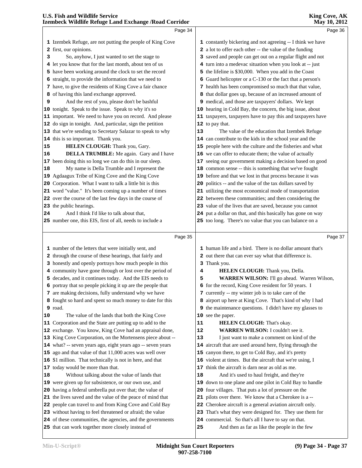|    | Page 34                                                                                                          |    | Page 36                                                                                              |  |
|----|------------------------------------------------------------------------------------------------------------------|----|------------------------------------------------------------------------------------------------------|--|
|    | 1 Izembek Refuge, are not putting the people of King Cove                                                        |    | 1 constantly bickering and not agreeing -- I think we have                                           |  |
|    | 2 first, our opinions.                                                                                           |    | 2 a lot to offer each other -- the value of the funding                                              |  |
| 3  | So, anyhow, I just wanted to set the stage to                                                                    |    | 3 saved and people can get out on a regular flight and not                                           |  |
|    | 4 let you know that for the last month, about ten of us                                                          |    | 4 turn into a medevac situation when you look at -- just                                             |  |
|    | 5 have been working around the clock to set the record                                                           |    | 5 the lifeline is \$30,000. When you add in the Coast                                                |  |
|    | 6 straight, to provide the information that we need to                                                           |    | 6 Guard helicopter or a C-130 or the fact that a person's                                            |  |
|    | 7 have, to give the residents of King Cove a fair chance                                                         |    | 7 health has been compromised so much that that value,                                               |  |
|    | 8 of having this land exchange approved.                                                                         |    | 8 that dollar goes up, because of an increased amount of                                             |  |
| 9  | And the rest of you, please don't be bashful                                                                     |    | 9 medical, and those are taxpayers' dollars. We kept                                                 |  |
|    | 10 tonight. Speak to the issue. Speak to why it's so                                                             |    | 10 hearing in Cold Bay, the concern, the big issue, about                                            |  |
|    | 11 important. We need to have you on record. And please                                                          |    | 11 taxpayers, taxpayers have to pay this and taxpayers have                                          |  |
|    | 12 do sign in tonight. And, particular, sign the petition                                                        |    | 12 to pay that.                                                                                      |  |
|    | 13 that we're sending to Secretary Salazar to speak to why                                                       | 13 | The value of the education that Izembek Refuge                                                       |  |
|    | 14 this is so important. Thank you.                                                                              |    | 14 can contribute to the kids in the school year and the                                             |  |
| 15 | HELEN CLOUGH: Thank you, Gary.                                                                                   |    | 15 people here with the culture and the fisheries and what                                           |  |
| 16 | DELLA TRUMBLE: Me again. Gary and I have                                                                         |    | 16 we can offer to educate them; the value of actually                                               |  |
|    | 17 been doing this so long we can do this in our sleep.                                                          |    | 17 seeing our government making a decision based on good                                             |  |
| 18 | My name is Della Trumble and I represent the                                                                     |    | 18 common sense -- this is something that we've fought                                               |  |
|    | 19 Agdaagux Tribe of King Cove and the King Cove                                                                 |    | 19 before and that we lost in that process because it was                                            |  |
|    | 20 Corporation. What I want to talk a little bit is this                                                         |    | 20 politics -- and the value of the tax dollars saved by                                             |  |
|    | 21 word "value." It's been coming up a number of times                                                           |    | 21 utilizing the most economical mode of transportation                                              |  |
|    | 22 over the course of the last few days in the course of                                                         |    | 22 between these communities; and then considering the                                               |  |
|    | 23 the public hearings.                                                                                          |    | 23 value of the lives that are saved, because you cannot                                             |  |
| 24 | And I think I'd like to talk about that,                                                                         |    | 24 put a dollar on that, and this basically has gone on way                                          |  |
|    | 25 number one, this EIS, first of all, needs to include a                                                        |    | 25 too long. There's no value that you can balance on a                                              |  |
|    |                                                                                                                  |    |                                                                                                      |  |
|    |                                                                                                                  |    |                                                                                                      |  |
|    | Page 35                                                                                                          |    | Page 37                                                                                              |  |
|    |                                                                                                                  |    | 1 human life and a bird. There is no dollar amount that's                                            |  |
|    | 1 number of the letters that were initially sent, and<br>2 through the course of these hearings, that fairly and |    | 2 out there that can ever say what that difference is.                                               |  |
|    | 3 honestly and openly portrays how much people in this                                                           |    | 3 Thank you.                                                                                         |  |
|    | 4 community have gone through or lost over the period of                                                         | 4  | HELEN CLOUGH: Thank you, Della.                                                                      |  |
|    | 5 decades, and it continues today. And the EIS needs to                                                          | 5  | WARREN WILSON: I'll go ahead. Warren Wilson,                                                         |  |
|    | 6 portray that so people picking it up are the people that                                                       |    | 6 for the record, King Cove resident for 50 years. I                                                 |  |
|    | 7 are making decisions, fully understand why we have                                                             |    | 7 currently -- my winter job is to take care of the                                                  |  |
|    | 8 fought so hard and spent so much money to date for this                                                        |    | 8 airport up here at King Cove. That's kind of why I had                                             |  |
|    | <b>9</b> road.                                                                                                   |    | 9 the maintenance questions. I didn't have my glasses to                                             |  |
|    | The value of the lands that both the King Cove                                                                   |    | 10 see the paper.                                                                                    |  |
|    | 11 Corporation and the State are putting up to add to the                                                        | 11 | HELEN CLOUGH: That's okay.                                                                           |  |
| 10 | 12 exchange. You know, King Cove had an appraisal done,                                                          | 12 | WARREN WILSON: I couldn't see it.                                                                    |  |
|    | 13 King Cove Corporation, on the Mortensens piece about --                                                       | 13 | I just want to make a comment on kind of the                                                         |  |
|    | 14 what? -- seven years ago, eight years ago -- seven years                                                      |    | 14 aircraft that are used around here, flying through the                                            |  |
|    | 15 ago and that value of that 11,000 acres was well over                                                         |    | 15 canyon there, to get to Cold Bay, and it's pretty                                                 |  |
|    | 16 \$1 million. That technically is not in here, and that                                                        |    | 16 violent at times. But the aircraft that we're using, I                                            |  |
|    | 17 today would be more than that.                                                                                |    | 17 think the aircraft is darn near as old as me.                                                     |  |
|    | Without talking about the value of lands that                                                                    | 18 | And it's used to haul freight, and they're                                                           |  |
|    | 19 were given up for subsistence, or our own use, and                                                            | 19 | down to one plane and one pilot in Cold Bay to handle                                                |  |
|    | 20 having a federal umbrella put over that; the value of                                                         |    | 20 four villages. That puts a lot of pressure on the                                                 |  |
|    | 21 the lives saved and the value of the peace of mind that                                                       | 21 | pilots over there. We know that a Cherokee is a --                                                   |  |
|    | 22 people can travel to and from King Cove and Cold Bay                                                          |    | 22 Cherokee aircraft is a general aviation aircraft only.                                            |  |
|    | 23 without having to feel threatened or afraid; the value                                                        |    | 23 That's what they were designed for. They use them for                                             |  |
| 18 | 24 of these communities, the agencies, and the governments<br>25 that can work together more closely instead of  | 25 | 24 commercial. So that's all I have to say on that.<br>And then as far as like the people in the few |  |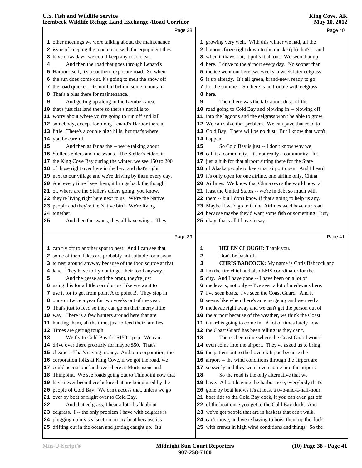|    | Izembeck Wildlife Refuge Land Exchange / Road Corridor      |    | May 10, 2012                                                |  |
|----|-------------------------------------------------------------|----|-------------------------------------------------------------|--|
|    | Page 38                                                     |    | Page 40                                                     |  |
|    | 1 other meetings we were talking about, the maintenance     |    | 1 growing very well. With this winter we had, all the       |  |
|    | 2 issue of keeping the road clear, with the equipment they  |    | 2 lagoons froze right down to the muske (ph) that's -- and  |  |
|    | 3 have nowadays, we could keep any road clear.              |    | 3 when it thaws out, it pulls it all out. We seen that up   |  |
| 4  | And then the road that goes through Lenard's                |    | 4 here. I drive to the airport every day. No sooner than    |  |
|    | 5 Harbor itself, it's a southern exposure road. So when     |    | 5 the ice went out here two weeks, a week later eelgrass    |  |
|    | 6 the sun does come out, it's going to melt the snow off    |    | 6 is up already. It's all green, brand-new, ready to go     |  |
|    | 7 the road quicker. It's not hid behind some mountain.      |    | 7 for the summer. So there is no trouble with eelgrass      |  |
| 8  | That's a plus there for maintenance.                        |    | 8 here.                                                     |  |
| 9  | And getting up along in the Izembek area,                   | 9  | Then there was the talk about dust off the                  |  |
|    | 10 that's just flat land there so there's not hills to      |    | 10 road going to Cold Bay and blowing in -- blowing off     |  |
|    | 11 worry about where you're going to run off and kill       |    | 11 into the lagoons and the eelgrass won't be able to grow. |  |
|    | 12 somebody, except for along Lenard's Harbor there a       |    | 12 We can solve that problem. We can pave that road to      |  |
|    | 13 little. There's a couple high hills, but that's where    |    | 13 Cold Bay. There will be no dust. But I know that won't   |  |
|    | 14 you be careful.                                          |    | 14 happen.                                                  |  |
| 15 | And then as far as the -- we're talking about               | 15 | So Cold Bay is just -- I don't know why we                  |  |
|    | 16 Steller's eiders and the swans. The Steller's eiders in  |    | 16 call it a community. It's not really a community. It's   |  |
|    | 17 the King Cove Bay during the winter, we see 150 to 200   |    | 17 just a hub for that airport sitting there for the State  |  |
|    | 18 of those right over here in the bay, and that's right    |    | 18 of Alaska people to keep that airport open. And I heard  |  |
|    | 19 next to our village and we're driving by them every day. |    | 19 it's only open for one airline, one airline only, China  |  |
|    | 20 And every time I see them, it brings back the thought    |    | 20 Airlines. We know that China owns the world now, at      |  |
|    | 21 of, where are the Steller's eiders going, you know,      |    | 21 least the United States -- we're in debt so much with    |  |
|    | 22 they're living right here next to us. We're the Native   |    | 22 them -- but I don't know if that's going to help us any. |  |
|    | 23 people and they're the Native bird. We're living         |    | 23 Maybe if we'd go to China Airlines we'd have our road    |  |
|    | 24 together.                                                |    | 24 because maybe they'd want some fish or something. But,   |  |
| 25 | And then the swans, they all have wings. They               |    | 25 okay, that's all I have to say.                          |  |
|    | Page 39                                                     |    | Page 41                                                     |  |
|    | 1 can fly off to another spot to nest. And I can see that   | 1  | <b>HELEN CLOUGH:</b> Thank you.                             |  |
|    | 2 some of them lakes are probably not suitable for a swan   | 2  | Don't be bashful.                                           |  |
|    | 3 to nest around anyway because of the food source at that  | з  | <b>CHRIS BABCOCK:</b> My name is Chris Babcock and          |  |
|    | 4 lake. They have to fly out to get their food anyway.      |    | 4 I'm the fire chief and also EMS coordinator for the       |  |
| 5  | And the geese and the brant, they're just                   |    | 5 city. And I have done -- I have been on a lot of          |  |
|    | 6 using this for a little corridor just like we want to     |    | 6 medevacs, not only -- I've seen a lot of medevacs here.   |  |
|    | 7 use it for to get from point A to point B. They stop in   |    | 7 I've seen boats. I've seen the Coast Guard. And it        |  |
|    | 8 once or twice a year for two weeks out of the year.       |    | 8 seems like when there's an emergency and we need a        |  |
|    | 9 That's just to feed so they can go on their merry little  |    | 9 medevac right away and we can't get the person out of     |  |
|    | 10 way. There is a few hunters around here that are         |    | 10 the airport because of the weather, we think the Coast   |  |
|    | 11 hunting them, all the time, just to feed their families. |    | 11 Guard is going to come in. A lot of times lately now     |  |
|    | 12 Times are getting tough.                                 |    | 12 the Coast Guard has been telling us they can't.          |  |
| 13 | We fly to Cold Bay for \$150 a pop. We can                  | 13 | There's been time where the Coast Guard won't               |  |
|    | 14 drive over there probably for maybe \$50. That's         |    | 14 even come into the airport. They've asked us to bring    |  |
|    | 15 cheaper. That's saving money. And our corporation, the   |    | 15 the patient out to the hovercraft pad because the        |  |
|    | 16 corporation folks at King Cove, if we got the road, we   |    | 16 airport -- the wind conditions through the airport are   |  |
|    | 17 could access our land over there at Mortensens and       |    | 17 so swirly and they won't even come into the airport.     |  |
|    | 18 Thinpoint. We see roads going out to Thinpoint now that  | 18 | So the road is the only alternative that we                 |  |
|    | 19 have never been there before that are being used by the  |    | 19 have. A boat leaving the harbor here, everybody that's   |  |
|    | 20 people of Cold Bay. We can't access that, unless we go   |    | 20 gone by boat knows it's at least a two-and-a-half-hour   |  |
|    | 21 over by boat or flight over to Cold Bay.                 |    | 21 boat ride to the Cold Bay dock, if you can even get off  |  |
| 22 | And that eelgrass, I hear a lot of talk about               |    | 22 of the boat once you get to the Cold Bay dock. And       |  |

 And that eelgrass, I hear a lot of talk about eelgrass. I -- the only problem I have with eelgrass is plugging up my sea suction on my boat because it's

drifting out in the ocean and getting caught up. It's

 we've got people that are in baskets that can't walk, can't move, and we're having to hoist them up the dock with cranes in high wind conditions and things. So the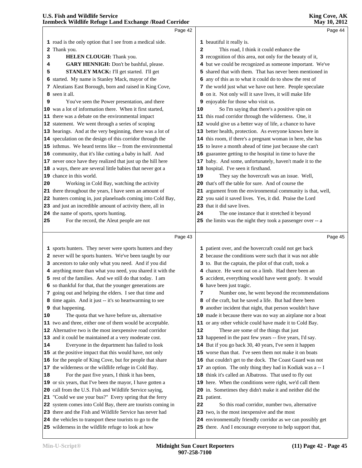|    | Page 42                                                                                                                 |                | Page 44                                                                                                                 |  |
|----|-------------------------------------------------------------------------------------------------------------------------|----------------|-------------------------------------------------------------------------------------------------------------------------|--|
|    | 1 road is the only option that I see from a medical side.                                                               |                | 1 beautiful it really is.                                                                                               |  |
|    | 2 Thank you.                                                                                                            | $\overline{a}$ | This road, I think it could enhance the                                                                                 |  |
| з  | HELEN CLOUGH: Thank you.                                                                                                |                | 3 recognition of this area, not only for the beauty of it,                                                              |  |
| 4  | GARY HENNIGH: Don't be bashful, please.                                                                                 |                | 4 but we could be recognized as someone important. We've                                                                |  |
| 5  | STANLEY MACK: I'll get started. I'll get                                                                                |                | 5 shared that with them. That has never been mentioned in                                                               |  |
|    | 6 started. My name is Stanley Mack, mayor of the                                                                        |                | 6 any of this as to what it could do to show the rest of                                                                |  |
|    | 7 Aleutians East Borough, born and raised in King Cove,                                                                 |                | 7 the world just what we have out here. People speculate                                                                |  |
|    | 8 seen it all.                                                                                                          |                | 8 on it. Not only will it save lives, it will make life                                                                 |  |
| 9  | You've seen the Power presentation, and there                                                                           |                | 9 enjoyable for those who visit us.                                                                                     |  |
|    | 10 was a lot of information there. When it first started,                                                               | 10             | So I'm saying that there's a positive spin on                                                                           |  |
|    | 11 there was a debate on the environmental impact                                                                       |                | 11 this road corridor through the wilderness. One, it                                                                   |  |
|    | 12 statement. We went through a series of scoping                                                                       |                | 12 would give us a better way of life, a chance to have                                                                 |  |
|    | 13 hearings. And at the very beginning, there was a lot of                                                              |                | 13 better health, protection. As everyone knows here in                                                                 |  |
|    | 14 speculation on the design of this corridor through the                                                               |                | 14 this room, if there's a pregnant woman in here, she has                                                              |  |
|    | 15 isthmus. We heard terms like -- from the environmental                                                               |                |                                                                                                                         |  |
|    |                                                                                                                         |                | 15 to leave a month ahead of time just because she can't<br>16 guarantee getting to the hospital in time to have the    |  |
|    | 16 community, that it's like cutting a baby in half. And<br>17 never once have they realized that just up the hill here |                |                                                                                                                         |  |
|    |                                                                                                                         |                | 17 baby. And some, unfortunately, haven't made it to the                                                                |  |
|    | 18 a ways, there are several little babies that never got a                                                             |                | 18 hospital. I've seen it firsthand.                                                                                    |  |
|    | 19 chance in this world.                                                                                                | 19             | They say the hovercraft was an issue. Well,<br>20 that's off the table for sure. And of course the                      |  |
| 20 | Working in Cold Bay, watching the activity<br>21 there throughout the years, I have seen an amount of                   |                |                                                                                                                         |  |
|    | 22 hunters coming in, just planeloads coming into Cold Bay,                                                             |                | 21 argument from the environmental community is that, well,                                                             |  |
|    | 23 and just an incredible amount of activity there, all in                                                              |                | 22 you said it saved lives. Yes, it did. Praise the Lord<br>23 that it did save lives.                                  |  |
|    | 24 the name of sports, sports hunting.                                                                                  | 24             | The one instance that it stretched it beyond                                                                            |  |
| 25 | For the record, the Aleut people are not                                                                                |                | 25 the limits was the night they took a passenger over -- a                                                             |  |
|    |                                                                                                                         |                |                                                                                                                         |  |
|    | Page 43                                                                                                                 |                | Page 45                                                                                                                 |  |
|    | 1 sports hunters. They never were sports hunters and they                                                               |                | 1 patient over, and the hovercraft could not get back                                                                   |  |
|    | 2 never will be sports hunters. We've been taught by our                                                                |                | 2 because the conditions were such that it was not able                                                                 |  |
|    | 3 ancestors to take only what you need. And if you did                                                                  |                | 3 to. But the captain, the pilot of that craft, took a                                                                  |  |
|    | 4 anything more than what you need, you shared it with the                                                              |                | 4 chance. He went out on a limb. Had there been an                                                                      |  |
|    | 5 rest of the families. And we still do that today. I am                                                                |                | 5 accident, everything would have went goofy. It would                                                                  |  |
|    | 6 so thankful for that, that the younger generations are                                                                |                | 6 have been just tragic.                                                                                                |  |
|    | 7 going out and helping the elders. I see that time and                                                                 | 7              | Number one, he went beyond the recommendations                                                                          |  |
|    | 8 time again. And it just -- it's so heartwarming to see                                                                |                | 8 of the craft, but he saved a life. But had there been                                                                 |  |
|    | 9 that happening.                                                                                                       |                | 9 another incident that night, that person wouldn't have                                                                |  |
| 10 | The quota that we have before us, alternative                                                                           |                | 10 made it because there was no way an airplane nor a boat                                                              |  |
|    | 11 two and three, either one of them would be acceptable.                                                               |                | 11 or any other vehicle could have made it to Cold Bay.                                                                 |  |
|    | 12 Alternative two is the most inexpensive road corridor                                                                | 12             | These are some of the things that just                                                                                  |  |
|    | 13 and it could be maintained at a very moderate cost.                                                                  |                | 13 happened in the past few years -- five years, I'd say.                                                               |  |
| 14 | Everyone in the department has failed to look                                                                           |                | 14 But if you go back 30, 40 years, I've seen it happen                                                                 |  |
|    | 15 at the positive impact that this would have, not only                                                                |                | 15 worse than that. I've seen them not make it on boats                                                                 |  |
|    | 16 for the people of King Cove, but for people that share                                                               |                | 16 that couldn't get to the dock. The Coast Guard was not                                                               |  |
|    | 17 the wilderness or the wildlife refuge in Cold Bay.                                                                   |                | 17 an option. The only thing they had in Kodiak was a -- I                                                              |  |
| 18 | For the past five years, I think it has been,                                                                           |                | 18 think it's called an Albatross. That used to fly out                                                                 |  |
|    |                                                                                                                         |                | 19 here. When the conditions were right, we'd call them                                                                 |  |
|    |                                                                                                                         |                |                                                                                                                         |  |
|    | 19 or six years, that I've been the mayor, I have gotten a                                                              |                |                                                                                                                         |  |
|    | 20 call from the U.S. Fish and Wildlife Service saying,                                                                 |                | 20 in. Sometimes they didn't make it and neither did the                                                                |  |
|    | 21 "Could we use your bus?" Every spring that the ferry                                                                 |                | 21 patient.                                                                                                             |  |
|    | 22 system comes into Cold Bay, there are tourists coming in                                                             | 22             | So this road corridor, number two, alternative                                                                          |  |
|    | 23 there and the Fish and Wildlife Service has never had                                                                |                | 23 two, is the most inexpensive and the most                                                                            |  |
|    | 24 the vehicles to transport these tourists to go to the<br>25 wilderness in the wildlife refuge to look at how         |                | 24 environmentally friendly corridor as we can possibly get<br>25 there. And I encourage everyone to help support that, |  |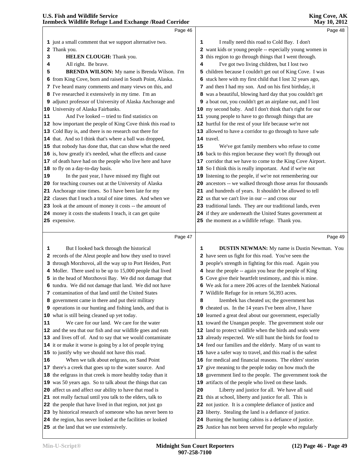| Page 48                                                     |
|-------------------------------------------------------------|
|                                                             |
|                                                             |
| 2 want kids or young people -- especially young women in    |
|                                                             |
|                                                             |
| 5 children because I couldn't get out of King Cove. I was   |
| 6 stuck here with my first child that I lost 32 years ago,  |
|                                                             |
| 8 was a beautiful, blowing hard day that you couldn't get   |
| 9 a boat out, you couldn't get an airplane out, and I lost  |
| 10 my second baby. And I don't think that's right for our   |
|                                                             |
|                                                             |
|                                                             |
|                                                             |
| We've got family members who refuse to come                 |
| 16 back to this region because they won't fly through out   |
| 17 corridor that we have to come to the King Cove Airport.  |
|                                                             |
|                                                             |
| 20 ancestors -- we walked through those areas for thousands |
|                                                             |
|                                                             |
| 23 traditional lands. They are our traditional lands, even  |
| 24 if they are underneath the United States government at   |
|                                                             |
| Page 49                                                     |
| <b>DUSTIN NEWMAN:</b> My name is Dustin Newman. You         |
|                                                             |
|                                                             |

 through Morzhovoi, all the way up to Port Heiden, Port Moller. There used to be up to 15,000 people that lived in the head of Morzhovoi Bay. We did not damage that tundra. We did not damage that land. We did not have contamination of that land until the United States government came in there and put their military operations in our hunting and fishing lands, and that is what is still being cleaned up yet today. We care for our land. We care for the water and the sea that our fish and our wildlife goes and eats and lives off of. And to say that we would contaminate it or make it worse is going by a lot of people trying to justify why we should not have this road. When we talk about eelgrass, on Sand Point there's a creek that goes up to the water source. And the eelgrass in that creek is more healthy today than it was 50 years ago. So to talk about the things that can affect us and affect our ability to have that road is not really factual until you talk to the elders, talk to the people that have lived in that region, not just go by historical research of someone who has never been to the region, has never looked at the facilities or looked at the land that we use extensively.

 people's strength in fighting for this road. Again you hear the people -- again you hear the people of King Cove give their heartfelt testimony, and this is mine. We ask for a mere 206 acres of the Izembek National Wildlife Refuge for in return 56,393 acres. Izembek has cheated us; the government has cheated us. In the 14 years I've been alive, I have learned a great deal about our government, especially toward the Unangan people. The government stole our land to protect wildlife when the birds and seals were already respected. We still hunt the birds for food to feed our families and the elderly. Many of us want to have a safer way to travel, and this road is the safest for medical and financial reasons. The elders' stories give meaning to the people today on how much the government lied to the people. The government took the artifacts of the people who lived on these lands. Liberty and justice for all. We have all said this at school, liberty and justice for all. This is not justice. It is a complete defiance of justice and liberty. Stealing the land is a defiance of justice. Burning the hunting cabins is a defiance of justice. Justice has not been served for people who regularly

**King Cove, AK**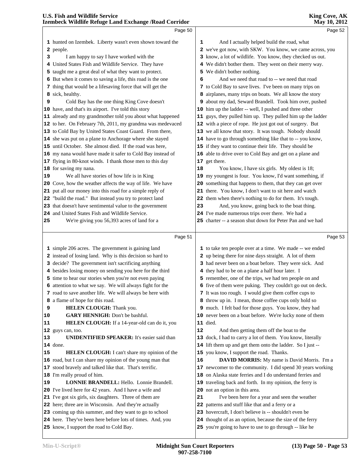|    | Page 50                                                                                                              |    | Page 52                                                                                                              |
|----|----------------------------------------------------------------------------------------------------------------------|----|----------------------------------------------------------------------------------------------------------------------|
|    |                                                                                                                      |    |                                                                                                                      |
|    | 1 hunted on Izembek. Liberty wasn't even shown toward the                                                            | 1  | And I actually helped build the road, what                                                                           |
|    | 2 people.                                                                                                            |    | 2 we've got now, with SKW. You know, we came across, you                                                             |
| 3  | I am happy to say I have worked with the<br>United States Fish and Wildlife Service. They have                       |    | 3 know, a lot of wildlife. You know, they checked us out.                                                            |
| 4. |                                                                                                                      |    | 4 We didn't bother them. They went on their merry way.                                                               |
|    | 5 taught me a great deal of what they want to protect.<br>6 But when it comes to saving a life, this road is the one | 6  | 5 We didn't bother nothing.<br>And we need that road to -- we need that road                                         |
|    | 7 thing that would be a lifesaving force that will get the                                                           |    | 7 to Cold Bay to save lives. I've been on many trips on                                                              |
|    | 8 sick, healthy.                                                                                                     |    | 8 airplanes, many trips on boats. We all know the story                                                              |
| 9  | Cold Bay has the one thing King Cove doesn't                                                                         |    | 9 about my dad, Seward Brandell. Took him over, pushed                                                               |
|    | 10 have, and that's its airport. I've told this story                                                                |    | 10 him up the ladder -- well, I pushed and three other                                                               |
|    | 11 already and my grandmother told you about what happened                                                           |    | 11 guys, they pulled him up. They pulled him up the ladder                                                           |
|    | 12 to her. On February 7th, 2011, my grandma was medevaced                                                           |    | 12 with a piece of rope. He just got out of surgery. But                                                             |
|    | 13 to Cold Bay by United States Coast Guard. From there,                                                             |    | 13 we all know that story. It was tough. Nobody should                                                               |
|    | 14 she was put on a plane to Anchorage where she stayed                                                              |    | 14 have to go through something like that to -- you know,                                                            |
|    | 15 until October. She almost died. If the road was here,                                                             |    | 15 if they want to continue their life. They should be                                                               |
|    | 16 my nana would have made it safer to Cold Bay instead of                                                           |    | 16 able to drive over to Cold Bay and get on a plane and                                                             |
|    | 17 flying in 80-knot winds. I thank those men to this day                                                            |    | 17 get there.                                                                                                        |
|    | 18 for saving my nana.                                                                                               | 18 | You know, I have six girls. My oldest is 18;                                                                         |
| 19 | We all have stories of how life is in King                                                                           |    | 19 my youngest is four. You know, I'd want something, if                                                             |
|    | 20 Cove, how the weather affects the way of life. We have                                                            |    | 20 something that happens to them, that they can get over                                                            |
|    | 21 put all our money into this road for a simple reply of                                                            |    | 21 there. You know, I don't want to sit here and watch                                                               |
|    | 22 "build the road." But instead you try to protect land                                                             |    | 22 them when there's nothing to do for them. It's tough.                                                             |
|    | 23 that doesn't have sentimental value to the government                                                             | 23 | And, you know, going back to the boat thing.                                                                         |
|    | 24 and United States Fish and Wildlife Service.                                                                      |    | 24 I've made numerous trips over there. We had a                                                                     |
| 25 | We're giving you 56,393 acres of land for a                                                                          |    | 25 charter -- a season shut down for Peter Pan and we had                                                            |
|    |                                                                                                                      |    |                                                                                                                      |
|    |                                                                                                                      |    |                                                                                                                      |
|    | Page 51                                                                                                              |    | Page 53                                                                                                              |
|    |                                                                                                                      |    |                                                                                                                      |
|    | 1 simple 206 acres. The government is gaining land                                                                   |    | 1 to take ten people over at a time. We made -- we ended                                                             |
|    | 2 instead of losing land. Why is this decision so hard to                                                            |    | 2 up being there for nine days straight. A lot of them                                                               |
|    | 3 decide? The government isn't sacrificing anything                                                                  |    | 3 had never been on a boat before. They were sick. And                                                               |
|    | 4 besides losing money on sending you here for the third                                                             |    | 4 they had to be on a plane a half hour later. I                                                                     |
|    | 5 time to hear our stories when you're not even paying                                                               |    | 5 remember, one of the trips, we had ten people on and                                                               |
|    | 6 attention to what we say. We will always fight for the                                                             |    | 6 five of them were puking. They couldn't go out on deck.                                                            |
|    | 7 road to save another life. We will always be here with<br>8 a flame of hope for this road.                         |    | 7 It was too rough. I would give them coffee cups to<br>8 throw up in. I mean, those coffee cups only hold so        |
| 9  | HELEN CLOUGH: Thank you.                                                                                             |    | 9 much. I felt bad for those guys. You know, they had                                                                |
| 10 | <b>GARY HENNIGH:</b> Don't be bashful.                                                                               |    | 10 never been on a boat before. We're lucky none of them                                                             |
| 11 | HELEN CLOUGH: If a 14-year-old can do it, you                                                                        |    | <b>11</b> died.                                                                                                      |
|    | 12 guys can, too.                                                                                                    | 12 | And then getting them off the boat to the                                                                            |
| 13 | <b>UNIDENTIFIED SPEAKER:</b> It's easier said than                                                                   |    | 13 dock, I had to carry a lot of them. You know, literally                                                           |
|    | <b>14</b> done.                                                                                                      |    | 14 lift them up and get them onto the ladder. So I just --                                                           |
| 15 | <b>HELEN CLOUGH:</b> I can't share my opinion of the                                                                 |    | 15 you know, I support the road. Thanks.                                                                             |
|    | 16 road, but I can share my opinion of the young man that                                                            | 16 | <b>DAVID MORRIS:</b> My name is David Morris. I'm a                                                                  |
|    | 17 stood bravely and talked like that. That's terrific.                                                              |    | 17 newcomer to the community. I did spend 30 years working                                                           |
|    | 18 I'm really proud of him.                                                                                          |    | 18 on Alaska state ferries and I do understand ferries and                                                           |
| 19 | <b>LONNIE BRANDELL:</b> Hello. Lonnie Brandell.                                                                      |    | 19 traveling back and forth. In my opinion, the ferry is                                                             |
|    | 20 I've lived here for 42 years. And I have a wife and                                                               |    | 20 not an option in this area.                                                                                       |
|    | 21 I've got six girls, six daughters. Three of them are                                                              | 21 | I've been here for a year and seen the weather                                                                       |
|    | 22 here; three are in Wisconsin. And they're actually                                                                |    | 22 patterns and stuff like that and a ferry or a                                                                     |
|    | 23 coming up this summer, and they want to go to school                                                              |    | 23 hovercraft, I don't believe is -- shouldn't even be                                                               |
|    | 24 here. They've been here before lots of times. And, you<br>25 know, I support the road to Cold Bay.                |    | 24 thought of as an option, because the size of the ferry<br>25 you're going to have to use to go through -- like he |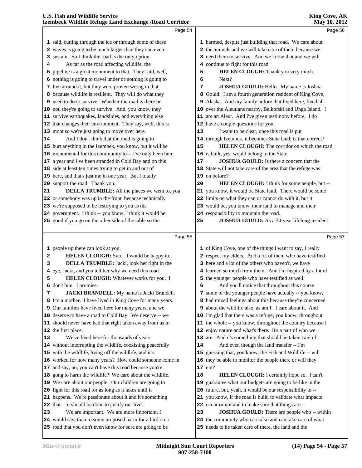|    | Izembeck Wildlife Refuge Land Exchange / Road Corridor                                                 |    | <b>May 10, 2012</b>                                                                                      |  |
|----|--------------------------------------------------------------------------------------------------------|----|----------------------------------------------------------------------------------------------------------|--|
|    | Page 54                                                                                                |    | Page 56                                                                                                  |  |
|    | 1 said, cutting through the ice or through some of these                                               |    | 1 harmed, despite just building that road. We care about                                                 |  |
|    | 2 waves is going to be much larger than they can even                                                  |    | 2 the animals and we will take care of them because we                                                   |  |
|    | 3 sustain. So I think the road is the only option.                                                     |    | 3 need them to survive. And we know that and we will                                                     |  |
| 4  | As far as the road affecting wildlife, the                                                             |    | 4 continue to fight for this road.                                                                       |  |
|    | 5 pipeline is a great monument to that. They said, well,                                               | 5  | HELEN CLOUGH: Thank you very much.                                                                       |  |
|    | 6 nothing is going to travel under or nothing is going to                                              | 6  | Next?                                                                                                    |  |
|    | 7 live around it, but they were proven wrong in that                                                   | 7  | JOSHUA GOULD: Hello. My name is Joshua                                                                   |  |
|    | 8 because wildlife is resilient. They will do what they                                                |    | 8 Gould. I am a fourth generation resident of King Cove,                                                 |  |
|    | 9 need to do to survive. Whether the road is there or                                                  |    | 9 Alaska. And my family before that lived here, lived all                                                |  |
|    | 10 not, they're going to survive. And, you know, they                                                  |    | 10 over the Aleutians nearby, Belkofski and Unga Island. I                                               |  |
|    | 11 survive earthquakes, landslides, and everything else                                                |    | 11 am an Aleut. And I've given testimony before. I do                                                    |  |
|    | 12 that changes their environment. They say, well, this is                                             |    | 12 have a couple questions for you.                                                                      |  |
|    | 13 moot so we're just going to move over here.                                                         | 13 | I want to be clear, once this road is put                                                                |  |
| 14 | And I don't think that the road is going to                                                            |    | 14 through Izembek, it becomes State land; is that correct?                                              |  |
|    | 15 hurt anything in the Izembek, you know, but it will be                                              | 15 | <b>HELEN CLOUGH:</b> The corridor on which the road                                                      |  |
|    | 16 monumental for this community to -- I've only been here                                             |    | 16 is built, yes, would belong to the State.                                                             |  |
|    | 17 a year and I've been stranded in Cold Bay and on this                                               | 17 | <b>JOSHUA GOULD:</b> Is there a concern that the                                                         |  |
|    | 18 side at least ten times trying to get in and out of                                                 |    | 18 State will not take care of the area that the refuge was                                              |  |
|    | 19 here, and that's just me in one year. But I totally                                                 |    | 19 on before?                                                                                            |  |
|    | 20 support the road. Thank you.                                                                        | 20 | HELEN CLOUGH: I think for some people, but --                                                            |  |
| 21 | <b>DELLA TRUMBLE:</b> All the places we went to, you                                                   |    | 21 you know, it would be State land. There would be some                                                 |  |
|    | 22 or somebody was up in the front, because technically                                                |    | 22 limits on what they can or cannot do with it, but it                                                  |  |
|    | 23 we're supposed to be testifying to you as the                                                       |    | 23 would be, you know, their land to manage and their                                                    |  |
|    | 24 government. I think -- you know, I think it would be                                                |    | 24 responsibility to maintain the road.                                                                  |  |
|    | 25 good if you go on the other side of the table so the                                                | 25 | <b>JOSHUA GOULD:</b> As a 34-year lifelong resident                                                      |  |
|    |                                                                                                        |    |                                                                                                          |  |
|    |                                                                                                        |    |                                                                                                          |  |
|    | Page 55                                                                                                |    | Page 57                                                                                                  |  |
|    | 1 people up there can look at you.                                                                     |    | 1 of King Cove, one of the things I want to say, I really                                                |  |
| 2  | HELEN CLOUGH: Sure. I would be happy to.                                                               |    | 2 respect my elders. And a lot of them who have testified                                                |  |
| з  | DELLA TRUMBLE: Jacki, look her right in the                                                            |    | 3 here and a lot of the others who haven't, we have                                                      |  |
|    | 4 eye, Jacki, and you tell her why we need this road.                                                  |    | 4 learned so much from them. And I'm inspired by a lot of                                                |  |
| 5  | HELEN CLOUGH: Whatever works for you. I                                                                |    | 5 the younger people who have testified as well.                                                         |  |
|    | 6 don't bite. I promise.                                                                               |    | 6 And you'll notice that throughout this course                                                          |  |
| 7  | JACKI BRANDELL: My name is Jacki Brandell.                                                             |    | 7 some of the younger people have actually -- you know,                                                  |  |
|    | 8 I'm a mother. I have lived in King Cove for many years.                                              |    | 8 had mixed feelings about this because they're concerned                                                |  |
|    | 9 Our families have lived here for many years, and we                                                  |    | 9 about the wildlife also, as am I. I care about it. And                                                 |  |
|    | 10 deserve to have a road to Cold Bay. We deserve -- we                                                |    | 10 I'm glad that there was a refuge, you know, throughout                                                |  |
|    | 11 should never have had that right taken away from us in                                              |    | 11 the whole -- you know, throughout the country because I                                               |  |
|    | 12 the first place.                                                                                    |    | 12 enjoy nature and what's there. It's a part of who we                                                  |  |
| 13 | We've lived here for thousands of years                                                                |    | 13 are. And it's something that should be taken care of.                                                 |  |
|    | 14 without interrupting the wildlife, coexisting peacefully                                            | 14 | And even though the land transfer -- I'm                                                                 |  |
|    | 15 with the wildlife, living off the wildlife, and it's                                                |    | 15 guessing that, you know, the Fish and Wildlife -- will                                                |  |
|    | 16 worked for how many years? How could someone come in                                                |    | 16 they be able to monitor the people there or will they                                                 |  |
|    | 17 and say, no, you can't have this road because you're                                                |    | $17 \text{ not?}$                                                                                        |  |
|    | 18 gong to harm the wildlife? We care about the wildlife.                                              | 18 | HELEN CLOUGH: I certainly hope so. I can't                                                               |  |
|    | 19 We care about our people. Our children are going to                                                 |    | 19 guarantee what our budgets are going to be like in the                                                |  |
|    | 20 fight for this road for as long as it takes until it                                                |    | 20 future, but, yeah, it would be our responsibility to --                                               |  |
|    | 21 happens. We're passionate about it and it's something                                               |    | 21 you know, if the road is built, to validate what impacts                                              |  |
|    | 22 that -- it should be done to justify our lives.                                                     |    | 22 occur or not and to make sure that things are --                                                      |  |
| 23 | We are important. We are more important, I<br>24 would say, than to some proposed harm for a bird on a | 23 | JOSHUA GOULD: There are people who -- within<br>24 the community who care also and can take care of what |  |

road that you don't even know for sure are going to be

needs to be taken care of there, the land and the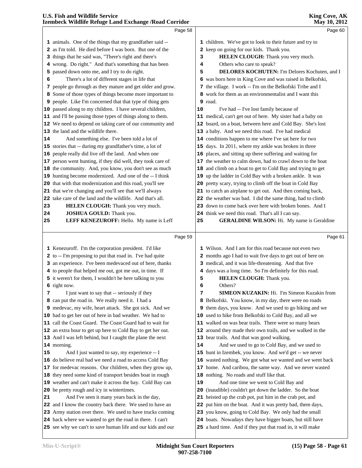|    | Izembeck whame Ketuge Land Exchange / Koad Corridor         |    | <b>NIAY 10, 2012</b>                                        |
|----|-------------------------------------------------------------|----|-------------------------------------------------------------|
|    | Page 58                                                     |    | Page 60                                                     |
|    | 1 animals. One of the things that my grandfather said --    |    | 1 children. We've got to look to their future and try to    |
|    | 2 as I'm told. He died before I was born. But one of the    |    | 2 keep on going for our kids. Thank you.                    |
|    | 3 things that he said was, "There's right and there's       | з  | HELEN CLOUGH: Thank you very much.                          |
|    | 4 wrong. Do right." And that's something that has been      | 4  | Others who care to speak?                                   |
|    | 5 passed down onto me, and I try to do right.               | 5  | DELORES KOCHUTEN: I'm Delores Kochuten, and I               |
| 6  | There's a lot of different stages in life that              |    | 6 was born here in King Cove and was raised in Belkofski,   |
|    | 7 people go through as they mature and get older and grow.  |    | 7 the village. I work -- I'm on the Belkofski Tribe and I   |
|    | 8 Some of those types of things become more important to    |    | 8 work for them as an environmentalist and I want this      |
|    | 9 people. Like I'm concerned that that type of thing gets   |    | 9 road.                                                     |
|    | 10 passed along to my children. I have several children,    | 10 | I've had -- I've lost family because of                     |
|    | 11 and I'll be passing those types of things along to them. |    | 11 medical, can't get out of here. My sister had a baby on  |
|    | 12 We need to depend on taking care of our community and    |    | 12 board, on a boat, between here and Cold Bay. She's lost  |
|    | 13 the land and the wildlife there.                         |    | 13 a baby. And we need this road. I've had medical          |
| 14 | And something else. I've been told a lot of                 |    | 14 conditions happen to me where I've sat here for two      |
|    | 15 stories that -- during my grandfather's time, a lot of   |    | 15 days. In 2011, where my ankle was broken in three        |
|    | 16 people really did live off the land. And when one        |    | 16 places, and sitting up there suffering and waiting for   |
|    | 17 person went hunting, if they did well, they took care of |    | 17 the weather to calm down, had to crawl down to the boat  |
|    | 18 the community. And, you know, you don't see as much      |    | 18 and climb on a boat to get to Cold Bay and trying to get |
|    | 19 hunting become modernized. And one of the -- I think     |    | 19 up the ladder in Cold Bay with a broken ankle. It was    |
|    | 20 that with that modernization and this road, you'll see   |    | 20 pretty scary, trying to climb off the boat in Cold Bay   |
|    | 21 that we're changing and you'll see that we'll always     |    | 21 to catch an airplane to get out. And then coming back,   |
|    | 22 take care of the land and the wildlife. And that's all.  |    | 22 the weather was bad. I did the same thing, had to climb  |
| 23 | <b>HELEN CLOUGH:</b> Thank you very much.                   |    | 23 down to come back over here with broken bones. And I     |
| 24 | <b>JOSHUA GOULD:</b> Thank you.                             |    | 24 think we need this road. That's all I can say.           |
| 25 | LEFF KENEZUROFF: Hello. My name is Leff                     | 25 | <b>GERALDINE WILSON:</b> Hi. My name is Geraldine           |
|    | Page 59                                                     |    | Page 61                                                     |
|    |                                                             |    |                                                             |
|    | 1 Kenezuroff. I'm the corporation president. I'd like       |    | 1 Wilson. And I am for this road because not even two       |
|    | 2 to -- I'm proposing to put that road in. I've had quite   |    | 2 months ago I had to wait five days to get out of here on  |
|    | 3 an experience. I've been medevaced out of here, thanks    |    | 3 medical, and it was life-threatening. And that five       |
|    | 4 to people that helped me out, got me out, in time. If     |    | 4 days was a long time. So I'm definitely for this road.    |
|    | 5 it weren't for them, I wouldn't be here talking to you    | 5  | HELEN CLOUGH: Thank you.                                    |
|    | 6 right now.                                                | 6  | Others?                                                     |
| 7  | I just want to say that -- seriously if they                | 7  | SIMEON KUZAKIN: Hi. I'm Simeon Kuzakin from                 |
|    | 8 can put the road in. We really need it. I had a           |    | 8 Belkofski. You know, in my day, there were no roads       |
|    | 9 medevac, my wife, heart attack. She got sick. And we      |    | 9 them days, you know. And we used to go hiking and we      |
|    | 10 had to get her out of here in bad weather. We had to     |    | 10 used to hike from Belkofski to Cold Bay, and all we      |
|    | 11 call the Coast Guard. The Coast Guard had to wait for    |    | 11 walked on was bear trails. There were so many bears      |
|    | 12 an extra hour to get up here to Cold Bay to get her out. |    | 12 around they made their own trails, and we walked in the  |
|    | 13 And I was left behind, but I caught the plane the next   |    | 13 bear trails. And that was good walking.                  |
|    | 14 morning.                                                 | 14 | And we used to go to Cold Bay, and we used to               |
| 15 | And I just wanted to say, my experience -- I                |    | 15 hunt in Izembek, you know. And we'd get -- we never      |
|    | 16 do believe real bad we need a road to access Cold Bay    |    | 16 wasted nothing. We got what we wanted and we went back   |
|    | 17 for medevac reasons. Our children, when they grow up,    |    | 17 home. And caribou, the same way. And we never wasted     |
|    | 18 they need some kind of transport besides boat in rough   |    | 18 nothing. No roads and stuff like that.                   |
|    | 19 weather and can't make it across the bay. Cold Bay can   | 19 | And one time we went to Cold Bay and                        |
|    | 20 be pretty rough and icy in wintertimes.                  | 20 | (inaudible) couldn't get down the ladder. So the boat       |
| 21 | And I've seen it many years back in the day,                |    | 21 heisted up the crab pot, put him in the crab pot, and    |
|    | 22 and I know the country back there. We used to have an    |    | 22 put him on the boat. And it was pretty bad, them days,   |
|    | 23 Army station over there. We used to have trucks coming   |    | 23 you know, going to Cold Bay. We only had the small       |
|    | 24 back where we wanted to get the road in there. I can't   |    | 24 boats. Nowadays they have bigger boats, but still have   |

see why we can't to save human life and our kids and our

a hard time. And if they put that road in, it will make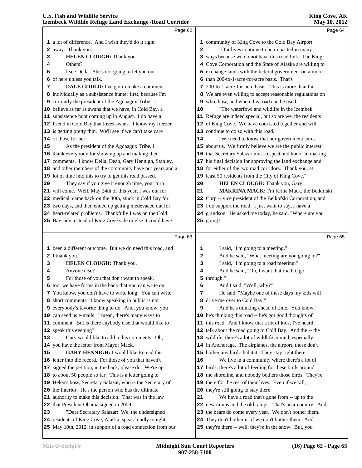|                | membeen whume netuge manu machange / nouu corrituoi                                                      |              |                                                                                                                |
|----------------|----------------------------------------------------------------------------------------------------------|--------------|----------------------------------------------------------------------------------------------------------------|
|                | Page 62                                                                                                  |              | Page 64                                                                                                        |
|                | 1 a lot of difference. And I wish they'd do it right                                                     |              | 1 community of King Cove to the Cold Bay Airport.                                                              |
|                | 2 away. Thank you.                                                                                       | $\mathbf{2}$ | "Our lives continue to be impacted in many                                                                     |
| 3              | HELEN CLOUGH: Thank you.                                                                                 |              | 3 ways because we do not have this road link. The King                                                         |
| 4              | Others?                                                                                                  |              | 4 Cove Corporation and the State of Alaska are willing to                                                      |
| 5              | I see Della. She's not going to let you out                                                              |              | 5 exchange lands with the federal government on a more                                                         |
|                | 6 of here unless you talk.                                                                               |              | 6 than 200-to-1-acre-for-acre basis. That's                                                                    |
| 7              | DALE GOULD: I've got to make a comment                                                                   |              | 7 200-to-1-acre-for-acre basis. This is more than fair.                                                        |
|                | 8 individually as a subsistence hunter first, because I'm                                                |              | 8 We are even willing to accept reasonable regulations on                                                      |
|                | 9 currently the president of the Agdaagux Tribe. I                                                       |              | 9 who, how, and when this road can be used.                                                                    |
|                | 10 believe as far as swans that we have, in Cold Bay, a                                                  | 10           | "The waterfowl and wildlife in the Izembek                                                                     |
|                | 11 subsistence hunt coming up in August. I do have a                                                     |              | 11 Refuge are indeed special, but so are we, the residents                                                     |
|                | 12 friend in Cold Bay that loves swans. I know my freezer                                                |              | 12 of King Cove. We have coexisted together and will                                                           |
|                | 13 is getting pretty thin. We'll see if we can't take care                                               |              | 13 continue to do so with this road.                                                                           |
|                | 14 of those for her.                                                                                     | 14           | "We need to know that our government cares                                                                     |
| 15             | As the president of the Agdaagux Tribe, I                                                                |              | 15 about us. We firmly believe we are the public interest                                                      |
|                | 16 thank everybody for showing up and making their                                                       |              | 16 that Secretary Salazar must respect and honor in making                                                     |
|                | 17 comments. I know Della, Dean, Gary Hennigh, Stanley,                                                  |              | 17 his final decision for approving the land exchange and                                                      |
|                | 18 and other members of the community have put years and a                                               |              | 18 for either of the two road corridors. Thank you, at                                                         |
|                | 19 lot of time into this to try to get this road passed.                                                 |              | 19 least 50 residents from the City of King Cove."                                                             |
| 20             | They say if you give it enough time, your turn                                                           | 20           | HELEN CLOUGH: Thank you, Gary.                                                                                 |
|                | 21 will come. Well, May 24th of this year, I was out for                                                 | 21           | <b>MAKRINA MACK:</b> I'm Krina Mack, the Belkofski                                                             |
|                | 22 medical, came back on the 30th, stuck in Cold Bay for                                                 |              | 22 Corp -- vice president of the Belkofski Corporation, and                                                    |
|                | 23 two days, and then ended up getting medevaced out for                                                 |              | 23 I do support the road. I just want to say, I have a                                                         |
|                | 24 heart-related problems. Thankfully I was on the Cold                                                  |              | 24 grandson. He asked me today, he said, "Where are you                                                        |
|                | 25 Bay side instead of King Cove side or else it could have                                              |              | 25 going?"                                                                                                     |
|                | Page 63                                                                                                  |              | Page 65                                                                                                        |
|                |                                                                                                          |              |                                                                                                                |
|                | 1 been a different outcome. But we do need this road, and                                                | 1            | I said, "I'm going to a meeting."                                                                              |
|                | 2 I thank you.                                                                                           | 2            | And he said, "What meeting are you going to?"                                                                  |
| 3              | HELEN CLOUGH: Thank you.                                                                                 | 3            | I said, "I'm going to a road meeting."                                                                         |
| 4              | Anyone else?                                                                                             | 4            | And he said, "Oh, I want that road to go                                                                       |
|                |                                                                                                          |              |                                                                                                                |
| 5              | For those of you that don't want to speak,                                                               |              | 5 through."                                                                                                    |
|                | 6 too, we have forms in the back that you can write on.                                                  | 6            | And I said, "Well, why?"                                                                                       |
|                | 7 You know, you don't have to write long. You can write                                                  | 7            | He said, "Maybe one of these days my kids will                                                                 |
|                | 8 short comments. I know speaking in public is not                                                       |              | 8 drive me over to Cold Bay."                                                                                  |
|                | 9 everybody's favorite thing to do. And, you know, you                                                   | 9            | And he's thinking ahead of time. You know,                                                                     |
|                | 10 can send us e-mails. I mean, there's many ways to                                                     |              | 10 he's thinking this road -- he's got good thoughts of                                                        |
|                | 11 comment. But is there anybody else that would like to                                                 |              | 11 this road. And I know that a lot of kids, I've heard,                                                       |
|                | 12 speak this evening?                                                                                   |              | 12 talk about the road going to Cold Bay. And the -- the                                                       |
|                | Gary would like to add to his comments. Oh,                                                              |              | 13 wildlife, there's a lot of wildlife around, especially                                                      |
|                | 14 you have the letter from Mayor Mack.                                                                  |              | 14 in Anchorage. The airplanes, the airport, those don't                                                       |
|                | <b>GARY HENNIGH:</b> I would like to read this                                                           |              | 15 bother any bird's habitat. They stay right there.                                                           |
|                | 16 letter into the record. For those of you that haven't                                                 | 16           | We live in a community where there's a lot of                                                                  |
|                | 17 signed the petition, in the back, please do. We're up                                                 |              | 17 birds, there's a lot of feeding for these birds around                                                      |
|                | 18 to about 50 people so far. This is a letter going to                                                  |              | 18 the shoreline, and nobody bothers those birds. They're                                                      |
|                | 19 Helen's boss, Secretary Salazar, who is the Secretary of                                              |              | 19 there for the rest of their lives. Even if we kill,                                                         |
|                | 20 the Interior. He's the person who has the ultimate                                                    |              | 20 they're still going to stay there.                                                                          |
|                | 21 authority to make this decision. That was in the law                                                  | 21           | We have a road that's gone from -- up to the                                                                   |
|                | 22 that President Obama signed in 2009.                                                                  |              | 22 new ramps and the old ramps. That's bear country. And                                                       |
| 13<br>15<br>23 | "Dear Secretary Salazar: We, the undersigned<br>24 residents of King Cove, Alaska, speak loudly tonight, |              | 23 the bears do come every year. We don't bother them.<br>24 They don't bother us if we don't bother them. And |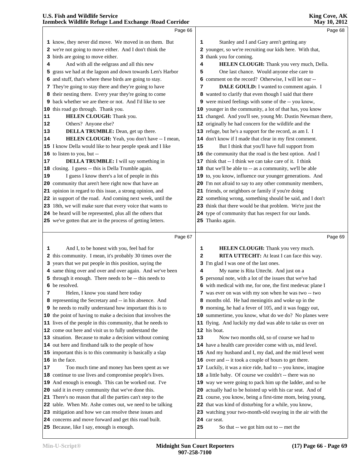|    | <b>Izembeck Wildlife Refuge Land Exchange /Road Corridor</b> | May 10, 2012 |                                                             |  |  |
|----|--------------------------------------------------------------|--------------|-------------------------------------------------------------|--|--|
|    | Page 66                                                      |              | Page 68                                                     |  |  |
|    | 1 know, they never did move. We moved in on them. But        | 1            | Stanley and I and Gary aren't getting any                   |  |  |
|    | 2 we're not going to move either. And I don't think the      |              | 2 younger, so we're recruiting our kids here. With that,    |  |  |
|    | 3 birds are going to move either.                            |              | 3 thank you for coming.                                     |  |  |
| 4  | And with all the eelgrass and all this new                   | 4            | HELEN CLOUGH: Thank you very much, Della.                   |  |  |
| 5  | grass we had at the lagoon and down towards Len's Harbor     | 5            | One last chance. Would anyone else care to                  |  |  |
| 6  | and stuff, that's where these birds are going to stay.       |              | 6 comment on the record? Otherwise, I will let our --       |  |  |
|    | 7 They're going to stay there and they're going to have      | 7            | DALE GOULD: I wanted to comment again. I                    |  |  |
|    | 8 their nesting there. Every year they're going to come      |              | 8 wanted to clarify that even though I said that there      |  |  |
|    | 9 back whether we are there or not. And I'd like to see      |              | 9 were mixed feelings with some of the -- you know,         |  |  |
|    | 10 this road go through. Thank you.                          |              | 10 younger in the community, a lot of that has, you know    |  |  |
| 11 | HELEN CLOUGH: Thank you.                                     |              | 11 changed. And you'll see, young Mr. Dustin Newman there,  |  |  |
| 12 | Others? Anyone else?                                         |              | 12 originally he had concern for the wildlife and the       |  |  |
| 13 | <b>DELLA TRUMBLE:</b> Dean, get up there.                    |              | 13 refuge, but he's a support for the record, as am I. I    |  |  |
| 14 | HELEN CLOUGH: Yeah, you don't have -- I mean,                |              | 14 don't know if I made that clear in my first comment.     |  |  |
|    | 15 I know Della would like to hear people speak and I like   | 15           | But I think that you'll have full support from              |  |  |
|    | 16 to listen to you, but --                                  |              | 16 the community that the road is the best option. And I    |  |  |
| 17 | <b>DELLA TRUMBLE:</b> I will say something in                |              | 17 think that -- I think we can take care of it. I think    |  |  |
|    | 18 closing. I guess -- this is Della Trumble again.          |              | 18 that we'll be able to -- as a community, we'll be able   |  |  |
| 19 | I guess I know there's a lot of people in this               |              | 19 to, you know, influence our younger generations. And     |  |  |
|    | 20 community that aren't here right now that have an         |              | 20 I'm not afraid to say to any other community members,    |  |  |
|    | 21 opinion in regard to this issue, a strong opinion, and    |              | 21 friends, or neighbors or family if you're doing          |  |  |
|    | 22 in support of the road. And coming next week, until the   |              | 22 something wrong, something should be said, and I don't   |  |  |
|    | 23 18th, we will make sure that every voice that wants to    |              | 23 think that there would be that problem. We're just the   |  |  |
|    | 24 be heard will be represented, plus all the others that    |              | 24 type of community that has respect for our lands.        |  |  |
|    | 25 we've gotten that are in the process of getting letters.  |              | 25 Thanks again.                                            |  |  |
|    |                                                              |              |                                                             |  |  |
|    | Page 67                                                      |              | Page 69                                                     |  |  |
| 1  | And I, to be honest with you, feel bad for                   | 1            | HELEN CLOUGH: Thank you very much.                          |  |  |
|    | 2 this community. I mean, it's probably 30 times over the    | $\mathbf{2}$ | RITA UTTECHT: At least I can face this way.                 |  |  |
|    | 3 years that we put people in this position, saying the      |              | 3 I'm glad I was one of the last ones.                      |  |  |
|    | 4 same thing over and over and over again. And we've been    | 4            | My name is Rita Uttecht. And just on a                      |  |  |
|    | 5 through it enough. There needs to be -- this needs to      |              | 5 personal note, with a lot of the issues that we've had    |  |  |
|    | 6 be resolved.                                               |              | 6 with medical with me, for one, the first medevac plane I  |  |  |
| 7  | Helen, I know you stand here today                           |              | 7 was ever on was with my son when he was two -- two        |  |  |
|    | 8 representing the Secretary and -- in his absence. And      |              | 8 months old. He had meningitis and woke up in the          |  |  |
|    | 9 he needs to really understand how important this is to     |              | 9 morning, he had a fever of 105, and it was foggy out,     |  |  |
|    | 10 the point of having to make a decision that involves the  |              | 10 summertime, you know, what do we do? No planes were      |  |  |
|    | 11 lives of the people in this community, that he needs to   |              | 11 flying. And luckily my dad was able to take us over on   |  |  |
|    | 12 come out here and visit us to fully understand the        |              | 12 his boat.                                                |  |  |
|    | 13 situation. Because to make a decision without coming      | 13           | Now two months old, so of course we had to                  |  |  |
|    | 14 out here and firsthand talk to the people of how          |              | 14 have a health care provider come with us, mid level.     |  |  |
|    | 15 important this is to this community is basically a slap   |              | 15 And my husband and I, my dad, and the mid level went     |  |  |
|    | 16 in the face.                                              |              | 16 over and -- it took a couple of hours to get there.      |  |  |
| 17 | Too much time and money has been spent as we                 |              | 17 Luckily, it was a nice ride, had to -- you know, imagine |  |  |
|    | 18 continue to use lives and compromise people's lives.      | 18           | a little baby. Of course we couldn't -- there was no        |  |  |
|    | 19 And enough is enough. This can be worked out. I've        | 19           | way we were going to pack him up the ladder, and so he      |  |  |
|    | 20 said it in every community that we've done this.          |              | 20 actually had to be hoisted up with his car seat. And of  |  |  |
|    | 21 There's no reason that all the parties can't step to the  |              | 21 course, you know, being a first-time mom, being young,   |  |  |
|    | 22 table. When Mr. Ashe comes out, we need to be talking     |              | 22 that was kind of disturbing for a while, you know,       |  |  |
|    |                                                              |              |                                                             |  |  |
|    | 23 mitigation and how we can resolve these issues and        |              | 23 watching your two-month-old swaying in the air with the  |  |  |

- concerns and move forward and get this road built.
- Because, like I say, enough is enough.

car seat.

So that -- we got him out to -- met the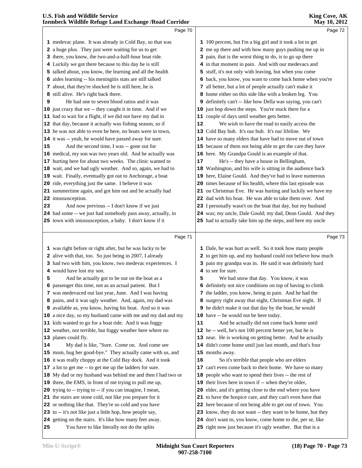|    | Page 70                                                                                                             |    | Page 72                                                                                                         |  |
|----|---------------------------------------------------------------------------------------------------------------------|----|-----------------------------------------------------------------------------------------------------------------|--|
|    | 1 medevac plane. It was already in Cold Bay, so that was                                                            |    | 1 100 percent, but I'm a big girl and it took a lot to get                                                      |  |
|    | 2 a huge plus. They just were waiting for us to get                                                                 |    | 2 me up there and with how many guys pushing me up in                                                           |  |
|    | 3 there, you know, the two-and-a-half-hour boat ride.                                                               |    | 3 pain, that is the worst thing to do, is to go up there                                                        |  |
|    | 4 Luckily we got there because to this day he is still                                                              |    | 4 in that moment in pain. And with our medevacs and                                                             |  |
|    | 5 talked about, you know, the learning and all the health                                                           |    | 5 stuff, it's not only with leaving, but when you come                                                          |  |
|    | 6 aides learning -- his meningitis stats are still talked                                                           |    | 6 back, you know, you want to come back home when you're                                                        |  |
|    | 7 about, that they're shocked he is still here, he is                                                               |    | 7 all better, but a lot of people actually can't make it                                                        |  |
|    | 8 still alive. He's right back there.                                                                               |    | 8 home either on this side like with a broken leg. You                                                          |  |
| 9  | He had one to seven blood ratios and it was                                                                         |    | 9 definitely can't -- like how Della was saying, you can't                                                      |  |
|    | 10 just crazy that we -- they caught it in time. And if we                                                          |    | 10 just hop down the steps. You're stuck there for a                                                            |  |
|    | 11 had to wait for a flight, if we did not have my dad in                                                           |    | 11 couple of days until weather gets better.                                                                    |  |
|    | 12 that day, because it actually was fishing season, so if                                                          | 12 | We wish to have the road to easily access the                                                                   |  |
|    | 13 he was not able to even be here, no boats were in town,                                                          |    | 13 Cold Bay hub. It's our hub. It's our lifeline. We                                                            |  |
|    | 14 it was -- yeah, he would have passed away for sure.                                                              |    | 14 have so many elders that have had to move out of town                                                        |  |
| 15 | And the second time, I was -- gone out for                                                                          |    | 15 because of them not being able to get the care they have                                                     |  |
|    | 16 medical, my son was two years old. And he actually was                                                           |    | 16 here. My Grandpa Gould is an example of that.                                                                |  |
|    | 17 hurting here for about two weeks. The clinic wanted to                                                           | 17 | He's -- they have a house in Bellingham,                                                                        |  |
|    | 18 wait, and we had ugly weather. And so, again, we had to                                                          |    | 18 Washington, and his wife is sitting in the audience back                                                     |  |
|    | 19 wait. Finally, eventually got out to Anchorage, a boat                                                           |    | 19 here, Elaine Gould. And they've had to leave numerous                                                        |  |
|    | 20 ride, everything just the same. I believe it was                                                                 |    | 20 times because of his health, where this last episode was                                                     |  |
|    | 21 summertime again, and got him out and he actually had                                                            |    | 21 on Christmas Eve. He was hurting and luckily we have my                                                      |  |
|    | 22 intussusception.                                                                                                 |    | 22 dad with his boat. He was able to take them over. And                                                        |  |
| 23 | And now previous -- I don't know if we just                                                                         |    | 23 I personally wasn't on the boat that day, but my husband                                                     |  |
|    | 24 had some -- we just had somebody pass away, actually, in                                                         |    | 24 was; my uncle, Dale Gould; my dad, Dean Gould. And they                                                      |  |
|    | 25 town with intussusception, a baby. I don't know if it                                                            |    | 25 had to actually take him up the steps, and here my uncle                                                     |  |
|    |                                                                                                                     |    |                                                                                                                 |  |
|    |                                                                                                                     |    |                                                                                                                 |  |
|    | Page 71                                                                                                             |    | Page 73                                                                                                         |  |
|    | 1 was right before or right after, but he was lucky to be                                                           |    | 1 Dale, he was hurt as well. So it took how many people                                                         |  |
|    | 2 alive with that, too. So just being in 2007, I already                                                            |    | 2 to get him up, and my husband could not believe how much                                                      |  |
|    | 3 had two with him, you know, two medevac experiences. I                                                            |    | 3 pain my grandpa was in. He said it was definitely hard                                                        |  |
|    | 4 would have lost my son.                                                                                           |    | 4 to see for sure.                                                                                              |  |
| 5  | And he actually got to be out on the boat as a                                                                      | 5  | We had snow that day. You know, it was                                                                          |  |
|    | 6 passenger this time, not as an actual patient. But I                                                              |    | 6 definitely not nice conditions on top of having to climb                                                      |  |
|    | 7 was medevaced out last year, June. And I was having                                                               |    | 7 the ladder, you know, being in pain. And he had the                                                           |  |
|    | 8 pains, and it was ugly weather. And, again, my dad was                                                            |    | 8 surgery right away that night, Christmas Eve night. If                                                        |  |
|    | 9 available as, you know, having his boat. And so it was                                                            |    | 9 he didn't make it out that day by the boat, he would                                                          |  |
|    | 10 a nice day, so my husband came with me and my dad and my                                                         |    | 10 have -- he would not be here today.                                                                          |  |
|    | 11 kids wanted to go for a boat ride. And it was foggy                                                              | 11 | And he actually did not come back home until                                                                    |  |
|    | 12 weather, not terrible, but foggy weather here where no                                                           |    | 12 he -- well, he's not 100 percent better yet, but he is                                                       |  |
|    | 13 planes could fly.                                                                                                |    | 13 near. He is working on getting better. And he actually                                                       |  |
|    | My dad is like, "Sure. Come on. And come see                                                                        |    | 14 didn't come home until just last month, and that's four                                                      |  |
|    | 15 mom, hug her good-bye." They actually came with us, and                                                          |    | 15 months away.                                                                                                 |  |
|    | 16 it was really choppy at the Cold Bay dock. And it took                                                           | 16 | So it's terrible that people who are elders                                                                     |  |
|    | 17 a lot to get me -- to get me up the ladders for sure.                                                            |    | 17 can't even come back to their home. We have so many                                                          |  |
|    | 18 My dad or my husband was behind me and then I had two or                                                         |    | 18 people who want to spend their lives -- the rest of<br>19 their lives here in town if -- when they're older, |  |
|    | 19 three, the EMS, in front of me trying to pull me up,<br>20 trying to -- trying to -- if you can imagine, I mean, |    | 20 elder, and it's getting close to the end where you have                                                      |  |
|    | 21 the stairs are stone cold, not like you prepare for it                                                           |    | 21 to have the hospice care, and they can't even have that                                                      |  |
|    | 22 or nothing like that. They're so cold and you have                                                               |    | 22 here because of not being able to get out of town. You                                                       |  |
|    | 23 to -- it's not like just a little hop, how people say,                                                           |    | 23 know, they do not want -- they want to be home, but they                                                     |  |
| 14 | 24 getting on the stairs. It's like how many feet away.                                                             |    | 24 don't want to, you know, come home to die, per se, like                                                      |  |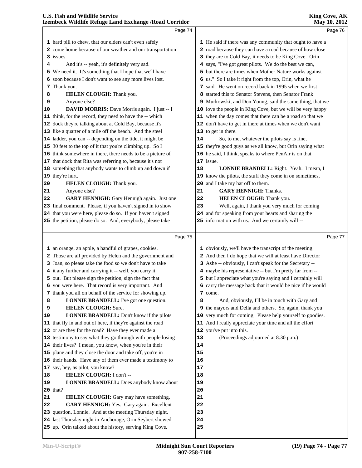|    | Page 74                                                                                                              |                  | Page 76                                                    |  |
|----|----------------------------------------------------------------------------------------------------------------------|------------------|------------------------------------------------------------|--|
|    | 1 hard pill to chew, that our elders can't even safely                                                               |                  | 1 He said if there was any community that ought to have a  |  |
|    | 2 come home because of our weather and our transportation                                                            |                  | 2 road because they can have a road because of how close   |  |
|    | 3 issues.                                                                                                            |                  | 3 they are to Cold Bay, it needs to be King Cove. Orin     |  |
| 4  | And it's -- yeah, it's definitely very sad.                                                                          |                  | 4 says, "I've got great pilots. We do the best we can,     |  |
|    | 5 We need it. It's something that I hope that we'll have                                                             |                  | 5 but there are times when Mother Nature works against     |  |
|    | 6 soon because I don't want to see any more lives lost.                                                              |                  | 6 us." So I take it right from the top, Orin, what he      |  |
|    | 7 Thank you.                                                                                                         |                  | 7 said. He went on record back in 1995 when we first       |  |
| 8  | <b>HELEN CLOUGH:</b> Thank you.                                                                                      |                  | 8 started this to Senator Stevens, then Senator Frank      |  |
| 9  | Anyone else?                                                                                                         |                  | 9 Murkowski, and Don Young, said the same thing, that we   |  |
| 10 | <b>DAVID MORRIS:</b> Dave Morris again. I just -- I                                                                  |                  | 10 love the people in King Cove, but we will be very happy |  |
|    | 11 think, for the record, they need to have the -- which                                                             |                  | 11 when the day comes that there can be a road so that we  |  |
|    | 12 dock they're talking about at Cold Bay, because it's                                                              |                  | 12 don't have to get in there at times when we don't want  |  |
|    | 13 like a quarter of a mile off the beach. And the steel                                                             |                  | 13 to get in there.                                        |  |
|    | 14 ladder, you can -- depending on the tide, it might be                                                             | 14               | So, to me, whatever the pilots say is fine,                |  |
|    | 15 30 feet to the top of it that you're climbing up. So I                                                            |                  | 15 they're good guys as we all know, but Orin saying what  |  |
|    | 16 think somewhere in there, there needs to be a picture of                                                          |                  | 16 he said, I think, speaks to where PenAir is on that     |  |
|    | 17 that dock that Rita was referring to, because it's not                                                            |                  | 17 issue.                                                  |  |
|    | 18 something that anybody wants to climb up and down if                                                              | 18               | <b>LONNIE BRANDELL:</b> Right. Yeah. I mean, I             |  |
|    | 19 they're hurt.                                                                                                     |                  | 19 know the pilots, the stuff they come in on sometimes,   |  |
| 20 | HELEN CLOUGH: Thank you.                                                                                             |                  | 20 and I take my hat off to them.                          |  |
| 21 | Anyone else?                                                                                                         | 21               | <b>GARY HENNIGH:</b> Thanks.                               |  |
| 22 | GARY HENNIGH: Gary Hennigh again. Just one                                                                           | 22               | <b>HELEN CLOUGH:</b> Thank you.                            |  |
|    | 23 final comment. Please, if you haven't signed in to show                                                           | 23               | Well, again, I thank you very much for coming              |  |
|    | 24 that you were here, please do so. If you haven't signed                                                           |                  | 24 and for speaking from your hearts and sharing the       |  |
|    | 25 the petition, please do so. And, everybody, please take                                                           |                  | 25 information with us. And we certainly will --           |  |
|    |                                                                                                                      |                  |                                                            |  |
|    |                                                                                                                      |                  |                                                            |  |
|    | Page 75                                                                                                              |                  | Page 77                                                    |  |
|    |                                                                                                                      |                  |                                                            |  |
|    | 1 an orange, an apple, a handful of grapes, cookies.                                                                 |                  | 1 obviously, we'll have the transcript of the meeting.     |  |
|    | 2 Those are all provided by Helen and the government and                                                             |                  | 2 And then I do hope that we will at least have Director   |  |
|    | 3 Joan, so please take the food so we don't have to take                                                             |                  | 3 Ashe -- obviously, I can't speak for the Secretary --    |  |
|    | 4 it any further and carrying it -- well, you carry it                                                               |                  | 4 maybe his representative -- but I'm pretty far from --   |  |
|    | 5 out. But please sign the petition, sign the fact that                                                              |                  | 5 but I appreciate what you're saying and I certainly will |  |
|    | 6 you were here. That record is very important. And                                                                  |                  | 6 carry the message back that it would be nice if he would |  |
| 8  | 7 thank you all on behalf of the service for showing up.<br><b>LONNIE BRANDELL:</b> I've got one question.           | 8                | 7 come.<br>And, obviously, I'll be in touch with Gary and  |  |
| 9  | <b>HELEN CLOUGH: Sure.</b>                                                                                           |                  | 9 the mayors and Della and others. So, again, thank you    |  |
| 10 | LONNIE BRANDELL: Don't know if the pilots                                                                            |                  | 10 very much for coming. Please help yourself to goodies.  |  |
|    | 11 that fly in and out of here, if they're against the road                                                          |                  | 11 And I really appreciate your time and all the effort    |  |
|    | 12 or are they for the road? Have they ever made a                                                                   |                  | 12 you've put into this.                                   |  |
|    | 13 testimony to say what they go through with people losing                                                          | 13               | (Proceedings adjourned at 8:30 p.m.)                       |  |
|    | 14 their lives? I mean, you know, when you're in their                                                               | 14               |                                                            |  |
|    | 15 plane and they close the door and take off, you're in                                                             | 15               |                                                            |  |
|    | 16 their hands. Have any of them ever made a testimony to                                                            | 16               |                                                            |  |
|    | 17 say, hey, as pilot, you know?                                                                                     | 17               |                                                            |  |
| 18 | HELEN CLOUGH: I don't --                                                                                             | 18               |                                                            |  |
| 19 | <b>LONNIE BRANDELL:</b> Does anybody know about                                                                      | 19               |                                                            |  |
|    | <b>20</b> that?                                                                                                      | 20               |                                                            |  |
| 21 | HELEN CLOUGH: Gary may have something.                                                                               | 21               |                                                            |  |
| 22 | GARY HENNIGH: Yes. Gary again. Excellent                                                                             | 22               |                                                            |  |
|    | 23 question, Lonnie. And at the meeting Thursday night,                                                              | 23               |                                                            |  |
|    | 24 last Thursday night in Anchorage, Orin Seybert showed<br>25 up. Orin talked about the history, serving King Cove. | 24<br>${\bf 25}$ |                                                            |  |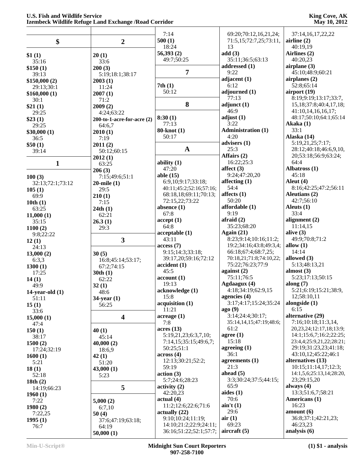|                   |                                 | 7:14                             | 69:20;70:12,16,21,24;                 | 37:14,16,17,22,22                       |
|-------------------|---------------------------------|----------------------------------|---------------------------------------|-----------------------------------------|
| \$                | $\boldsymbol{2}$                | 500(1)                           | 71:5,15;72:7,25;73:11,                | airline $(2)$                           |
|                   |                                 | 18:24                            | 13                                    | 40:19.19                                |
| \$1(1)            | 20(1)                           | 56,393(2)                        | add(3)                                | Airlines (2)                            |
| 35:16             | 33:6                            | 49:7;50:25                       | 35:11;36:5;63:13                      | 40:20,23                                |
| \$150(1)          | 200(3)                          |                                  | addressed (1)                         | airplane $(3)$                          |
| 39:13             | 5:19;18:1;38:17                 | $\overline{7}$                   | 9:22                                  | 45:10;48:9;60:21                        |
| \$150,000(2)      | 2003(1)                         |                                  | adjacent (1)                          | airplanes (2)                           |
| 29:13;30:1        | 11:24                           | 7th(1)                           | 6:12                                  | 52:8;65:14                              |
| \$160,000(1)      | 2007(1)                         | 50:12                            | adjourned (1)                         | airport $(19)$                          |
| 30:1              | 71:2                            |                                  | 77:13                                 | 8:19;9:19;13:17;33:7,                   |
| \$21(1)           | 2009(2)                         | 8                                | adjunct(1)                            | 15, 18; 37: 8; 40: 4, 17, 18;           |
| 29:25             | 4:24;63:22                      |                                  | 46:9                                  | 41:10,14,16,16,17;                      |
| \$23(1)           | $200$ -to-1-acre-for-acre $(2)$ | 8:30(1)                          | adjust(1)                             | 48:17;50:10;64:1;65:14                  |
| 29:25             | 64:6,7                          | 77:13                            | 3:22                                  | Akaka (1)<br>33:1                       |
| \$30,000(1)       | 2010(1)                         | 80-knot (1)<br>50:17             | <b>Administration (1)</b><br>4:20     | Alaska (14)                             |
| 36:5              | 7:19                            |                                  | advisers (1)                          | 5:19,21,25;7:17;                        |
| \$50(1)           | 2011(2)                         | $\mathbf{A}$                     | 25:3                                  | 28:12;40:18;46:6,9,10,                  |
| 39:14             | 50:12;60:15                     |                                  | Affairs (2)                           | 20;53:18;56:9;63:24;                    |
| $\mathbf{1}$      | 2012(1)<br>63:25                | ability $(1)$                    | 16:22;25:3                            | 64:4                                    |
|                   | 206(3)                          | 47:20                            | affect $(3)$                          | Albatross (1)                           |
| 100(3)            | 7:15;49:6;51:1                  | able $(15)$                      | 9:24;47:20,20                         | 45:18                                   |
| 32:13;72:1;73:12  | $20$ -mile $(1)$                | 6:9,10;9:17;33:18;               | affecting $(1)$                       | Aleut $(4)$                             |
| 105(1)            | 29:5                            | 40:11;45:2;52:16;57:16;          | 54:4                                  | 8:16;42:25;47:2;56:11                   |
| 69:9              | 210(1)                          | 68:18,18;69:11;70:13;            | affects $(1)$                         | Aleutians (2)                           |
| 10th(1)           | 7:15                            | 72:15,22;73:22                   | 50:20                                 | 42:7;56:10                              |
| 63:25             | 24th(1)                         | absence $(1)$                    | affordable (1)                        | Aleuts $(1)$                            |
| 11,000(1)         | 62:21                           | 67:8                             | 9:19                                  | 33:4                                    |
| 35:15             | 26.3(1)                         | accept(1)<br>64:8                | afraid $(2)$<br>35:23;68:20           | alignment $(2)$<br>11:14,15             |
| 1100(2)           | 29:3                            | acceptable(1)                    | Again $(21)$                          | alive $(3)$                             |
| 9:8;22:22         | $\mathbf{3}$                    | 43:11                            | 8:23;9:14;10:16;11:2;                 | 49:9;70:8;71:2                          |
| 12(1)<br>24:13    |                                 | access(7)                        | 19:2;34:16;43:8;49:3,4;               | allow $(1)$                             |
| 13,000(2)         | 30(5)                           | 9:15;14:3;33:18;                 | 66:18;67:4;68:7,25;                   | 14:14                                   |
| 6:3,3             | 16:8;45:14;53:17;               | 39:17,20;59:16;72:12             | 70:18,21;71:8;74:10,22;               | allowed (3)                             |
| 1300(1)           | 67:2;74:15                      | accident(1)                      | 75:22;76:23;77:9                      | 5:13;48:13,21                           |
| 17:25             | 30th(1)                         | 45:5                             | against $(2)$                         | almost $(3)$                            |
| 14(1)             | 62:22                           | account(1)                       | 75:11;76:5                            | 5:23;17:13;50:15                        |
| 49:9              | 32(1)                           | 19:13                            | Agdaagux (4)                          | along $(7)$                             |
| 14-year-old $(1)$ | 48:6                            | acknowledge (1)                  | 4:18;34:19;62:9,15                    | 5:21;6:19;15:21;38:9,                   |
| 51:11             | $34$ -year $(1)$                | 15:8                             | agencies (4)<br>3:17;4:17;15:24;35:24 | 12;58:10,11<br>alongside $(1)$          |
| 15(1)             | 56:25                           | acquisition (1)<br>11:21         | ago(9)                                | 6:15                                    |
| 33:6              | $\overline{\mathbf{4}}$         | acreage(1)                       | 3:14;24:4;30:17;                      | alternative (29)                        |
| 15,000(1)<br>47:4 |                                 | 7:8                              | 35:14,14,15;47:19;48:6;               | 7:16;10:18;11:3,14,                     |
| 150(1)            | 40(1)                           | acres(13)                        | 61:2                                  | 20, 23, 24; 12: 17, 18; 13: 9;          |
| 38:17             | 45:14                           | 5:19,21,23;6:3,7,10;             | agree $(1)$                           | 14:1;15:6,7;16:2;22:25;                 |
| 1500(2)           | 40,000(2)                       | 7:14,15;35:15;49:6,7;            | 15:18                                 | 23:4,4;25:9,21,22;28:21;                |
| 17:24;32:19       | 18:6,9                          | 50:25;51:1                       | agreeing $(1)$                        | 29:19;31:23,23;41:18;                   |
| 1600(1)           | 42(1)                           | across(4)                        | 36:1                                  | 43:10,12;45:22;46:1                     |
| 5:21              | 51:20                           | 12:13;30:21;52:2;                | agreements (1)                        | alternatives (13)                       |
| 18(1)             | 43,000(1)                       | 59:19                            | 21:3                                  | 10:15;11:14,17;12:3;                    |
| 52:18             | 5:23                            | action(3)                        | ahead $(5)$<br>3:3;30:24;37:5;44:15;  | 14:1,5,6;25:13,14;28:20,<br>23;29:15,20 |
| 18th $(2)$        |                                 | 5:7;24:6;28:23<br>activity $(2)$ | 65:9                                  | always $(4)$                            |
| 14:19;66:23       | 5                               | 42:20,23                         | aides $(1)$                           | 13:3;51:6,7;58:21                       |
| 1960(1)           |                                 | actual(4)                        | 70:6                                  | Americans (1)                           |
| 7:22<br>1980(2)   | 5,000(2)<br>6:7,10              | 11:2;12:6;22:6;71:6              | $\sin' t(1)$                          | 16:23                                   |
| 7:22,25           | 50(4)                           | actually $(22)$                  | 29:6                                  | amount(6)                               |
| 1995(1)           | 37:6;47:19;63:18;               | 9:10:10:24:11:19:                | air(1)                                | 36:8;37:1;42:21,23;                     |
| 76:7              | 64:19                           | 14:10;21:2;22:9;24:11;           | 69:23                                 | 46:23,23                                |
|                   | 50,000(1)                       | 36:16;51:22;52:1;57:7;           | aircraft $(5)$                        | analysis (6)                            |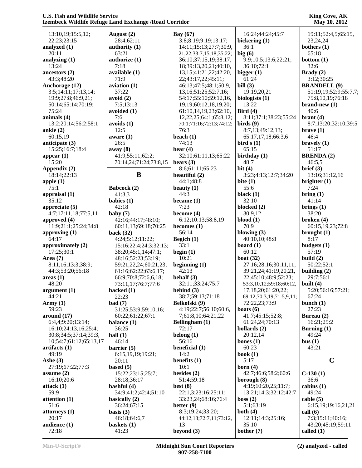| 13:10,19;15:5,12;      | August $(2)$           | Bay $(67)$                     | 16:24;44:24;45:7                  | 19:11;52:4,5;65:15,   |
|------------------------|------------------------|--------------------------------|-----------------------------------|-----------------------|
| 22:23;23:15            | 28:4;62:11             | 3:8;8:19;9:19;13:17;           | bickering (1)                     | 23, 24, 24            |
| analyzed (1)           | authority (1)          | 14:11;15:13;27:7;30:9,         | 36:1                              | bothers $(1)$         |
| 20:11                  | 63:21                  | 21, 22; 33: 7, 15, 18; 35: 22; | big(6)                            | 65:18                 |
| analyzing (1)          | authorize (1)          | 36:10;37:15,19;38:17,          | 9:9;10:5;13:6;22:21;              | bottom $(1)$          |
| 13:24                  | 7:18                   | 18;39:13,20,21;40:10,          | 36:10;72:1                        | 32:6                  |
| ancestors $(2)$        | available (1)          | 13, 15; 41: 21, 22; 42: 20,    | bigger $(1)$                      | Brady (2)             |
| 43:3;48:20             | 71:9                   | 22;43:17,22;45:11;             | 61:24                             | 3:12;30:25            |
| Anchorage (12)         | $a$ viation $(1)$      | 46:13;47:5;48:1;50:9,          | bill $(3)$                        | <b>BRANDELL (9)</b>   |
| 3:5;14:11;17:13,14;    | 37:22                  | 13, 16; 51: 25; 52: 7, 16;     | 19:19,20,21                       | 51:19,19;52:9;55:7,7; |
| 19:9;27:8;46:9,21;     | avoid (2)              | 54:17;55:10;59:12,16,          | biologists $(1)$                  | 75:8,10,19;76:18      |
| 50:14;65:14;70:19;     | 7:5;13:13              | 19, 19; 60: 12, 18, 19, 20;    | 13:22                             | $brand-new(1)$        |
| 75:24                  | avoided (1)            | 61:10,14,19,23;62:10,          | Bird $(4)$                        | 40:6                  |
| animals (4)            | 7:6                    | 12, 22, 25; 64: 1; 65: 8, 12;  | 8:11;37:1;38:23;55:24             | brant $(4)$           |
| 13:2;20:14;56:2;58:1   | avoids(1)              | 70:1;71:16;72:13;74:12;        | $\boldsymbol{\text{birds}}$ $(9)$ | 8:7;13:20;32:10;39:5  |
| ankle $(2)$            | 12:5                   | 76:3                           | 8:7,13;49:12,13;                  | $\text{brace} (1)$    |
| 60:15,19               | aware $(1)$            | beach $(1)$                    | 65:17,17,18;66:3,6                | 46:4                  |
| anticipate (3)         | 26:5                   | 74:13                          | bird's $(1)$                      | bravely $(1)$         |
| 15:25;16:7;18:4        |                        |                                | 65:15                             | 51:17                 |
|                        | away (8)               | bear $(4)$                     |                                   |                       |
| appear $(1)$           | 41:9;55:11;62:2;       | 32:10;61:11,13;65:22           | birthday $(1)$                    | <b>BRENDA(2)</b>      |
| 15:20                  | 70:14,24;71:24;73:8,15 | bears $(3)$                    | 48:7                              | 46:5,5                |
| Appendix (2)           |                        | 8:6;61:11;65:23                | bit $(4)$                         | brief (3)             |
| 18:14;22:13            | B                      | beautiful (2)                  | 3:23;4:13;12:7;34:20              | 13:16;31:12,16        |
| apple $(1)$            |                        | 44:1;48:8                      | bite $(1)$                        | brighter $(1)$        |
| 75:1                   | Babcock (2)            | beauty $(1)$                   | 55:6                              | 7:24                  |
| appraisal $(1)$        | 41:3,3                 | 44:3                           | black $(1)$                       | $\text{bring} (1)$    |
| 35:12                  | babies $(1)$           | became $(1)$                   | 32:10                             | 41:14                 |
| appreciate $(5)$       | 42:18                  | 7:23                           | blocked (2)                       | brings $(1)$          |
| 4:7;17:11,18;77:5,11   | baby $(7)$             | become $(4)$                   | 30:9,12                           | 38:20                 |
| approved $(4)$         | 42:16;44:17;48:10;     | 6:12;10:13;58:8,19             | $blood (1)$                       | broken $(4)$          |
| 11:9;21:1;25:24;34:8   | 60:11,13;69:18;70:25   | becomes $(1)$                  | 70:9                              | 60:15,19,23;72:8      |
| approving $(1)$        | back $(32)$            | 56:14                          | blowing $(3)$                     | brought $(1)$         |
| 64:17                  | 4:24;5:12;11:22;       | Begich (1)                     | 40:10,10;48:8                     | 8:17                  |
| approximately (2)      | 15:16;22:4;24:3;32:13; | 33:1                           | board $(1)$                       | budgets $(1)$         |
| 17:25;30:1             | 38:20;45:1,14;47:1;    | begin $(1)$                    | 60:12                             | 57:19                 |
| Area $(7)$             | 48:16;52:23;53:19;     | 10:21                          | boat $(32)$                       | build $(2)$           |
| 8:11,16;13:3;38:9;     | 59:21,22,24;60:21,23;  |                                | 27:16;28:16;30:11,11;             | 50:22;52:1            |
|                        |                        | beginning $(1)$<br>42:13       | 39:21,24;41:19,20,21,             |                       |
| 44:3;53:20;56:18       | 61:16;62:22;63:6,17;   |                                |                                   | building $(2)$        |
| areas(1)               | 66:9;70:8;72:6,6,18;   | behalf $(3)$                   | 22;45:10;48:9;52:23;              | 29:7;56:1             |
| 48:20                  | 73:11,17;76:7;77:6     | 32:11;33:24;75:7               | 53:3,10,12;59:18;60:12,           | built $(4)$           |
| argument (1)           | backed (1)             | behind $(3)$                   | 17,18,20;61:20,22;                | 5:20;56:16;57:21;     |
| 44:21                  | 22:23                  | 38:7;59:13;71:18               | 69:12;70:3,19;71:5,9,11;          | 67:24                 |
| Army $(1)$             | bad(7)                 | Belkofski (9)                  | 72:22,23;73:9                     | bunch $(1)$           |
| 59:23                  | 31:25;53:9;59:10,16;   | 4:19;22:7;56:10;60:6,          | boats $(6)$                       | 27:23                 |
| around $(17)$          | 60:22;61:22;67:1       | 7;61:8,10;64:21,22             | 41:7;45:15;52:8;                  | Bureau (2)            |
| 6:4,4;9:20;13:14;      | balance (1)            | Bellingham (1)                 | 61:24,24;70:13                    | 16:21;25:2            |
| 16:10;24:13,16;25:4;   | 36:25                  | 72:17                          | bollards $(2)$                    | Burning $(1)$         |
| 30:8;34:5;37:14;39:3,  | ball(1)                | belong $(1)$                   | 20:12,14                          | 49:24                 |
| 10;54:7;61:12;65:13,17 | 46:14                  | 56:16                          | bones $(1)$                       | bus(1)                |
| artifacts (1)          | barrier $(5)$          | beneficial (1)                 | 60:23                             | 43:21                 |
| 49:19                  | 6:15,19,19;19:21;      | 14:2                           | book $(1)$                        |                       |
| Ashe $(3)$             | 20:11                  | benefits $(1)$                 | 5:17                              | $\mathbf C$           |
| 27:19;67:22;77:3       | based $(5)$            | 10:1                           | born $(4)$                        |                       |
| assume $(2)$           | 15:22;23:15;25:7;      | besides $(2)$                  | 42:7;46:6;58:2;60:6               | $C-130(1)$            |
|                        |                        |                                |                                   | 36:6                  |
| 16:10:20:6             | 28:18;36:17            | 51:4;59:18                     | borough (8)                       |                       |
| attack(1)              | bashful $(4)$          | best $(8)$                     | 4:19;10:20,25;11:7;               | cabins $(1)$          |
| 59:9                   | 34:9;41:2;42:4;51:10   | 22:1,3;23:16;25:11;            | 13:21;14:3;32:12;42:7             | 49:24                 |
| attention (1)          | basically $(2)$        | 33:23,24;68:16;76:4            | boss $(2)$                        | cable (5)             |
| 51:6                   | 36:24;67:15            | better $(9)$                   | 5:1;63:19                         | 6:15,19;19:16,21,21   |
| attorneys (1)          | basis $(3)$            | 8:3;19:24;33:20;               | both $(4)$                        | call $(6)$            |
| 20:17                  | 46:18;64:6,7           | 44:12,13;72:7,11;73:12,        | 12:11;14:3;25:16;                 | 7:3;15:11;40:16;      |
| audience (1)           | baskets $(1)$          | 13                             | 35:10                             | 43:20;45:19;59:11     |
| 72:18                  | 41:23                  | beyond $(3)$                   | bother $(7)$                      | called $(1)$          |
|                        |                        |                                |                                   |                       |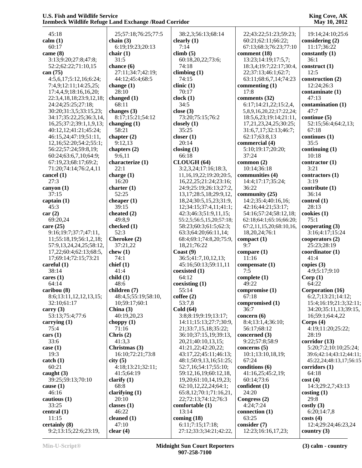| 45:18                    | 25;57:18;76:25;77:5 | 38:2,3;56:13;68:14            | 22;43:22;51:23;59:23;    | 19:14;24:10;25:6        |
|--------------------------|---------------------|-------------------------------|--------------------------|-------------------------|
| calm(1)                  | chain $(3)$         | clearly $(1)$                 | 60:21;62:11;66:22;       | considering (2)         |
| 60:17                    | 6:19:19:23;20:13    | 7:14                          | 67:13;68:3;76:23;77:10   | 11:17;36:22             |
| came $(8)$               | chair $(1)$         | climb(5)                      | comment (18)             | constantly $(1)$        |
| 3:13;9:20;27:8;47:8;     | 31:5                | 60:18,20,22;73:6;             | 13:23;14:19;17:5,7;      | 36:1                    |
| 52:2;62:22;71:10,15      | chance (6)          | 74:18                         | 18:3,4;19:7;22:17;30:4,  | construct $(1)$         |
| can $(75)$               | 27:11;34:7;42:19;   | climbing $(1)$                | 22;37:13;46:1;62:7;      | 12:5                    |
| 4:5,6,17;5:12,16;6:24;   | 44:12;45:4;68:5     | 74:15                         | 63:11;68:6,7,14;74:23    | construction (2)        |
| 7:4,9;12:11;14:25,25;    | change $(1)$        | clinic(1)                     | commenting $(1)$         | 12:24;26:3              |
| 17:4,4,9;18:16,16,20;    | 28:10               | 70:17                         | 17:8                     | contaminate (1)         |
| 22:3,4,18,18;23:9,12,18; | changed (1)         | clock(1)                      | comments (32)            | 47:13                   |
| 24:24;25:25;27:18;       | 68:11               | 34:5                          | 6:17;14:21,22;15:2,4,    | contamination (1)       |
| 30:20;31:3,5;33:15,23;   | changes (3)         | close $(3)$                   | 5,8,9,16,20,22;17:22,24; | 47:7                    |
| 34:17;35:22,25;36:3,14,  | 8:17;15:21;54:12    | 73:20;75:15;76:2              | 18:5,6,23;19:14;21:11,   | continue $(5)$          |
| 16,25;37:2;39:1,1,9,13;  | changing $(1)$      | closely $(1)$                 | 17,21,23,24,25;30:25;    | 52:15;56:4;64:2,13;     |
| 40:12,12;41:21;45:24;    | 58:21               | 35:25                         | 31:6,7,17;32:13;46:7;    | 67:18                   |
| 46:15,24;47:19;51:11,    | chapter $(2)$       | closer $(1)$                  | 62:17;63:8,13            | continues (1)           |
| 12,16;52:20;54:2;55:1;   | 9:12,13             | 20:14                         | commercial (4)           | 35:5                    |
| 56:22;57:24;59:8,19;     | chapters (2)        | closing $(1)$                 | 5:10;19:17;20:20;        | continuing $(1)$        |
| 60:24;63:6,7,10;64:9;    | 9:6,11              | 66:18                         | 37:24                    | 10:18                   |
| 67:19,23;68:17;69:2;     | characterize (1)    | CLOUGH (64)                   | common $(2)$             | contractor $(1)$        |
| 71:20;74:14;76:2,4,11    | 22:1                | 3:2,3,24;17:16;18:3,          | 10:14;36:18              | 3:21                    |
| cancel (1)               | charge $(1)$        | 11,16,19,22;19:20;20:5,       | communities (4)          | contractors (1)         |
| 27:3                     | 16:20               | 16, 22, 25; 21: 24; 23: 16;   | 14:4;17:17;35:24;        | 3:19                    |
| canyon $(1)$             | charter $(1)$       | 24:9;25:19;26:13;27:2,        | 36:22                    | contribute (1)          |
| 37:15                    | 52:25               | 13, 17; 28: 5, 18; 29: 9, 12, | community (25)           | 36:14                   |
| captain $(1)$            | cheaper $(1)$       | 18, 24; 30: 5, 15, 23; 31: 9, | 14:2;35:4;40:16,16;      | control(1)              |
| 45:3                     | 39:15               | 12;34:15;37:4,11;41:1;        | 42:16;44:21;53:17;       | 28:13                   |
| car(2)                   | cheated (2)         | 42:3;46:3;51:9,11,15;         | 54:16;57:24;58:12,18;    | cookies (1)             |
| 69:20,24                 | 49:8,9              | 55:2,5;56:5,15,20;57:18;      | 62:18;64:1;65:16;66:20;  | 75:1                    |
| care $(25)$              | checked (1)         | 58:23;60:3;61:5;62:3;         | 67:2,11,15,20;68:10,16,  | cooperating $(3)$       |
| 9:16;19:7;37:7;47:11,    | 52:3                | 63:3;64:20;66:11,14;          | 18,20,24;76:1            | 3:16;4:17;15:24         |
| 11;55:18,19;56:1,2,18;   | Cherokee (2)        | 68:4;69:1;74:8,20;75:9,       | compact(1)               | cooperators (2)         |
| 57:9,13,24,24,25;58:12,  | 37:21,22            | 18,21;76:22                   | 9:7                      | 25:23;28:19             |
| 17,22;60:4;62:13;68:5,   | chew $(1)$          | $\text{Coast}(9)$             | compare $(1)$            | coordinator(1)          |
| 17;69:14;72:15;73:21     | 74:1                | 36:5;41:7,10,12,13;           | 11:16                    | 41:4                    |
| careful $(1)$            | chief(1)            | 45:16:50:13:59:11,11          | compensate (1)           | copies $(3)$            |
| 38:14                    | 41:4                | coexisted (1)                 | 7:5                      | 4:9:5:17:9:10           |
| cares $(1)$              | child(1)            | 64:12                         | complete $(1)$           | Corp(1)                 |
| 64:14                    | 48:6                | coexisting (1)                | 49:22                    | 64:22                   |
| caribou (8)              | children (7)        | 55:14                         | compromise (1)           | Corporation (16)        |
| 8:6;13:11,12,12,13,15;   | 48:4,5;55:19;58:10, | cofree(2)                     | 67:18                    | 6:2,7;13:21;14:12;      |
| 32:10;61:17              | 10:59:17:60:1       | 53:7,8                        | compromised (1)          | 15:4;16:19;21:3;32:11;  |
| carry $(3)$              | China $(3)$         | Cold(64)                      | 36:7                     | 34:20;35:11,13;39:15,   |
| 53:13;75:4;77:6          | 40:19,20,23         | 3:8:8:19:9:19:13:17:          | concern $(6)$            | 16;59:1;64:4,22         |
| carrying $(1)$           | choppy $(1)$        | 14:11;15:13;27:7;30:9,        | 8:4;13:1,4;36:10;        | Corps $(4)$             |
| 75:4                     | 71:16               | 21;33:7,15,18;35:22;          | 56:17:68:12              | 4:19;11:20;25:22;       |
| cars (1)                 | Chris $(2)$         | 36:10;37:15,19;39:13,         | concerned $(3)$          | 28:19                   |
| 33:6                     | 41:3,3              | 20, 21; 40: 10, 13, 15;       | 9:22;57:8;58:9           | corridor (13)           |
| case $(1)$               | Christmas (3)       | 41:21,22;42:20,22;            | concerns $(5)$           | 5:20;7:2;10:10;25:24;   |
| 19:3                     | 16:10;72:21;73:8    | 43:17,22;45:11;46:13;         | 10:1;13:10,18,19;        | 39:6;42:14;43:12;44:11; |
| catch(1)                 | city(5)             | 48:1;50:9,13,16;51:25;        | 67:24                    | 45:22,24;48:13,17;56:15 |
| 60:21                    | 4:18;13:21;32:11;   | 52:7,16:54:17:55:10;          | conditions (6)           | corridors(1)            |
| caught $(3)$             | 41:5;64:19          | 59:12,16,19;60:12,18,         | 41:16,25;45:2,19;        | 64:18                   |
| 39:25;59:13;70:10        | clarify $(1)$       | 19,20;61:10,14,19,23;         | 60:14;73:6               | cost(4)                 |
| cause $(1)$              | 68:8                | 62:10,12,22,24;64:1;          | confident $(1)$          | 14:3;29:2,7;43:13       |
| 46:16                    | clarifying $(1)$    | 65:8,12;70:1;71:16,21,        | 24:20                    | costing(1)              |
| cautious (1)             | 20:10               | 22;72:13;74:12;76:3           | Congress (2)             | 29:8                    |
| 33:25                    | classes (1)         | comfortable (1)               | 4:24;7:24                | costly(3)               |
| central $(1)$            | 46:22               | 13:14                         | connection (1)           | 6:20;14:7,8             |
| 11:15                    | cleaned $(1)$       | coming $(18)$                 | 63:25                    | costs(4)                |
| certainly (8)            | 47:10               | 6:11;7:15;17:18;              | consider (7)             | 12:4;29:24;46:23,24     |
| 9:2;13:15;22:6;23:19,    | clear $(4)$         | 27:12;33:3;34:21;42:22,       | 12:23;16:16,17,23;       | country $(3)$           |
|                          |                     |                               |                          |                         |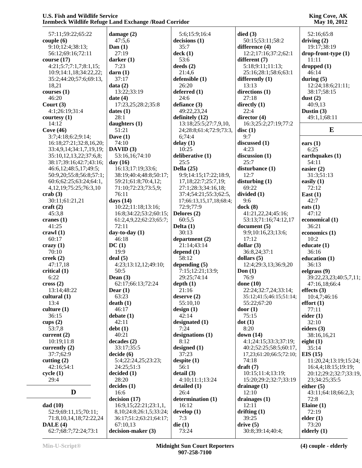| 57:11;59:22;65:22            | damage $(2)$                    | 5:6;15:9;16:4             | died(3)                 | 52:16;65:8             |
|------------------------------|---------------------------------|---------------------------|-------------------------|------------------------|
| couple(6)                    | 47:5,6                          | decisions(1)              | 50:15;53:11;58:2        | driving $(2)$          |
| 9:10;12:4;38:13;             | Dan $(1)$                       | 35:7                      | difference (4)          | 19:17;38:19            |
| 56:12;69:16;72:11            | 27:19                           | deck(1)                   | 12:2;17:16;37:2;62:1    | drop-front-type (1)    |
| course $(17)$                | darker $(1)$                    | 53:6                      | different (7)           | 11:11                  |
| 4:21;5:7;7:1,7;8:1,15;       | 7:23                            | deeds $(2)$               | 5:18;9:11;11:13;        | dropped(1)             |
| 10:9;14:1,18;34:22,22;       | darn(1)                         | 21:4,6                    | 25:16;28:1;58:6;63:1    | 46:14                  |
| 35:2;44:20;57:6;69:13,       | 37:17                           | defensible (1)            | differently $(1)$       | during $(5)$           |
| 18,21                        | data(2)                         | 26:20                     | 13:13                   | 12:24;18:6;21:11;      |
| course(1)                    | 13:22;33:19                     | deferred $(1)$            | directions (1)          | 38:17;58:15            |
| 46:20                        | date $(4)$                      | 24:6                      | 27:18                   | dust $(2)$             |
| Court $(3)$                  | 17:23,25;28:2;35:8              | defiance (3)              | directly $(1)$          | 40:9,13                |
| 4:1;26:19;31:4               | dates $(1)$                     | 49:22,23,24               | 22:4                    | Dustin $(3)$           |
| coursey(1)                   | 28:1                            | definitely (12)           | director (4)            | 49:1,1;68:11           |
| 14:12                        | daughters (1)                   | 13:18;25:5;27:7,9,10,     | 16:3;25:2;27:19;77:2    |                        |
| Cove $(46)$                  | 51:21                           | 24;28:8;61:4;72:9;73:3,   | disc(1)                 | E                      |
| 3:7;4:18;6:2;9:14;           | Dave $(1)$                      | 6;74:4                    | 9:7                     |                        |
| 16:18;27:21;32:8,16,20;      | 74:10                           | delay(1)                  | discussed (1)           | ears $(1)$             |
| 33:4,9,14;34:1,7,19,19;      | DAVID(3)                        | 10:25                     | 4:23                    | 6:25                   |
| 35:10,12,13,22;37:6,8;       | 53:16,16;74:10                  | deliberative (1)          | discussion (1)          | earthquakes (1)        |
| 38:17;39:16;42:7;43:16;      | day $(16)$                      | 25:5                      | 25:7                    | 54:11                  |
| 46:6,12;48:5,17;49:5;        | 16:13:17:19:33:6:               | Della $(25)$              | disturbance (1)         | easier $(2)$           |
| 50:9,20;55:8;56:8;57:1;      | 38:19;40:4;48:8;50:17;          | 9:9;14:15;17:22;18:9,     | 12:7                    | 31:3;51:13             |
| 60:6;62:25;63:24;64:1,       | 59:21;61:8;70:4,12;             | 17, 18; 22: 7; 25: 7, 19; | disturbing(1)           | easily $(1)$           |
| 4, 12, 19; 75: 25; 76: 3, 10 | 71:10;72:23;73:5,9;             | 27:1;28:3;34:16,18;       | 69:22                   | 72:12                  |
| crab $(3)$                   | 76:11                           | 37:4;54:21;55:3;62:5,     | divided (1)             | East $(1)$             |
| 30:11;61:21,21               | days $(14)$                     | 17;66:13,15,17,18;68:4;   | 9:6                     | 42:7                   |
| craft $(2)$                  | 10:22;11:18;13:16;              | 72:9;77:9                 | dock $(8)$              | eats $(1)$             |
| 45:3,8                       | 16:8;34:22;53:2;60:15;          | Delores (2)               | 41:21,22,24;45:16;      | 47:12                  |
| cranes $(1)$                 | 61:2,4,9,22;62:23;65:7;         | 60:5,5                    | 53:13;71:16;74:12,17    | economical (1)         |
| 41:25                        | 72:11                           | Delta $(1)$               | document(5)             | 36:21                  |
| crawl $(1)$                  | day-to-day $(1)$                | 30:13                     | 9:9;10:16,23;13:6;      | economics (1)          |
| 60:17                        | 46:18                           | department $(2)$          | 17:12                   | 10:2                   |
| $c$ razy $(1)$               | DC(1)                           | 21:14;43:14               | dollar $(3)$            | educate (1)            |
| 70:10                        | 19:9                            | depend $(1)$              | 36:8,24;37:1            | 36:16                  |
| creek $(2)$                  | deal(5)                         | 58:12                     | dollars $(5)$           | education (1)          |
| 47:17,18                     | 4:23;13:12,12;49:10;            | depending $(5)$           | 12:4;29:3,13;36:9,20    | 36:13                  |
| critical $(1)$               | 50:5                            | 7:15;12:21;13:9;          | Don $(1)$               | eelgrass (9)           |
| 6:22                         | Dean $(3)$                      | 29:25;74:14               | 76:9                    | 39:22,23,23;40:5,7,11; |
| $\csc(2)$                    | 62:17;66:13;72:24               | depth(1)                  | done $(10)$             | 47:16,18;66:4          |
| 13:14;48:22                  | Dear $(1)$                      | 21:16                     | 22:24;32:7,24;33:14;    | effects $(3)$          |
| cultural $(1)$               | 63:23                           | deserve $(2)$             | 35:12;41:5;46:15;51:14; | 10:4,7;46:16           |
| 13:4                         | death(1)                        | 55:10,10                  | 55:22;67:20             | effort(1)              |
| culture(1)                   | 46:17                           | design(1)                 | door(1)                 | 77:11                  |
| 36:15                        | debate(1)                       | 42:14                     | 75:15                   | eider $(1)$            |
| cups $(2)$                   | 42:11                           | designated (1)            | dot(1)                  | 32:10                  |
| 53:7,8                       | debt(1)                         | 7:24                      | 8:20                    | eiders $(3)$           |
| current $(2)$                | 40:21                           | designations $(1)$        | down $(14)$             | 38:16,16,21            |
| 10:19;11:8                   | decades(2)                      | 8:12                      | 4:1;24:15;33:3;37:19;   | eight $(1)$            |
| currently $(2)$              | 33:17;35:5                      | designed $(1)$            | 40:2;52:25;58:5;60:17,  | 35:14                  |
| 37:7;62:9                    | decide(6)                       | 37:23                     | 17,23;61:20;66:5;72:10; | EIS(15)                |
| cutting $(2)$                | 5:4;22:24,25;23:23;             | despite $(1)$             | 74:18                   | 11:20,24;13:19;15:24;  |
| 42:16:54:1                   | 24:25;51:3                      | 56:1                      | $draff(7)$              | 16:4,4;18:15;19:19;    |
| cycle(1)                     | decided(1)                      | detail (3)                | 10:15;11:4;13:19;       | 20:12;29:2;32:7;33:19, |
| 29:4                         | 28:20                           | 4:10;11:1;13:24           | 15:20;29:2;32:7;33:19   | 23;34:25;35:5          |
|                              | decides(1)                      | detailed $(1)$            | drainage $(1)$          | either $(5)$           |
| D                            | 16:6                            | 26:4                      | 12:10                   | 43:11;64:18;66:2,3;    |
|                              | decision (17)                   | determination (1)         | drainages $(1)$         | 72:8                   |
| dad(10)                      | 16:9, 15; 22:21; 23:1,1,        | 16:12                     | 12:11                   | Elaine $(1)$           |
| 52:9;69:11,15;70:11;         | 8, 10; 24: 8; 26: 1, 5; 33: 24; | develop $(1)$             | drifting $(1)$          | 72:19                  |
| 71:8,10,14,18;72:22,24       | 36:17;51:2;63:21;64:17;         | 7:3                       | 39:25                   | elder(1)               |
| DALE(4)                      | 67:10,13                        | die(1)                    | drive(5)                | 73:20                  |
| 62:7;68:7;72:24;73:1         | decision-maker (3)              | 73:24                     | 30:8;39:14;40:4;        | elderly $(1)$          |
|                              |                                 |                           |                         |                        |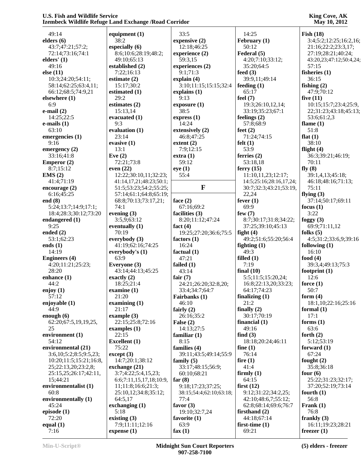| 49:14                  | equipment $(1)$         | 33:5                    | 14:25                   | Fish(18)                |
|------------------------|-------------------------|-------------------------|-------------------------|-------------------------|
| elders $(6)$           | 38:2                    | expensive (2)           | February (1)            | 3:4;5:2;12:25;16:2,16;  |
| 43:7;47:21;57:2;       | especially (6)          | 12:18;46:25             | 50:12                   | 21:16;22:2;23:3,17;     |
|                        | 8:6;10:6;28:19;48:2;    |                         | Federal (5)             |                         |
| 72:14;73:16;74:1       |                         | experience (2)          |                         | 27:19;28:21;40:24;      |
| elders' (1)            | 49:10;65:13             | 59:3,15                 | 4:20;7:10;33:12;        | 43:20,23;47:12;50:4,24; |
| 49:16                  | established (2)         | experiences (2)         | 35:20;64:5              | 57:15                   |
| else $(11)$            | 7:22;16:13              | 9:1;71:3                | feed $(3)$              | fisheries $(1)$         |
| 10:3;24:20;54:11;      | estimate $(2)$          | explain $(4)$           | 39:9,11;49:14           | 36:15                   |
| 58:14;62:25;63:4,11;   | 15:17;30:2              | 3:10;11:15;15:15;32:4   | feeding $(1)$           | fishing $(2)$           |
| 66:12;68:5;74:9,21     | estimated (1)           | explains (1)            | 65:17                   | 47:9;70:12              |
| elsewhere (1)          | 29:2                    | 9:13                    | feel $(7)$              | five $(11)$             |
| 6:9                    | estimates $(2)$         | exposure(1)             | 19:3;26:10,12,14;       | 10:15:15:7:23:4:25:9,   |
| $e$ -mail $(2)$        | 15:13,14                | 38:5                    | 33:19;35:23;67:1        | 22;31:23;43:18;45:13;   |
| 14:25;22:5             | evacuated (1)           | express $(1)$           | feelings $(2)$          | 53:6;61:2,3             |
| $e$ -mails $(1)$       | 9:3                     | 14:24                   | 57:8;68:9               | flame $(1)$             |
| 63:10                  | evaluation (1)          | extensively (2)         | feet $(2)$              | 51:8                    |
| emergencies (1)        | 23:14                   | 46:8;47:25              | 71:24;74:15             | flat $(1)$              |
| 9:16                   | evasive $(1)$           | extent(2)               | felt $(1)$              | 38:10                   |
| emergency $(2)$        | 13:1                    | 7:9;12:15               | 53:9                    | flight $(4)$            |
| 33:16;41:8             | Eve $(2)$               | extra(1)                | ferries $(2)$           | 36:3;39:21;46:19;       |
| <b>Emperor</b> $(2)$   | 72:21;73:8              | 59:12                   | 53:18,18                | 70:11                   |
| 8:7:15:12              | even $(22)$             | eye(1)                  | ferry $(15)$            | fly $(8)$               |
| EMS(2)                 | 12:22;30:10,11;32:23;   | 55:4                    | 11:10,11,23;12:17;      | 39:1,4,13;45:18;        |
| 41:4;71:19             | 41:14,17,21;48:23;50:1; |                         | 14:5;25:16;28:16,17,24; | 46:18;48:16;71:13;      |
| encourage $(2)$        | 51:5;53:23;54:2;55:25;  | $\mathbf{F}$            | 30:7;32:3;43:21;53:19,  | 75:11                   |
| 6:16;45:25             | 57:14;61:1;64:8;65:19;  |                         | 22,24                   | flying $(3)$            |
| end $(8)$              |                         |                         |                         | 37:14;50:17;69:11       |
|                        | 68:8;70:13;73:17,21;    | face $(2)$              | fever $(1)$<br>69:9     |                         |
| 5:24;13:7;14:9;17:1;   | 74:1                    | 67:16;69:2              |                         | focus $(1)$             |
| 18:4;28:3;30:12;73:20  | evening $(3)$           | facilities (3)          | few $(7)$               | 3:22                    |
| endangered (1)         | 3:5,9;63:12             | 8:20;11:12;47:24        | 8:7;30:17;31:8;34:22;   | foggy $(3)$             |
| 9:25                   | eventually $(1)$        | fact $(4)$              | 37:25;39:10;45:13       | 69:9;71:11,12           |
| ended $(2)$            | 70:19                   | 19:25;27:20;36:6;75:5   | fight $(4)$             | folks $(5)$             |
| 53:1;62:23             | everybody $(3)$         | factors $(1)$           | 49:2;51:6;55:20;56:4    | 4:5;31:2;33:6,9;39:16   |
| ends $(1)$             | 41:19;62:16;74:25       | 16:24                   | fighting $(1)$          | following (1)           |
| 14:19                  | everybody's (1)         | factual (1)             | 49:3                    | 16:10                   |
| <b>Engineers</b> (4)   | 63:9                    | 47:21                   | filled $(1)$            | food $(4)$              |
| 4:20;11:21;25:23;      | Everyone (3)            | failed $(1)$            | 7:19                    | 39:3,4;49:13;75:3       |
| 28:20                  | 43:14;44:13;45:25       | 43:14                   | final $(10)$            | footprint $(1)$         |
| enhance (1)            | exactly $(2)$           | fair $(7)$              | 5:5;11:5;15:20,24;      | 12:6                    |
| 44:2                   | 18:25;21:4              | 24:21;26:20;32:8,20;    | 16:8;22:13,20;33:23;    | force $(1)$             |
| enjoy $(1)$            | examine $(1)$           | 33:4;34:7;64:7          | 64:17;74:23             | 50:7                    |
| 57:12                  | 21:20                   | Fairbanks (1)           | finalizing $(1)$        | form $(4)$              |
| enjoyable (1)          | examining $(1)$         | 46:10                   | 21:2                    | 18:1,10:22:16:25:16     |
| 44:9                   | 21:17                   | fairly $(2)$            | finally $(2)$           | formal $(1)$            |
| enough $(6)$           | example $(3)$           | 26:16;35:2              | 30:17;70:19             | 17:1                    |
| 62:20;67:5,19,19,25,   | 22:15;25:8;72:16        | False $(2)$             | financial $(1)$         | forms $(1)$             |
| 25                     | examples $(1)$          | 14:13;27:5              | 49:16                   | 63:6                    |
| environment (1)        | 22:15                   | familiar $(1)$          | find $(3)$              | forth $(2)$             |
| 54:12                  | <b>Excellent</b> (1)    | 8:15                    | 18:18;20:24;46:11       | 5:12;53:19              |
| environmental (21)     | 75:22                   | families (4)            | fine $(1)$              | forward $(1)$           |
| 3:6,10;5:2;8:5;9:5,23; | except (3)              | 39:11;43:5;49:14;55:9   | 76:14                   | 67:24                   |
| 10:20;11:5;15:21;16:8, | 14:7;20:1;38:12         | family $(5)$            | fire $(1)$              | fought $(2)$            |
|                        | exchange (21)           | 33:17;48:15;56:9;       | 41:4                    | 35:8;36:18              |
| 25;22:13,20;23:2,8;    |                         |                         |                         |                         |
| 25:15,25;26:17;42:11,  | 3:7;4:22;5:4,15,23;     | 60:10;68:21             | firmly $(1)$            | four $(6)$              |
| 15;44:21               | 6:6;7:11,15,17,18;10:9, | far $(8)$               | 64:15                   | 25:22;31:23;32:17;      |
| environmentalist (1)   | 11;11:8;16:6;21:3;      | 9:18;17:23;37:25;       | first $(12)$            | 37:20;52:19;73:14       |
| 60:8                   | 25:10,12;34:8;35:12;    | 38:15;54:4;62:10;63:18; | 9:12;31:22;34:2,25;     | fourth $(1)$            |
| environmentally (1)    | 64:5,17                 | 77:4                    | 42:10;48:6,7;55:12;     | 56:8                    |
| 45:24                  | exchanging $(1)$        | favor $(3)$             | 62:8;68:14;69:6;76:7    | Frank $(1)$             |
| episode $(1)$          | 5:18                    | 19:10;32:7,24           | firsthand $(2)$         | 76:8                    |
| 72:20                  | existing $(3)$          | favorite $(1)$          | 44:18;67:14             | frankly $(3)$           |
| equal $(1)$            | 7:9;11:11;12:16         | 63:9                    | first-time $(1)$        | 16:11;19:23;28:21       |
| 7:16                   | expense $(1)$           | fax $(1)$               | 69:21                   | freezer $(1)$           |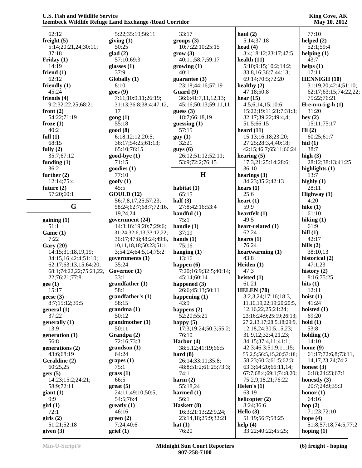| 62:12                    | 5:22;35:19;56:11        | 33:17                 | haul $(2)$                 | 77:10                  |
|--------------------------|-------------------------|-----------------------|----------------------------|------------------------|
| freight $(5)$            | giving $(1)$            | groups (3)            | 5:14;37:18                 | helped $(2)$           |
| 5:14;20:21,24;30:11;     | 50:25                   | 10:7;22:10;25:15      | head $(4)$                 | 52:1;59:4              |
| 37:18                    | glad(2)                 | grow(3)               | 3:4;18:12;23:17;47:5       | helping $(1)$          |
|                          |                         | 40:11;58:7;59:17      |                            | 43:7                   |
| Friday $(1)$             | 57:10:69:3              |                       | health $(11)$              |                        |
| 14:19                    | glasses $(1)$           | growing (1)           | 5:10;9:15;10:2;14:2;       | helps $(1)$            |
| friend $(1)$             | 37:9                    | 40:1                  | 33:8, 16:36:7:44:13;       | 17:11                  |
| 62:12                    | Globally (1)            | guarantee $(3)$       | 69:14;70:5;72:20           | <b>HENNIGH (10)</b>    |
| friendly $(1)$           | 8:10                    | 23:18;44:16;57:19     | healthy $(2)$              | 31:19,20;42:4;51:10;   |
| 45:24                    | goes(9)                 | Guard $(9)$           | 47:18:50:8                 | 62:17;63:15;74:22,22;  |
| friends $(4)$            | 7:11;10:9,11;26:19;     | 36:6;41:7,11,12,13;   | hear $(15)$                | 75:22;76:21            |
| 9:2;32:22,25;68:21       | 31:13;36:8;38:4;47:12,  | 45:16:50:13:59:11,11  | 4:5,6,14,15;10:6;          | $H$ -e-n-n-i-g-h $(1)$ |
| front $(2)$              | 17                      | guess $(3)$           | 15:22;19:11;21:7;31:3;     | 31:20                  |
| 54:22;71:19              | $\text{gong}(1)$        | 18:7;66:18,19         | 32:17;39:22;49:4,4;        | hey $(2)$              |
| froze $(1)$              | 55:18                   | guessing $(1)$        | 51:5;66:15                 | 15:11;75:17            |
| 40:2                     | good(8)                 | 57:15                 | heard $(11)$               | Hi(2)                  |
|                          |                         |                       |                            |                        |
| full $(1)$               | 6:18;12:12;20:5;        | guy(1)                | 15:13;16:18;23:20;         | 60:25;61:7             |
| 68:15                    | 36:17;54:25;61:13;      | 32:21                 | 27:25;28:3,4;40:18;        | hid $(1)$              |
| fully $(2)$              | 65:10;76:15             | guys(6)               | 42:15;46:7;65:11;66:24     | 38:7                   |
| 35:7;67:12               | good-bye (1)            | 26:12;51:12;52:11;    | hearing $(5)$              | high $(3)$             |
| funding $(1)$            | 71:15                   | 53:9;72:2;76:15       | 17:3,21;25:14;28:6;        | 28:12;38:13;41:25      |
| 36:2                     | goodies(1)              |                       | 36:10                      | highlights $(1)$       |
| further $(2)$            | 77:10                   | H                     | hearings $(3)$             | 13:7                   |
| 12:14;75:4               | $g$ oofy $(1)$          |                       | 34:23;35:2;42:13           | highly $(1)$           |
| future $(2)$             | 45:5                    | habitat (1)           | hears $(1)$                | 28:11                  |
| 57:20;60:1               | GOLLD(12)               | 65:15                 | 25:6                       | Highway (1)            |
|                          | 56:7,8,17,25;57:23;     | half $(3)$            | heart $(1)$                | 4:20                   |
| G                        | 58:24;62:7;68:7;72:16,  | 27:8;42:16;53:4       | 59:9                       | hike $(1)$             |
|                          |                         |                       |                            |                        |
|                          | 19,24,24                | handful $(1)$         | heartfelt $(1)$            | 61:10                  |
| gaining $(1)$            | government (24)         | 75:1                  | 49:5                       | hiking $(1)$           |
| 51:1                     | 14:3;16:19;20:7;29:6;   | handle $(1)$          | heart-related (1)          | 61:9                   |
| Game (1)                 | 31:24;32:6,13;33:12,22; | 37:19                 | 62:24                      | hill $(1)$             |
| 7:22                     | 36:17;47:8;48:24;49:8,  | hands $(1)$           | hearts $(1)$               | 42:17                  |
| Gary $(20)$              | 10,11,18,18;50:23;51:1, | 75:16                 | 76:24                      | hills $(2)$            |
| 14:15;31:18,19,19;       | 3;54:24;64:5,14;75:2    | hanging $(1)$         | heartwarming (1)           | 38:10,13               |
| 34:15,16;42:4;51:10;     | governments $(1)$       | 13:16                 | 43:8                       | historical (2)         |
| 62:17;63:13,15;64:20;    | 35:24                   | happen $(6)$          | Heiden $(1)$               | 47:1,23                |
| 68:1;74:22,22;75:21,22,  | Governor (1)            | 7:20;16:9;32:5;40:14; | 47:3                       | history $(2)$          |
| 22;76:21;77:8            | 33:1                    | 45:14;60:14           | heisted $(1)$              | 8:16;75:25             |
| gee(1)                   | grandfather(1)          | happened $(3)$        | 61:21                      | hits $(1)$             |
| 15:17                    | 58:1                    | 26:6;45:13;50:11      | HELEN(70)                  | 12:11                  |
| geese $(3)$              | grandfather's (1)       | happening $(1)$       | 3:2,3,24;17:16;18:3,       | hoist $(1)$            |
| 8:7;15:12;39:5           | 58:15                   | 43:9                  | 11,16,19,22;19:20;20:5,    | 41:24                  |
|                          |                         |                       |                            |                        |
| general(1)               | grandma(1)              | happens $(2)$         | 12, 16, 22, 25; 21: 24;    | hoisted $(1)$          |
| 37:22                    | 50:12                   | 52:20;55:21           | 23:16;24:9;25:19;26:13;    | 69:20                  |
| generally $(1)$          | grandmother (1)         | happy $(5)$           | 27:2,13,17;28:5,18;29:9,   | hold(1)                |
| 13:9                     | 50:11                   | 17:3;19:24;50:3;55:2; | 12, 18, 24; 30: 5, 15, 23; | 53:8                   |
| generation $(1)$         | Grandpa (2)             | 76:10                 | 31:9,12;32:4,21,23;        | holding $(1)$          |
| 56:8                     | 72:16;73:3              | Harbor (4)            | 34:15;37:4,11;41:1;        | 14:10                  |
| generations (2)          | grandson(1)             | 38:5,12;41:19;66:5    | 42:3;46:3;51:9,11,15;      | home $(9)$             |
| 43:6;68:19               | 64:24                   | hard $(8)$            | 55:2,5;56:5,15,20;57:18;   | 61:17;72:6,8;73:11,    |
| Geraldine (2)            | grapes (1)              | 26:14;33:11;35:8;     | 58:23;60:3;61:5;62:3;      | 14, 17, 23, 24; 74: 2  |
| 60:25,25                 | 75:1                    | 48:8;51:2;61:25;73:3; | 63:3;64:20;66:11,14;       | honest $(3)$           |
| gets(5)                  | grass(1)                | 74:1                  | 67:7;68:4;69:1;74:8,20;    | 6:18;24:23;67:1        |
| 14:23;15:2;24:21;        | 66:5                    | harm $(2)$            | 75:2,9,18,21;76:22         | honestly $(3)$         |
| 58:9;72:11               | $gr(5)$                 | 55:18,24              | Helen's $(1)$              | 20:7;24:9;35:3         |
|                          | 24:11;49:10;50:5;       | harmed (1)            | 63:19                      | honor $(1)$            |
| giant(1)                 |                         |                       | helicopter (2)             | 64:16                  |
| 9:9                      | 54:5;76:4               | 56:1                  |                            |                        |
| $\operatorname{girl}(1)$ | $grealty (1)$           | Haskett (8)           | 8:24;36:6                  | hop $(2)$              |
| 72:1                     | 46:16                   | 16:3;21:13;22:9,24;   | Hello $(3)$                | 71:23;72:10            |
| girls(2)                 | green(2)                | 23:14,18;25:9;32:21   | 51:19;56:7;58:25           | hope $(4)$             |
| 51:21;52:18              | 7:24;40:6               | hat $(1)$             | help $(4)$                 | 51:8;57:18;74:5;77:2   |
| given (3)                | grief(1)                | 76:20                 | 33:22;40:22;45:25;         | hoping $(1)$           |
|                          |                         |                       |                            |                        |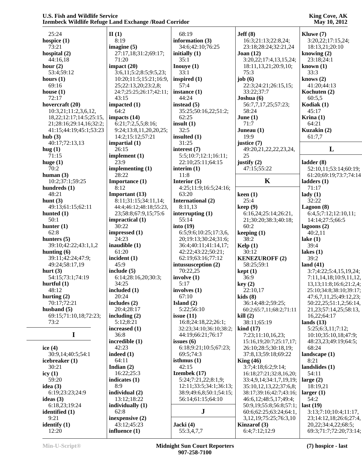| 25:24                          | II(1)                   | 68:19                   | Jeff(8)                      | Kluwe (7)                       |
|--------------------------------|-------------------------|-------------------------|------------------------------|---------------------------------|
| hospice $(1)$                  | 8:19                    | information (3)         | 16:3;21:13;22:8,24;          | 3:20,22;17:15,24;               |
| 73:21                          | imagine $(5)$           | 34:6;42:10;76:25        | 23:18;28:24;32:21,24         | 18:13,21;20:10                  |
| hospital (2)                   | 27:17,18;31:2;69:17;    | initially $(1)$         | Joan $(12)$                  | knowing $(2)$                   |
| 44:16,18                       | 71:20                   | 35:1                    | 3:20,22;17:4,13,15,24;       | 23:18;24:1                      |
| hour $(2)$                     | impact $(20)$           | Inouye $(1)$            | 18:11,13,21;20:9,10;         | known $(1)$                     |
| 53:4;59:12                     | 3:6,11;5:2;8:5;9:5,23;  | 33:1                    | 75:3                         | 33:3                            |
| hours $(1)$                    | 10:20;11:5;15:21;16:9,  | inspired (1)            | job $(6)$                    | knows $(2)$                     |
| 69:16                          | 25;22:13,20;23:2,8;     | 57:4                    | 22:3;24:21;26:15,15;         | 41:20;44:13                     |
| house $(1)$                    | 24:7;25:25;26:17;42:11; | instance $(1)$          | 33:22;37:7                   | Kochuten (2)                    |
| 72:17                          | 43:15                   | 44:24                   | Joshua (6)                   | 60:5,5                          |
| hovercraft (20)                | impacted (1)            | instead $(5)$           | 56:7,7,17,25;57:23;          | Kodiak (1)                      |
| 10:3,21;11:2,3,6,12,           | 64:2                    | 35:25;50:16,22;51:2;    | 58:24                        | 45:17                           |
| 18, 22; 12: 17; 14: 5; 25: 15, | impacts (14)            | 62:25                   | June $(1)$                   | Krina $(1)$                     |
| 21;28:16;29:14,16;32:2;        | 6:21;7:2,5,5;8:16;      | insult $(1)$            | 71:7                         | 64:21                           |
| 41:15;44:19;45:1;53:23         | 9:24;13:8,11,20,20,25;  | 32:5                    | Juneau $(1)$                 | Kuzakin (2)                     |
| hub(3)                         | 14:2;15:12;57:21        | insulted $(1)$          | 19:9                         | 61:7,7                          |
| 40:17;72:13,13                 | impartial (1)           | 31:25                   | justice (7)                  |                                 |
| hug $(1)$                      | 26:15                   | interest (7)            | 49:20,21,22,22,23,24,        | L                               |
| 71:15                          | implement $(1)$         | 5:5;10:7;12:1;16:11;    | 25                           |                                 |
| huge $(1)$                     | 23:9                    | 22:10;25:11;64:15       | justify $(2)$                | ladder $(8)$                    |
| 70:2                           | implementing $(1)$      | interim $(1)$           | 47:15:55:22                  | 52:10,11;53:14;60:19;           |
| human $(3)$                    | 28:22                   | 11:8                    |                              | 61:20;69:19;73:7;74:14          |
| 10:2;37:1;59:25                | Importance (1)          | Interior $(5)$          | $\mathbf K$                  | ladders $(1)$                   |
| hundreds (1)                   | 8:12                    | 4:25;11:9;16:5;24:16;   |                              | 71:17                           |
| 48:21                          | Important (13)          | 63:20                   | keen $(1)$                   | $\text{lady}(1)$                |
| hunt $(3)$                     | 8:11;31:15;34:11,14;    | International (2)       | 25:4                         | 32:22                           |
| 49:13;61:15;62:11              | 44:4;46:12;48:18;55:23, | 8:11,13                 | keep(9)                      | Lagoon $(8)$                    |
| hunted (1)                     | 23;58:8;67:9,15;75:6    | interrupting $(1)$      | 6:16,24;25:14;26:21,         | 6:4,5;7:12;12:10,11;            |
| 50:1                           | impractical (1)         | 55:14                   | 21;30:20;38:3;40:18;         | 14:14;27:5;66:5                 |
| hunter $(1)$                   | 30:22                   | into(19)                | 60:2                         | lagoons (2)                     |
| 62:8                           | impressed (1)           | 6:5;9:6;10:25;17:3,6,   | keeping $(1)$                | 40:2,11                         |
| hunters $(5)$                  | 24:23                   | 20;19:13;30:24;31:6;    | 38:2                         | lake $(1)$                      |
| 39:10;42:22;43:1,1,2           | inaudible $(1)$         | 36:4;40:11;41:14,17;    | Kelp $(1)$                   | 39:4                            |
| hunting $(6)$                  | 61:20                   | 42:22;43:22;50:21;      | 30:12                        | lakes $(1)$                     |
| 39:11;42:24;47:9;              | incident $(1)$          | 62:19;63:16;77:12       | <b>KENEZUROFF (2)</b>        | 39:2                            |
| 49:24;58:17,19                 | 45:9                    | intussusception (2)     | 58:25;59:1                   | land $(41)$                     |
| hurt $(3)$                     | include $(5)$           | 70:22,25                | kept(1)                      | 3:7;4:22;5:4,15,19,24;          |
| 54:15;73:1;74:19               | 6:14;28:16,20;30:3;     | involve $(1)$           | 36:9                         | 7:11,14,18;10:9,11,12,          |
| hurtful $(1)$                  | 34:25                   | 5:17                    | key(2)                       | 13, 13; 11: 8; 16: 6; 21: 2, 4; |
| 48:12                          | included (1)            | involves $(1)$          | 22:10,17                     | 25:10;34:8;38:10;39:17;         |
| hurting $(2)$                  | 20:24                   | 67:10                   | kids(8)                      | 47:6,7,11,25;49:12,23;          |
| 70:17;72:21                    | includes $(2)$          | Island $(2)$            | 36:14;48:2;59:25;            | 50:22,25;51:1,2;56:14,          |
| husband $(5)$                  | 20:4;28:17              | 5:22;56:10              | 60:2;65:7,11;68:2;71:11      | 21, 23; 57: 14, 25; 58: 13,     |
| 69:15:71:10,18:72:23;          | including $(2)$         | issue $(11)$            | kill(2)                      | 16,22;64:17                     |
| 73:2                           | 5:12;8:21               | 16:8;24:18,22;26:1;     | 38:11;65:19                  | lands $(13)$                    |
|                                | increased (1)           | 32:23;34:10;36:10;38:2; | $\operatorname{kind}(17)$    | 5:25;6:3,11;7:12;               |
| $\mathbf I$                    | 36:8                    | 44:19;66:21;76:17       | 7:23;11:10,16,23;            | 10:10;35:10,18;47:9;            |
|                                | incredible (1)          | issues $(6)$            | 15:16,19;20:7;25:17,17;      | 48:23,23;49:19;64:5;            |
| ice $(4)$                      | 42:23                   | 6:18;9:21;10:5;67:23;   | 26:10;28:5;30:18,19;         | 68:24                           |
| 30:9,14;40:5;54:1              | indeed $(1)$            | 69:5;74:3               | 37:8,13;59:18;69:22          | landscape $(1)$                 |
| icebreaker (1)                 | 64:11                   | isthmus $(1)$           | King $(46)$                  | 8:21                            |
| 30:21                          | Indian $(2)$            | 42:15                   | 3:7;4:18;6:2;9:14;           | landslides (1)                  |
| icy $(1)$                      | 16:22;25:3              | Izembek (17)            | 16:18;27:21;32:8,16,20;      | 54:11                           |
| 59:20                          | indicates $(1)$         | 5:24;7:21,22;8:1,9;     | 33:4,9,14;34:1,7,19,19;      | large $(2)$                     |
| idea $(3)$                     | 8:9                     | 12:11;33:5;34:1;36:13;  | 35:10,12,13,22;37:6,8;       | 18:19,21                        |
| 6:19;23:23;24:9                | individual (2)          | 38:9;49:6,8;50:1;54:15; | 38:17;39:16;42:7;43:16;      | larger $(1)$                    |
| ideas $(3)$                    | 13:12;18:22             | 56:14;61:15;64:10       | 46:6,12;48:5,17;49:4;        | 54:2                            |
| 6:18,23;19:24                  | individually $(1)$      |                         | 50:9,19;55:8;56:8;57:1;      | last $(19)$                     |
| identified (1)                 | 62:8                    | ${\bf J}$               | 60:6;62:25;63:24;64:1,       | 3:13;7:10;10:4;11:17,           |
| 9:21                           | inexpensive $(2)$       |                         | 3, 12, 19; 75: 25; 76: 3, 10 | 23;14:12,18;26:6;27:4,          |
| identify $(1)$                 | 43:12;45:23             | Jacki (4)               | Kinzarof $(3)$               | 20, 22; 34: 4, 22; 68: 5;       |
| 12:20                          | influence (1)           | 55:3,4,7,7              | 6:4;7:12;12:9                | 69:3;71:7;72:20;73:14;          |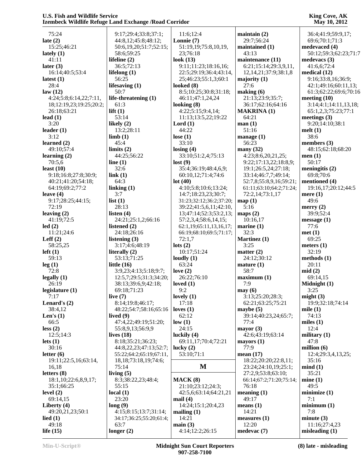# 75:24 **late (2)** 15:25;46:21 **lately (1)** 41:11 **later (3)** 16:14;40:5;53:4 **latest (1)** 28:4 **law (12)** 4:24;5:8;6:14,22;7:11, 18;12:19,23;19:25;20:2; 26:18;63:21 **lead (1)** 3:20 **leader (1)** 3:12 **learned (2)** 49:10;57:4 **learning (2)** 70:5,6 **least (10)** 9:18;16:8;27:8;30:9; 40:21;41:20;54:18; 64:19;69:2;77:2 **leave (4)** 9:17;28:25;44:15; 72:19 **leaving (2)** 41:19;72:5 **led (2)** 11:21;24:6 **Leff (2)** 58:25,25 **left (1)** 59:13 **leg (1)** 72:8 **legally (1)** 26:19 **legislature (1)** 7:17 **Lenard's (2)** 38:4,12 **Len's (1)** 66:5 **less (2)** 12:5;14:3 **lets (1)** 30:16 **letter (6)** 19:11;22:5,16;63:14, 16,18 **letters (8)** 18:1,10;22:6,8,9,17; 35:1;66:25 **level (2)** 69:14,15 **Liberty (4)** 49:20,21,23;50:1 **lied (1)** 49:18 **life (15)**

 9:17;29:4;33:8;37:1; 44:8,12;45:8;48:12; 50:6,19,20;51:7;52:15; 58:6;59:25 **lifeline (2)** 36:5;72:13 **lifelong (1)** 56:25 **lifesaving (1)** 50:7 **life-threatening (1)** 61:3 **lift (1)** 53:14 **likely (2)** 13:2;28:11 **limb (1)** 45:4 **limits (2)** 44:25;56:22 **line (1)** 32:6 **link (1)** 64:3 **linking (1)** 3:7 **list (1)** 28:13 **listen (4)** 24:21;25:1,2;66:16 **listened (2)** 24:18;26:16 **listening (3)** 3:17;4:6;48:19 **literally (2)** 53:13;71:25 **little (16)** 3:9,23;4:13;5:18;9:7; 12:5,7;29:5;31:3;34:20; 38:13;39:6,9;42:18; 69:18;71:23 **live (7)** 8:14;19:8;46:17; 48:22;54:7;58:16;65:16 **lived (9)** 47:4,22;49:19;51:20; 55:8,9,13;56:9,9 **lives (18)** 8:18;35:21;36:23; 44:8,22,23;47:13;52:7; 55:22;64:2;65:19;67:11, 18,18;73:18,19;74:6; 75:14 **living (5)** 8:3;38:22,23;48:4; 55:15 **local (1)** 23:20 **long (9)** 4:15;8:15;13:7;31:14; 34:17;36:25;55:20;61:4; 63:7 **main (3)**

**longer (2)**

 11:6;12:4 **Lonnie (7)** 51:19,19;75:8,10,19, 23;76:18 **look (13)** 9:11;11:23;18:16,16; 22:5;29:19;36:4;43:14, 25;46:23;55:1,3;60:1 **looked (8)** 8:5;10:25;30:8;31:18; 46:11;47:1,24,24 **looking (8)** 4:22;5:15;9:4,14; 11:13;13:5,22;19:22 **Lord (1)** 44:22 **lose (1)** 33:10 **losing (4)** 33:10;51:2,4;75:13 **lost (9)** 35:4;36:19;48:4,6,9; 60:10,12;71:4;74:6 **lot (40)** 4:10;5:8;10:6;13:24; 14:7;18:23,23;30:7; 31:23;32:12;36:2;37:20; 39:22;41:5,6,11;42:10, 13;47:14;52:3;53:2,13; 57:2,3,4;58:6,14,15; 62:1,19;65:11,13,16,17; 66:19;68:10;69:5;71:17; 72:1,7 **lots (2)** 10:17;51:24 **loudly (1)** 63:24 **love (2)** 26:22;76:10 **loved (1)** 9:2 **lovely (1)** 17:18 **loves (1)** 62:12 **low (1)** 24:15 **luckily (4)** 69:11,17;70:4;72:21 **lucky (2)** 53:10;71:1 **MACK (8)** 21:10;23:12;24:3; 42:5,6;63:14;64:21,21 **mail (4)** 14:24;15:1;20:4,23 **mailing (1)** 14:21

**M**23:24;24:10,19;25:1; n **maintain (2)** 29:7;56:24 **maintained (1)** 43:13 **maintenance (11)** 6:21;15:14;29:3,9,11, 12,14,21;37:9;38:1,8 **majority (1)** 27:6 **making (6)** 21:13;23:9;35:7; 36:17;62:16;64:16 **MAKRINA (1)** 64:21 **man (1)** 51:16 **manage (1)** 56:23 **many (32)** 4:23;8:6,20,21,25; 9:22;17:13,22;18:8,9; 19:1;26:5,24;27:18; 33:14;46:7,7;49:14; 52:7,8;55:8,9,16;59:21; 61:11;63:10;64:2;71:24; 72:2,14;73:1,17 **map (1)** 5:16 **maps (2)** 10:16,17 **marine (1)** 32:3 **Martinez (1)** 3:25 **matter (2)** 24:12;30:12 **mature (1)** 58:7 **maximum (1)** 7:9 **may (6)** 3:13;25:20;28:3; 62:21;63:25;75:21 **maybe (5)** 39:14;40:23,24;65:7; 77:4 **mayor (3)** 42:6;43:19;63:14 **mayors (1)** 77:9 **mean (17)** 18:22;20:20;22:8,11; 27:2,9;53:8;63:10; 66:14;67:2;71:20;75:14; 76:18 **meaning (1)** 49:17 **means (1)** 14:21 **measures (1)** 12:20

# **King Cove, AK May 10, 2012**

 36:4;41:9;59:9,17; 69:6;70:1;71:3 **medevaced (4)** 50:12;59:3;62:23;71:7 **medevacs (3)** 41:6,6;72:4 **medical (12)** 9:16;33:8,16;36:9; 42:1;49:16;60:11,13; 61:3;62:22;69:6;70:16 **meeting (10)** 3:14;4:1;14:11,13,18; 65:1,2,3;75:23;77:1 **meetings (3)** 9:20;14:10;38:1 **melt (1)** 38:6 **members (3)** 48:15;62:18;68:20 **men (1)** 50:17 **meningitis (2)** 69:8;70:6 **mentioned (4)** 19:16,17;20:12;44:5 **mere (1)** 49:6 **merry (2)** 39:9;52:4 **message (1)** 77:6 **met (1)** 69:25 **meters (1)** 32:19 **methods (1)** 20:11 **mid (2)** 69:14,15 **Midnight (1)** 3:25 **might (3)** 19:9;32:18;74:14 **mile (1)** 74:13 **miles (1)** 12:4 **military (1)** 47:8 **million (6)** 12:4;29:3,4,13,25; 35:16 **mind (1)** 35:21 **mine (1)** 49:5 **minimize (1)** 7:1 **minimum (1)** 7:8 **minute (3)** 11:16;27:4,23 **misleading (1)**

4:14;12:2;26:15

**medevac (7)**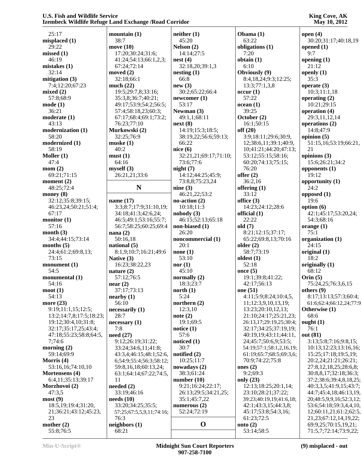| King Cove, AK       |
|---------------------|
| <b>May 10, 2012</b> |

| 25:17                            | mountain $(1)$                   | neither(1)              | Obama (1)                                      | open $(4)$                                   |
|----------------------------------|----------------------------------|-------------------------|------------------------------------------------|----------------------------------------------|
| misplaced $(1)$                  | 38:7                             | 45:20                   | 63:22                                          | 30:20;31:17;40:18,19                         |
| 29:22                            | move $(10)$                      | Nelson $(2)$            | obligations (1)                                | opened $(1)$                                 |
| missed(1)                        | 17:20;30:24;31:6;                | 14:14;27:5              | 7:20                                           | 9:7                                          |
| 46:19                            | 41:24;54:13;66:1,2,3;            | nest(4)                 | obtain (1)                                     | opening $(1)$                                |
| mistakes(1)                      | 67:24;72:14                      | 32:18,20;39:1,3         | 6:10                                           | 21:12                                        |
| 32:14                            | moved $(2)$                      | nesting(1)              | Obviously (9)                                  | openly $(1)$                                 |
| mitigation (3)                   | 32:18;66:1                       | 66:8                    | 8:4,18,24;9:3;12:25;                           | 35:3                                         |
| 7:4;12:20;67:23                  | much $(22)$                      | new(3)                  | 13:3;77:1,3,8                                  | operate $(3)$                                |
| mixed(2)                         | 19:5;29:7,8;33:16;               | 30:2;65:22;66:4         | occur(1)                                       | 10:3;11:1,18                                 |
| 57:8;68:9                        | 35:3,8;36:7;40:21;               | newcomer(1)             | 57:22                                          | operating $(2)$                              |
| mode(1)                          | 49:17;53:9;54:2;56:5;            | 53:17                   | ocean(1)                                       | 10:21;29:15                                  |
| 36:21                            | 57:4;58:18,23;60:3;              | Newman (3)              | 39:25                                          | operation (4)                                |
| moderate(1)                      | 67:17;68:4;69:1;73:2;            | 49:1,1;68:11            | October (2)                                    | 29:3,11,12,14                                |
| 43:13                            | 76:23;77:10                      | next(8)                 | 16:1;50:15                                     | operations (2)                               |
| modernization (1)                | Murkowski (2)                    | 14:19;15:3;18:5;        | off(20)                                        | 14:8;47:9                                    |
| 58:20                            | 32:25;76:9                       | 38:19,22;56:6;59:13;    | 3:9;18:11;29:6;30:9,                           | opinion $(5)$                                |
| modernized (1)                   | muske(1)                         | 66:22                   | 12;38:6,11;39:1;40:9,                          | 51:15,16;53:19;66:21,                        |
| 58:19                            | 40:2                             | nice $(6)$              | 10;41:21;44:20;47:13;                          | 21                                           |
| Moller $(1)$                     | must(1)                          | 32:21,21;69:17;71:10;   | 53:12;55:15;58:16;                             | opinions (3)                                 |
| 47:4                             | 64:16                            | 73:6;77:6               | 60:20;74:13;75:15;                             | 15:6;26:21;34:2                              |
| mom(2)                           | myself(3)                        | night(7)                | 76:20                                          | opponents $(1)$                              |
| 69:21;71:15                      | 26:21,21;33:6                    | 14:12;44:25;45:9;       | offer $(2)$                                    | 19:12                                        |
| moment $(2)$                     |                                  | 73:8,8;75:23,24         | 36:2,16                                        | opportunity $(1)$                            |
| 48:25;72:4                       | N                                | nine $(3)$              | offering $(1)$                                 | 24:2                                         |
| money $(8)$                      |                                  | 46:21,22;53:2           | 33:12                                          | opposed $(1)$                                |
| 32:12;35:8;39:15;                | name $(17)$                      | no-action $(2)$         | office (3)                                     | 19:6                                         |
| 46:23,24;50:21;51:4;             | 3:3;8:7;17:9;31:10,19;           | 10:18:11:3              | 14:23;24:12;28:6                               | option (6)                                   |
| 67:17                            | 34:18;41:3;42:6,24;              | nobody(3)               | official (1)                                   | 42:1;45:17;53:20,24;                         |
| monitor $(1)$                    | 46:5;49:1;53:16;55:7;            | 46:15:52:13:65:18       | 22:22                                          | 54:3;68:16                                   |
| 57:16                            | 56:7;58:25;60:25;69:4            | non-biased (1)          | old(7)                                         | orange $(1)$                                 |
| month $(3)$                      | nana $(2)$                       | 26:20                   | 8:21;12:15;37:17;                              | 75:1                                         |
| 34:4;44:15;73:14                 | 50:16,18                         | noncommercial (1)       | 65:22;69:8,13;70:16                            | organization (1)                             |
| months $(5)$                     | national $(5)$                   | 20:1                    | older $(2)$                                    | 24:15                                        |
| 24:4;61:2;69:8,13;               | 8:1,9;10:7;16:21;49:6            | none $(1)$              | 58:7;73:19                                     | original $(1)$                               |
| 73:15                            | Native (3)                       | 53:10                   | oldest $(1)$                                   | 18:2                                         |
| monument $(1)$                   | 16:23;38:22,23                   | nor $(1)$               | 52:18                                          | originally (1)                               |
| 54:5                             | nature $(2)$                     | 45:10                   | once $(5)$                                     | 68:12                                        |
| monumental (1)                   | 57:12;76:5                       | normally (2)            | 19:1;39:8;41:22;                               | Orin $(5)$                                   |
| 54:16                            | near(2)                          | 18:3;23:7               | 42:17;56:13                                    | 75:24,25;76:3,6,15                           |
| $\text{mod}(1)$                  | 37:17;73:13                      | north $(1)$             | one $(51)$                                     | others $(9)$                                 |
| 54:13                            | nearby (1)                       | 5:24                    | 4:11;5:9;8:24;10:4,5,                          | 8:17;13:13;57:3;60:4;                        |
| more $(23)$                      | 56:10                            | northern $(2)$          | 11;12:3,9,10,13,19;                            | 61:6;62:4;66:12,24;77:9                      |
| 9:19;11:1,15;12:5;               | necessarily (1)                  | 12:3,10                 | 13:23;20:10,12,13;                             | Otherwise (1)                                |
|                                  | 28:7                             |                         | 21:10;24:17;25:21,23;                          | 68:6                                         |
| 13:2; 14:7, 8; 17:5; 18:23;      |                                  | note $(2)$<br>19:1;69:5 |                                                |                                              |
| 19:12;30:4,10;31:8;              | necessary(1)                     | notice $(1)$            | 26:13,17;29:19,25;30:4;                        | ought $(1)$                                  |
| 32:17;35:17,25;43:4;             | 7:8<br>need (27)                 | 57:6                    | 32:17;34:25;37:19,19;<br>40:19,19;43:11;44:11, | 76:1<br>out (81)                             |
| 47:18;55:23;58:8;64:5,<br>7;74:6 | 9:12;26:19;31:22;                |                         | 24;45:7;50:6,9;53:5;                           | 3:13;5:8;7:16;9:8,15;                        |
|                                  |                                  | noticed $(1)$<br>30:7   | 54:19;57:1;58:1,2,16,19;                       | 10:13;12:23;13:16,16;                        |
| morning $(2)$<br>59:14:69:9      | 33:24;34:6,11;41:8;              |                         |                                                |                                              |
|                                  | 43:3,4;46:15;48:1;52:6,          | notified $(2)$          | 61:19;65:7;68:5;69:3,6;                        | 15:25;17:18;19:5,19;<br>20:2,24;21:21;26:21; |
| Morris (4)                       | 6;54:9;55:4;56:3;58:12;          | 10:25;11:7              | 70:9;74:22;75:8                                |                                              |
| 53:16,16;74:10,10                | 59:8,16,18;60:13,24;             | nowadays $(2)$          | ones $(2)$                                     | 27:8,12,18,25;28:6,8;                        |
| Mortensens (4)                   | 63:1;64:14;67:22;74:5,           | 38:3;61:24              | 9:2;69:3                                       | 30:8,8,17;32:18;36:3;                        |
| 6:4,11;35:13;39:17               | 11                               | number $(10)$           | only $(23)$                                    | 37:2;38:6;39:4,8,18,25;                      |
| Morzhovoi (2)                    | needed $(2)$                     | 9:21;16:24;22:17;       | 12:13;18:25;20:1,14;                           | 40:3,3,5;41:9,15;43:7;                       |
| 47:3,5                           | 33:19;46:16                      | 26:13;29:5;34:21,25;    | 23:10;28:21;37:22;                             | 44:7;45:4,18;46:13,19,                       |
| most(9)                          | $\boldsymbol{\text{needs}}$ (10) | 35:1;45:7,22            | 39:23;40:19,19;41:6,18;                        | 20;48:5,9,9,16;52:3,12;                      |
| 18:5, 19:19:4; 31:20,            | 33:20;34:25;35:5;                | numerous $(2)$          | 42:1;43:3,15;44:3,8;                           | 53:6;54:18;59:3,4,4,10,                      |
| 21;36:21;43:12;45:23,            | 57:25;67:5,5,9,11;74:16;         | 52:24;72:19             | 45:17;53:8;54:3,16;                            | 12;60:11,21;61:2;62:5,                       |
| 23                               | 76:3                             | $\mathbf 0$             | 61:23;72:5                                     | 21, 23; 67: 12, 14, 19, 22;                  |
| mother $(2)$                     | neighbors (1)                    |                         | onto $(2)$                                     | 69:9,25;70:15,19,21;                         |
| 55:8;76:5                        | 68:21                            |                         | 53:14;58:5                                     | 71:5,7;72:14;73:9,22;                        |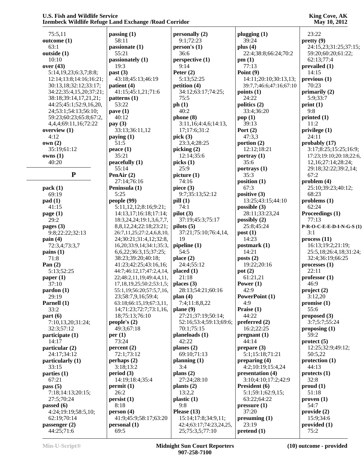# 75:5,11 **outcome (1)** 63:1 **outside (1)** 10:10 **over (43)** 5:14,19,23;6:3,7;8:8; 12:14;13:8;14:16;16:21; 30:13,18;32:12;33:17; 34:22;35:4,15,20;37:21; 38:18;39:14,17,21,21; 44:25;45:1;52:9,16,20, 24;53:1;54:13;56:10; 59:23;60:23;65:8;67:2, 4,4,4;69:11,16;72:22 **overview (1)** 4:12 **own (2)** 35:19;61:12 **owns (1)** 40:20 **P pack (1)** 69:19 **pad (1)** 41:15 **page (1)** 29:2 **pages (3)** 9:8;22:22;32:13 **pain (4)** 72:3,4;73:3,7 **pains (1)** 71:8 **Pan (2)** 5:13;52:25 **paper (1)** 37:10 **pardon (1)** 29:19 **Parnell (1)** 33:2 **part (6)** 7:10,13,20;31:24; 32:3;57:12 **participate (1)** 14:17 **particular (2)** 24:17;34:12 **particularly (1)** 33:15 **parties (1)** 67:21 **pass (5)** 7:18;14:13;20:15; 27:5;70:24 **passed (6)** 4:24;19:19;58:5,10; 62:19;70:14 **passenger (2)**

**passing (1)** 58:11 **passionate (1)** 55:21 **passionately (1)** 19:3 **past (3)** 43:18;45:13;46:19 **patient (4)** 41:15;45:1,21;71:6 **patterns (1)** 53:22 **pave (1)** 40:12 **pay (3)** 33:13;36:11,12 **paying (1)** 51:5 **peace (1)** 35:21 **peacefully (1)** 55:14 **PenAir (2)** 27:14;76:16 **Peninsula (1)** 5:25 **people (99)** 5:11,12,12;8:16;9:21; 14:13,17;16:18;17:14; 18:3,24,24;19:1,3,6,7,7, 8,8,12,24;22:18;23:21; 26:7,11,25;27:2,4,6,8,10, 24;30:21;31:4,12;32:8, 16,20;33:9,14;34:1;35:3, 6,6,22;36:3,15;37:25; 38:23;39:20;40:18; 41:23;42:25;43:16,16; 44:7;46:12,17;47:2,4,14, 22;48:2,11,19;49:4,4,11, 17,18,19,25;50:2;53:1,5; 55:1,19;56:20;57:5,7,16, 23;58:7,9,16;59:4; 63:18;66:15,19;67:3,11, 14;71:23;72:7;73:1,16, 18;75:13;76:10 **people's (2)** 49:3;67:18 **per (1)** 73:24 **percent (2)** 72:1;73:12 **perhaps (2)** 3:18;13:2 **period (3)** 14:19;18:4;35:4 **permit (1)** 26:2 **persist (1)** 8:18 **person (4)** 41:9;45:9;58:17;63:20 **personal (1)** 69:5

**personally (2)** 9:1;72:23 **person's (1)** 36:6 **perspective (1)** 9:14 **Peter (2)** 5:13;52:25 **petition (4)** 34:12;63:17;74:25; 75:5 **ph (1)** 40:2 **phone (8)** 3:11,16;4:4,6;14:13, 17;17:6;31:2 **pick (3)** 23:3,4;28:25 **picking (2)** 12:14;35:6 **picks (1)** 25:9 **picture (1)** 74:16 **piece (3)** 9:7;35:13;52:12 **pill (1)** 74:1 **pilot (3)** 37:19;45:3;75:17 **pilots (5)** 37:21;75:10;76:4,14, 19 **pipeline (1)** 54:5 **place (2)** 24:4;55:12 **placed (1)** 21:18 **places (3)** 28:13;54:21;60:16 **plan (4)** 7:4;11:8,8,22 **plane (9)** 27:21;37:19;50:14; 52:16;53:4;59:13;69:6; 70:1;75:15 **planeloads (1)** 42:22 **planes (2)** 69:10;71:13 **planning (1)** 3:4 **plans (2)** 27:24;28:10 **plants (2)** 13:2,2 **plastic (1)** 9:8 **Please (13)** 15:14;17:8;34:9,11; 42:4;63:17;74:23,24,25, 25;75:3,5;77:10

**plugging (1)** 39:24 **plus (4)** 22:4;38:8;66:24;70:2 **pm (1)** 77:13 **Point (9)** 14:11;20:10;30:13,13; 39:7,7;46:6;47:16;67:10 **points (1)** 24:22 **politics (2)** 33:4;36:20 **pop (1)** 39:13 **Port (2)** 47:3,3 **portion (2)** 12:12;18:21 **portray (1)** 35:6 **portrays (1)** 35:3 **position (1)** 67:3 **positive (3)** 13:25;43:15;44:10 **possible (3)** 28:11;33:23,24 **possibly (2)** 25:8;45:24 **post (1)** 14:23 **postmark (1)** 14:21 **posts (2)** 19:22;20:16 **pot (2)** 61:21,21 **Power (1)** 42:9 **PowerPoint (1)** 4:9 **Praise (1)** 44:22 **preferred (2)** 16:2;22:25 **pregnant (1)** 44:14 **prepare (3)** 5:1;15:18;71:21 **preparing (4)** 4:2;10:19;15:4,24 **presentation (4)** 3:10;4:10;17:2;42:9 **President (6)** 5:1;59:1;62:9,15; 63:22;64:22 **pressure (1)** 37:20 **presuming (1)** 23:19 **pretend (1)**

**King Cove, AK May 10, 2012**

 23:22 **pretty (9)** 24:15,23;31:25;37:15; 59:20;60:20;61:22; 62:13;77:4 **prevailed (1)** 14:15 **previous (1)** 70:23 **primarily (2)** 5:9;33:7 **print (1)** 9:8 **printed (1)** 11:2 **privilege (1)** 24:11 **probably (17)** 3:17;8:25;15:25;16:9; 17:23;19:10;20:18;22:6, 12,16;27:14;28:24; 29:18;32:22;39:2,14; 67:2 **problem (4)** 25:10;39:23;40:12; 68:23 **problems (1)** 62:24 **Proceedings (1)** 77:13 **P-R-O-C-E-E-D-I-N-G-S (1)** 3:1 **process (11)** 16:13;19:2;21:19; 25:5,18;26:4,18;31:24; 32:4;36:19;66:25 **processes (1)** 22:11 **professor (1)** 46:9 **project (2)** 3:12,20 **promise (1)** 55:6 **proposed (3)** 3:7;5:7;55:24 **proposing (1)** 59:2 **protect (5)** 12:25;32:9;49:12; 50:5,22 **protection (1)** 44:13 **protects (1)** 32:8 **proud (1)** 51:18 **proven (1)** 54:7 **provide (2)** 15:9;34:6 **provided (1)**

44:25;71:6

75:2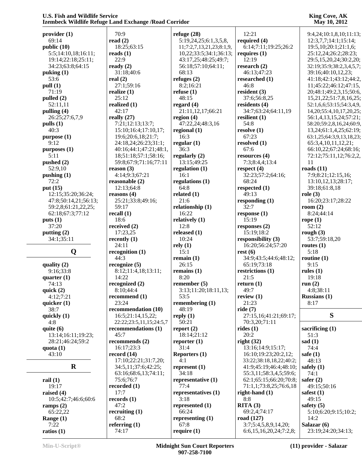|                      | izembeen whume iverage land lixenange / Ivoau Corridor |                          |                         | $11141$ , $1014012$            |
|----------------------|--------------------------------------------------------|--------------------------|-------------------------|--------------------------------|
| provider(1)          | 70:9                                                   | refuge $(28)$            | 12:21                   | 9:4,24;10:1,8,10;11:13;        |
| 69:14                | read $(2)$                                             | 5:19,24,25;6:1,3,5,8,    | required (4)            | 12:3,7,7;14:1;15:14;           |
| public (10)          | 18:25;63:15                                            | 11;7:2,7,13,21,23;8:1,9, | 6:14;7:11;19:25;26:2    | 19:5, 10:20:1; 21:1, 6;        |
| 5:5;14:10,18;16:11;  | reads $(1)$                                            | 10,22;33:5;34:1;36:13;   | requires $(1)$          | 25:12,24;26:2;28:23;           |
| 19:14;22:18;25:11;   | 22:9                                                   | 43:17,25;48:25;49:7;     | 12:19                   | 29:5,15,20,24;30:2,20;         |
| 34:23;63:8;64:15     | ready $(2)$                                            | 56:18;57:10;64:11;       | research $(2)$          | 32:19;35:9;38:2,3,4,5,7;       |
| puking $(1)$         | 31:18;40:6                                             | 68:13                    | 46:13;47:23             | 39:16;40:10,12,23;             |
| 53:6                 | real $(2)$                                             | refuges $(2)$            | researched (1)          | 41:18;42:1;43:12;44:2,         |
| pull (1)             | 27:1;59:16                                             | 8:2;16:21                | 46:8                    | 11;45:22;46:12;47:15,          |
| 71:19                | realize $(1)$                                          | refuse $(1)$             | resident $(3)$          | 20;48:1;49:2,3,15;50:6,        |
| pulled (2)           | 25:12                                                  | 48:15                    | 37:6;56:8,25            | 15, 21, 22; 51: 7, 8, 16, 25;  |
|                      |                                                        |                          |                         |                                |
| 52:11,11             | realized (1)<br>42:17                                  | regard $(4)$             | residents $(4)$         | 52:1,6,6;53:15;54:3,4,9,       |
| pulling $(4)$        |                                                        | 21:11,12,17;66:21        | 34:7;63:24;64:11,19     | 14, 20; 55: 4, 10, 17, 20, 25; |
| 26:25;27:6,7,9       | really $(27)$                                          | region $(4)$             | resilient $(1)$         | 56:1,4,13,15,24;57:21;         |
| pulls(1)             | 7:21;12:13;13:7;                                       | 47:22,24;48:3,16         | 54:8                    | 58:20;59:2,8,16,24;60:9,       |
| 40:3                 | 15:10;16:4;17:10,17;                                   | regional $(1)$           | resolve $(1)$           | 13,24;61:1,4,25;62:19;         |
| purpose (1)          | 19:6;20:6,18;21:7;                                     | 16:3                     | 67:23                   | 63:1,25;64:3,9,13,18,23;       |
| 9:12                 | 24:18,24;26:23;31:1;                                   | regular $(1)$            | resolved $(1)$          | 65:3,4,10,11,12,21;            |
| purposes (1)         | 40:16;44:1;47:21;48:1,                                 | 36:3                     | 67:6                    | 66:10,22;67:24;68:16;          |
| 5:11                 | 18;51:18;57:1;58:16;                                   | regularly $(2)$          | resources $(4)$         | 72:12;75:11,12;76:2,2,         |
| pushed $(2)$         | 59:8;67:9;71:16;77:11                                  | 13:15;49:25              | 7:3;8:4,4;13:4          | 11                             |
| 52:9,10              | reason $(3)$                                           | regulation $(1)$         | respect $(4)$           | roads $(11)$                   |
| pushing $(1)$        | 4:14;9:3;67:21                                         | 16:1                     | 32:23;57:2;64:16;       | 7:9;8:21;12:15,16;             |
| 72:2                 | reasonable (2)                                         | regulations $(1)$        | 68:24                   | 13:10,12,13;28:17;             |
| put (15)             | 12:13:64:8                                             | 64:8                     | respected $(1)$         | 39:18;61:8,18                  |
| 12:15;35:20;36:24;   | reasons $(4)$                                          | related $(1)$            | 49:13                   | role $(3)$                     |
| 47:8;50:14,21;56:13; | 25:21;33:8;49:16;                                      | 21:6                     | responding $(1)$        | 16:20;23:17;28:22              |
| 59:2,8;61:21,22,25;  | 59:17                                                  | relationship $(1)$       | 32:7                    | room $(2)$                     |
| 62:18;67:3;77:12     | recall $(1)$                                           | 16:22                    | response(1)             | 8:24;44:14                     |
| puts(1)              | 18:6                                                   | relatively $(1)$         | 15:19                   | rope $(1)$                     |
| 37:20                | received $(2)$                                         | 12:8                     | responses (2)           | 52:12                          |
| putting $(2)$        | 17:23,25                                               | released $(1)$           | 15:19;18:2              | rough $(3)$                    |
| 34:1;35:11           | recently $(1)$                                         | 10:24                    | responsibility (3)      | 53:7;59:18,20                  |
|                      | 24:11                                                  | rely(1)                  | 16:20;56:24;57:20       | routes $(1)$                   |
| Q                    | recognition $(1)$                                      | 15:1                     | rest(6)                 | 5:18                           |
|                      | 44:3                                                   | remain $(1)$             | 34:9;43:5;44:6;48:12;   | routine $(1)$                  |
| quality $(2)$        | recognize $(5)$                                        | 26:15                    | 65:19;73:18             | 9:15                           |
| 9:16;33:8            | 8:12;11:4,18;13:11;                                    | remains $(1)$            | restrictions (1)        | rules $(1)$                    |
| quarter $(1)$        | 14:22                                                  | 8:20                     | 21:5                    | 19:18                          |
| 74:13                | recognized $(2)$                                       | remember $(5)$           | return $(1)$            | run $(2)$                      |
|                      |                                                        |                          |                         |                                |
| quick $(2)$          | 8:10;44:4                                              | 3:13;11:20;18:11,13;     | 49:7                    | 4:8;38:11                      |
| 4:12;7:21            | recommend (1)                                          | 53:5                     | review $(1)$            | <b>Russians (1)</b>            |
| quicker $(1)$        | 23:24                                                  | remembering (1)          | 21:23                   | 8:17                           |
| 38:7                 | recommendation (10)                                    | 48:19                    | ride $(7)$              |                                |
| quickly (1)          | 16:5;21:14,15,22;                                      | reply $(1)$              | 27:15,16;41:21;69:17;   | S                              |
| 4:8                  | 22:22:23:5,11,15:24:5,7                                | 50:21                    | 70:3,20;71:11           |                                |
| quite $(6)$          | recommendations (1)                                    | report $(2)$             | rides $(1)$             | sacrificing $(1)$              |
| 13:14;16:11;19:23;   | 45:7                                                   | 18:14;21:12              | 20:2                    | 51:3                           |
| 28:21;46:24;59:2     | recommends (2)                                         | reporter $(1)$           | right $(32)$            | sad $(1)$                      |
| quota $(1)$          | 16:17:23:3                                             | 31:4                     | 13:16;14:9;15:17;       | 74:4                           |
| 43:10                | record $(14)$                                          | Reporters $(1)$          | 16:10;19:23;20:2,12;    | safe $(1)$                     |
|                      | 17:10;22:21;31:7,20;                                   | 4:1                      | 33:22;38:18,18,22;40:2; | 48:13                          |
| $\bf{R}$             | 34:5,11;37:6;42:25;                                    | represent $(1)$          | 41:9;45:19;46:4;48:10;  | safely $(1)$                   |
|                      | 63:16;68:6,13;74:11;                                   | 34:18                    | 55:3,11;58:3,4,5;59:6;  | 74:1                           |
| rail $(1)$           | 75:6;76:7                                              | representative (1)       | 62:1;65:15;66:20;70:8;  | safer $(2)$                    |
| 19:17                | recorded $(1)$                                         | 77:4                     | 71:1,1;73:8,25;76:6,18  | 49:15:50:16                    |
| raised $(4)$         | 17:7                                                   | representatives (1)      | right-hand $(1)$        | safest $(1)$                   |
| 10:5;42:7;46:6;60:6  | records (1)                                            | 3:18                     | 8:8                     | 49:15                          |
| ramps $(2)$          | 47:2                                                   | represented (1)          | RITA(3)                 | safety $(5)$                   |
| 65:22,22             | recruiting $(1)$                                       | 66:24                    | 69:2,4;74:17            | 5:10;6:20;9:15;10:2;           |
| Range $(1)$          | 68:2                                                   | representing (1)         | road (127)              | 14:2                           |
| 7:22                 | referring $(1)$                                        | 67:8                     | 3:7;5:4,5,8,9,14,20;    | Salazar (6)                    |
| ratios $(1)$         | 74:17                                                  | require $(1)$            | 6:6,15,16,20,24;7:2,8;  | 23:19;24:20;34:13;             |
|                      |                                                        |                          |                         |                                |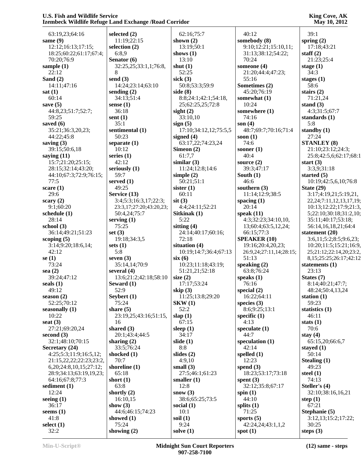|                               | LECHNOCOS TERRITO INCREAD LATINI L'ACHANGO / INVAN COLLINOI |                       |                         | 1714 <i>y</i> 10, 2012         |
|-------------------------------|-------------------------------------------------------------|-----------------------|-------------------------|--------------------------------|
| 63:19,23;64:16                | selected $(2)$                                              | 62:16;75:7            | 40:12                   | 39:1                           |
| same (9)                      | 11:19;22:15                                                 | shown $(2)$           | somebody (8)            | spring $(2)$                   |
|                               |                                                             |                       |                         |                                |
| 12:12;16:13;17:15;            | selection (2)                                               | 13:19;50:1            | 9:10;12:21;15:10,11;    | 17:18;43:21                    |
| 18:25;60:22;61:17;67:4;       | 6:8,9                                                       | shows $(1)$           | 31:13;38:12;54:22;      | staff $(2)$                    |
| 70:20;76:9                    | Senator $(6)$                                               | 13:10                 | 70:24                   | 21:23;25:4                     |
| sample $(1)$                  | 32:25,25;33:1,1;76:8,                                       | shut $(1)$            | someone (4)             | stage $(1)$                    |
| 22:12                         | 8                                                           | 52:25                 | 21:20;44:4;47:23;       | 34:3                           |
| Sand $(2)$                    | send $(3)$                                                  | sick $(3)$            | 55:16                   | stages $(1)$                   |
| 14:11;47:16                   | 14:24;23:14;63:10                                           | 50:8;53:3;59:9        | Sometimes (2)           | 58:6                           |
| sat(1)                        | sending $(2)$                                               | side $(8)$            | 45:20;76:19             | stairs $(2)$                   |
| 60:14                         | 34:13;51:4                                                  | 8:8;24:1;42:1;54:18,  | somewhat (1)            | 71:21,24                       |
| save $(5)$                    | sense $(1)$                                                 | 25;62:25,25;72:8      | 10:24                   | stand $(3)$                    |
| 44:8,23;51:7;52:7;            | 36:18                                                       | sight $(2)$           | somewhere (1)           | 4:3;31:5;67:7                  |
| 59:25                         | sent $(1)$                                                  | 33:10,10              | 74:16                   | standards $(1)$                |
| saved $(6)$                   | 35:1                                                        | sign(5)               | son $(4)$               | 5:8                            |
| 35:21;36:3,20,23;             | sentimental (1)                                             | 17:10;34:12,12;75:5,5 | 48:7;69:7;70:16;71:4    | standby $(1)$                  |
| 44:22;45:8                    | 50:23                                                       | signed $(4)$          | soon $(1)$              | 27:24                          |
| saving $(3)$                  | separate $(1)$                                              | 63:17,22;74:23,24     | 74:6                    | <b>STANLEY (8)</b>             |
| 39:15;50:6,18                 | 10:12                                                       | Simeon $(2)$          | sooner $(1)$            | 21:10;23:12;24:3;              |
|                               |                                                             |                       |                         |                                |
| saying $(11)$                 | series $(1)$                                                | 61:7,7                | 40:4                    | 25:8;42:5,6;62:17;68:1         |
| 15:7;21:20;25:15;             | 42:12                                                       | similar $(3)$         | source $(2)$            | start $(3)$                    |
| 28:15;32:14;43:20;            | seriously (1)                                               | 11:24;12:8;14:6       | 39:3;47:17              | 3:3,9;31:18                    |
| 44:10;67:3;72:9;76:15;        | 59:7                                                        | simple $(2)$          | South $(1)$             | started $(5)$                  |
| 77:5                          | served (1)                                                  | 50:21;51:1            | 46:6                    | 10:19;42:5,6,10;76:8           |
| scare $(1)$                   | 49:25                                                       | sister $(1)$          | southern (3)            | State $(29)$                   |
| 29:6                          | Service (13)                                                | 60:11                 | 11:14:12:9:38:5         | 3:17;4:19,21;5:19,21,          |
| scary $(2)$                   | 3:4;5:3;16:3,17;22:3;                                       | $s$ it $(3)$          | spacing $(1)$           | 22, 24; 7: 11, 12, 13, 17, 19; |
| 9:1;60:20                     | 23:3,17;27:20;43:20,23;                                     | 4:4;24:11;52:21       | 20:14                   | 10:13;12:22;17:9;21:3,         |
| schedule (1)                  | 50:4,24;75:7                                                | Sitkinak (1)          | speak $(11)$            | 5;22:10;30:18;31:2,10;         |
| 28:14                         | serving $(1)$                                               | 5:22                  | 4:3;32:23;34:10,10,     | 35:11;40:17;53:18;             |
| school $(3)$                  | 75:25                                                       | sitting $(4)$         | 13;60:4;63:5,12,24;     | 56:14,16,18,21;64:4            |
| 36:14;49:21;51:23             | set $(3)$                                                   | 24:14;40:17;60:16;    | 66:15;77:3              | statement $(20)$               |
| scoping $(5)$                 | 19:18;34:3,5                                                | 72:18                 | <b>SPEAKER (10)</b>     | 3:6,11;5:2;8:5;9:6,23;         |
| 3:14;9:20;18:6,14;            | sets $(1)$                                                  | situation (4)         | 19:16;20:4,20,23;       | 10:20;11:5;15:21;16:9,         |
| 42:12                         | 5:8                                                         | 10:19;14:7;36:4;67:13 |                         |                                |
|                               |                                                             |                       | 26:9,24;27:11,14;28:15; | 25;21:12;22:14,20;23:2,        |
| se $(1)$                      | seven $(3)$                                                 | six(6)                | 51:13                   | 8, 15; 25: 25; 26: 17; 42: 12  |
| 73:24                         | 35:14,14;70:9                                               | 10:23;11:18;43:19;    | speaking $(2)$          | statements $(1)$               |
| sea $(2)$                     | several $(4)$                                               | 51:21,21;52:18        | 63:8;76:24              | 23:13                          |
| 39:24;47:12                   | 13:6;21:2;42:18;58:10                                       | size $(2)$            | speaks $(1)$            | States (7)                     |
| seals $(1)$                   | Seward $(1)$                                                | 17:17;53:24           | 76:16                   | 8:14;40:21;47:7;               |
| 49:12                         | 52:9                                                        | skip $(3)$            | special $(2)$           | 48:24;50:4,13,24               |
| season $(2)$                  | Seybert (1)                                                 | 11:25;13:8;29:20      | 16:22;64:11             | station $(1)$                  |
| 52:25;70:12                   | 75:24                                                       | SKW(1)                | species $(3)$           | 59:23                          |
| seasonally $(1)$              | share $(5)$                                                 | 52:2                  | 8:6;9:25;13:1           | statistics $(1)$               |
| 10:22                         | 23:19,25;43:16;51:15,                                       | slap(1)               | specific $(1)$          | 46:11                          |
| seat $(3)$                    | 16                                                          | 67:15                 | 4:13                    | stats $(1)$                    |
| 27:21;69:20,24                | shared $(3)$                                                | sleep $(1)$           | speculate $(1)$         | 70:6                           |
| second $(3)$                  | 20:1;43:4;44:5                                              | 34:17                 | 44:7                    | stay $(4)$                     |
| 32:1;48:10;70:15              | sharing $(2)$                                               | slide $(1)$           | speculation (1)         | 65:15,20;66:6,7                |
| Secretary (24)                | 33:5;76:24                                                  | 8:8                   | 42:14                   | stayed $(1)$                   |
| 4:25;5:3;11:9;16:5,12;        | shocked $(1)$                                               | slides $(2)$          | spelled $(1)$           | 50:14                          |
|                               | 70:7                                                        | 4:9,10                | 12:23                   |                                |
| 21:15,22,22;22:23;23:2,       |                                                             |                       |                         | Stealing $(1)$                 |
| 6, 20; 24: 8, 10, 15; 27: 12; | shoreline (1)                                               | small $(3)$           | spend $(3)$             | 49:23                          |
| 28:9;34:13;63:19,19,23;       | 65:18                                                       | 27:5;46:1;61:23       | 18:23;53:17;73:18       | steel $(1)$                    |
| 64:16;67:8;77:3               | short $(1)$                                                 | smaller $(1)$         | spent $(3)$             | 74:13                          |
| sediment (1)                  | 63:8                                                        | 12:8                  | 32:12;35:8;67:17        | Steller's (4)                  |
| 12:24                         | shortly $(2)$                                               | snow $(3)$            | spin $(1)$              | 32:10;38:16,16,21              |
| seeing $(1)$                  | 16:10,15                                                    | 38:6;65:25;73:5       | 44:10                   | step $(1)$                     |
| 36:17                         | show $(3)$                                                  | social $(1)$          | splits $(1)$            | 67:21                          |
| seems $(1)$                   | 44:6;46:15;74:23                                            | 10:1                  | 71:25                   | Stephanie (5)                  |
| 41:8                          | showed $(1)$                                                | soil $(1)$            | sports $(5)$            | 3:12,13;15:2;17:22;            |
| select $(1)$                  | 75:24                                                       | 9:24                  | 42:24,24;43:1,1,2       | 30:25                          |
| 32:2                          | showing $(2)$                                               | solve $(1)$           | spot $(1)$              | steps $(3)$                    |
|                               |                                                             |                       |                         |                                |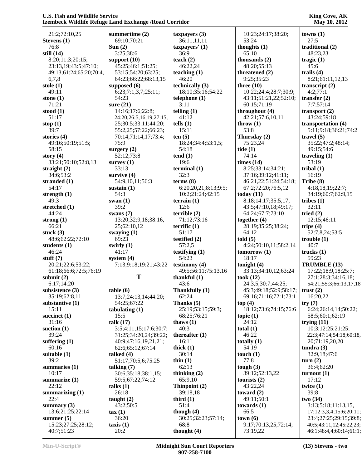21:2;72:10,25 **Stevens (1)** 76:8 **still (14)** 8:20;11:3;20:15; 23:13,19;43:5;47:10; 49:13;61:24;65:20;70:4, 6,7,8 **stole (1)** 49:11 **stone (1)** 71:21 **stood (1)** 51:17 **stop (1)** 39:7 **stories (4)** 49:16;50:19;51:5; 58:15 **story (4)** 33:21;50:10;52:8,13 **straight (2)** 34:6;53:2 **stranded (1)** 54:17 **strength (1)** 49:3 **stretched (1)** 44:24 **strong (1)** 66:21 **stuck (3)** 48:6;62:22;72:10 **students (1)**  $46.24$ **stuff (7)** 20:21;22:6;53:22; 61:18;66:6;72:5;76:19 **submit (2)** 6:17;14:20 **subsistence (3)** 35:19;62:8,11 **substantive (1)** 15:11 **succinct (1)** 31:16 **suction (1)** 39:24 **suffering (1)** 60:16 **suitable (1)** 39:2 **summaries (1)** 10:17 **summarize (1)** 22:12 **summarizing (1)** 22:4 **summary (3)** 13:6;21:25;22:14 **summer (5)** 15:23;27:25;28:12; 40:7;51:23 **summertime (2)** 69:10;70:21 **Sun (2)** 3:25;38:6 **support (10) supposed (6)** 54:23 **sure (21)** 14:16;17:6;22:8; 75:9 **surgery (2)** 52:12;73:8 **survey (1)** 33:13 **survive (4)** 54:9,10,11;56:3 **sustain (1)** 54:3 **swan (1)** 39:2 **swans (7)** 25;62:10,12 **swaying (1)** 69:23 **swirly (1)** 41:17 **system (4) table (6)** 54:25;67:22 **tabulating (1)** 15:5 **talk (17) talked (4) talking (7)** 59:5;67:22;74:12 **talks (1)** 26:18 **taught (2)** 43:2;50:5 **tax (1)** 36:20 **taxis (1)** 20:2

 45:25;46:1;51:25; 53:15;54:20;63:25; 64:23;66:22;68:13,15 6:23;7:1,3,7;25:11; 24:20;26:5,16,19;27:15, 25;30:5;33:11;44:20; 55:2,25;57:22;66:23; 70:14;71:14,17;73:4; 13:20;32:9,18;38:16, 7:13;9:18;19:21;43:22 **T** 13:7;24:13,14;44:20; 3:5;4:11,15;17:6;30:7; 31:25;34:20,24;39:22; 40:9;47:16,19,21,21; 62:6;65:12;67:14 51:17;70:5,6;75:25 30:6;35:18;38:1,15; **taxpayers (3)** 36:11,11,11 **taxpayers' (1)** 36:9 **teach (2)** 46:22,24 **teaching (1)** 46:20 **technically (3)** 18:10;35:16;54:22 **telephone (1)** 3:11 **telling (1)** 41:12 **tells (1)** 15:11 **ten (5)** 18:24;34:4;53:1,5; 54:18 **tend (1)** 19:6 **terminal (1)** 32:3 **terms (8)** 6:20,20,21;8:13;9:5; 10:2;21:24;42:15 **terrain (1)**  $12.6$ **terrible (2)** 71:12;73:16 **terrific (1)** 51:17 **testified (2)** 57:2,5 **testifying (1)** 54:23 **testimony (4)** 49:5;56:11;75:13,16 **thankful (1)** 43:6 **Thankfully (1)** 62:24 **Thanks (5)** 25:19;53:15;59:3; 68:25;76:21 **thaws (1)** 40:3 **thereafter (1)** 16:11 **thick (1)** 30:14 **thin (1)** 62:13 **thinking (2)** 65:9,10 **Thinpoint (2)** 39:18,18 **third (1)** 51:4 **though (4)** 30:25;32:23;57:14; 68:8 **thought (4)**

 10:23;24:17;38:20; 53:24 **thoughts (1)** 65:10 **thousands (2)** 48:20;55:13 **threatened (2)** 9:25;35:23 **three (10)** 10:22;24:4;28:7;30:9; 43:11;51:21,22;52:10; 60:15;71:19 **throughout (4)** 42:21;57:6,10,11 **throw (1)** 53:8 **Thursday (2)** 75:23,24 **tide (1)** 74:14 **times (14)** 8:25;33:14;34:21; 37:16;39:12;41:11; 46:21,22;51:24;54:18; 67:2;72:20;76:5,12 **today (11)** 8:18;14:17;35:5,17; 43:5;47:10,18;49:17; 64:24;67:7;73:10 **together (4)** 28:19;35:25;38:24; 64:12 **told (5)** 4:24;50:10,11;58:2,14 **tomorrow (1)** 18:17 **tonight (4)** 33:13;34:10,12;63:24 **took (12)** 24:3,5;30:7;44:25; 45:3;49:18;52:9;58:17; 69:16;71:16;72:1;73:1 **top (4)** 18:12;73:6;74:15;76:6 **topic (1)** 24:12 **total (1)** 46:22 **totally (1)** 54:19 **touch (1)** 77:8 **tough (3)** 39:12;52:13,22 **tourists (2)** 43:22,24 **toward (2)** 49:11;50:1 **towards (1)** 66:5 **town (6)** 9:17;70:13,25;72:14; 73:19,22

**King Cove, AK May 10, 2012**

**towns (1)** 27:5 **traditional (2)** 48:23,23 **tragic (1)** 45:6 **trails (4)** 8:21;61:11,12,13 **transcript (2)** 4:2;77:1 **transfer (2)** 7:7;57:14 **transport (2)** 43:24;59:18 **transportation (4)** 5:11;9:18;36:21;74:2 **travel (5)** 35:22;47:2;48:14; 49:15;54:6 **traveling (1)** 53:19 **tribal (1)** 16:19 **Tribe (8)** 4:18,18,19;22:7; 34:19;60:7;62:9,15 **tribes (1)** 32:11 **tried (2)** 12:15;46:11 **trips (4)** 52:7,8,24;53:5 **trouble (1)**  $40:7$ **trucks (1)** 59:23 **TRUMBLE (13)** 17:22;18:9,18;25:7; 27:1;28:3;34:16,18; 54:21;55:3;66:13,17,18 **trust (2)** 16:20,22 **try (7)** 6:24;26:14,14;50:22; 58:5;60:1;62:19 **trying (11)** 10:3;12:25;21:25; 22:3;47:14;54:18;60:18, 20;71:19,20,20 **tundra (3)** 32:9,18;47:6 **turn (2)** 36:4;62:20 **turnout (1)** 17:12 **twice (1)** 39:8 **two (34)** 3:13;5:18;11:13,15, 17;12:3,3,4;15:6;20:11; 23:4;27:25;29:15;39:8; 40:5;43:11,12;45:22,23; 46:1;48:4,4;60:14;61:1;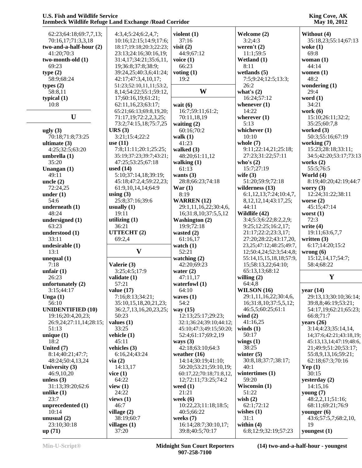## **King Cove, AK May 10, 2012**

| 62:23;64:18;69:7,7,13;       | 4:3,4;5:24;6:2,4,7;           | violent $(1)$                           | Welcome (2)                          | Without (4)                |
|------------------------------|-------------------------------|-----------------------------------------|--------------------------------------|----------------------------|
| 70:16,17;71:3,3,18           | 10:16;12:15;14:9;17:6;        | 37:16                                   | 3:2;4:3                              | 35:18,23;55:14;67:13       |
| $two$ -and-a-half-hour $(2)$ | 18:17;19:18;20:3;22:23;       | visit $(2)$                             | weren't $(2)$                        | woke $(1)$                 |
| 41:20;70:3                   | 23:13;24:16;30:16,19;         | 44:9;67:12                              | 11:1;59:5                            | 69:8                       |
| two-month-old (1)            | 31:4,17;34:21;35:6,11,        | voice $(1)$                             | Wetland (1)                          | woman $(1)$                |
| 69:23                        | 19;36:8;37:8;38:9;            | 66:23                                   | 8:11                                 | 44:14                      |
|                              |                               |                                         |                                      |                            |
| type(2)                      | 39:24,25;40:3,6;41:24;        | voting $(1)$                            | wetlands $(5)$                       | women $(1)$                |
| 58:9;68:24                   | 42:17;47:3,4,10,17;           | 19:2                                    | 7:5;9:24;12:5;13:3;                  | 48:2                       |
| types $(2)$                  | 51:23;52:10,11,11;53:2,       |                                         | 26:2                                 | wondering $(1)$            |
| 58:8,11                      | 8, 14; 54: 22; 55: 1; 59: 12, | W                                       | what's $(2)$                         | 29:4                       |
| typical $(1)$                | 17;60:16,19;61:21;            |                                         | 16:24;57:12                          | word $(1)$                 |
| 10:8                         | 62:11,16,23;63:17;            | wait $(6)$                              | whenever $(1)$                       | 34:21                      |
|                              | 65:21;66:13;69:8,19,20;       | 16:7;59:11;61:2;                        | 14:22                                | work $(6)$                 |
| $\mathbf U$                  | 71:17,19;72:2,2,3,25;         | 70:11,18,19                             | wherever $(1)$                       | 15:10;26:11;32:2;          |
|                              | 73:2;74:15,18;75:7,25         | waiting $(2)$                           | 5:13                                 | 35:25;60:7,8               |
| ugly $(3)$                   | URS(3)                        | 60:16;70:2                              | whichever (1)                        | worked $(3)$               |
| 70:18;71:8;73:25             | 3:21;15:4;22:2                | walk $(1)$                              | 10:10                                | 50:3;55:16;67:19           |
| ultimate $(3)$               | use $(11)$                    | 41:23                                   | whole $(7)$                          | working (7)                |
| 4:25;32:5;63:20              | 7:8;11:11;20:1;25:25;         | walked $(3)$                            | 9:11;22:14,21;25:18;                 | 15:23;28:18;33:11;         |
| umbrella (1)                 | 35:19;37:23;39:7;43:21;       | 48:20;61:11,12                          | 27:23;31:22;57:11                    | 34:5;42:20;53:17;73:13     |
| 35:20                        | 47:25;53:25;67:18             | walking $(1)$                           | who's $(2)$                          | works $(2)$                |
| Unangan (1)                  | used $(14)$                   | 61:13                                   | 15:7;27:19                           | 55:5;76:5                  |
| 49:11                        | 5:10;37:14,18;39:19;          | wants $(3)$                             | wife $(3)$                           | World (4)                  |
| uncle $(2)$                  | 45:18;47:2,4;59:22,23;        | 28:8;66:23;74:18                        | 51:20;59:9;72:18                     | 8:19;40:20;42:19;44:7      |
| 72:24,25                     | 61:9,10,14,14;64:9            | $\text{War} (1)$                        | wilderness (13)                      | worry $(3)$                |
| under $(1)$                  | using $(3)$                   | 8:19                                    | 6:1,12,13;7:24;10:4,7,               | 12:24;31:22;38:11          |
| 54:6                         | 25:8;37:16;39:6               | <b>WARREN</b> (12)                      | 8, 12, 12, 14; 43: 17, 25;           | worse $(2)$                |
| underneath (1)               | usually $(1)$                 | 29:1,11,16,22;30:4,6,                   | 44:11                                | 45:15;47:14                |
| 48:24                        | 19:11                         | 16;31:8,10;37:5,5,12                    | Wildlife (42)                        | worst $(1)$                |
| undersigned (1)              | utilizing $(1)$               | <b>Washington (2)</b>                   | 3:4;5:3;6:22;8:2,2,9;                | 72:3                       |
| 63:23                        | 36:21                         | 19:9;72:18                              | 9:25;12:25;16:2,17;                  | write $(4)$                |
| understood (1)               | UTTECHT(2)                    | wasted $(2)$                            | 21:17;22:2;23:3,17;                  | 19:11;63:6,7,7             |
| 33:11                        | 69:2,4                        | 61:16,17                                | 27:20;28:22;43:17,20,                | written $(3)$              |
| undesirable (1)              |                               | watch $(1)$                             | 23, 25; 47: 12; 48: 25; 49: 7,       | 6:17;14:20;15:2            |
| 13:1                         | $\mathbf{V}$                  | 52:21                                   | 12;50:4,24;52:3;54:4,8;              | wrong $(6)$                |
|                              |                               | watching $(2)$                          |                                      | 15:12,14,17;54:7;          |
| unequal $(1)$                |                               |                                         | 55:14,15,15,18,18;57:9,              |                            |
| 7:18                         | Valerie (3)                   | 42:20;69:23                             | 15;58:13,22;64:10;                   | 58:4;68:22                 |
| unfair $(1)$                 | 3:25;4:5;17:9                 | water $(2)$                             | 65:13,13;68:12                       | $\mathbf Y$                |
| 26:23                        | validate (1)                  | 47:11,17                                | willing $(2)$                        |                            |
| unfortunately (2)            | 57:21                         | waterfowl $(1)$                         | 64:4,8                               |                            |
| 3:15;44:17                   | value $(17)$                  | 64:10                                   | <b>WILSON</b> (16)                   | year (14)                  |
| Unga $(1)$                   | 7:16;8:13;34:21;              | waves $(1)$                             | 29:1,11,16,22;30:4,6,                | 29:13,13;30:10;36:14;      |
| 56:10                        | 35:10,15,18,20,21,23;         | 54:2                                    | 16;31:8,10;37:5,5,12;                | 39:8,8;46:19;53:21;        |
| <b>UNIDENTIFIED (10)</b>     | 36:2,7,13,16,20,23,25;        | way $(15)$                              | 46:5,5;60:25;61:1                    | 54:17,19;62:21;65:23;      |
| 19:16;20:4,20,23;            | 50:23                         | 12:13;25:17;29:23;                      | wind $(2)$                           | 66:8;71:7                  |
| 26:9,24;27:11,14;28:15;      | values $(1)$                  | 32:1;36:24;39:10;44:12;                 | 41:16,25                             | years $(26)$               |
| 51:13                        | 33:25                         | 45:10:47:3:49:15:50:20:                 | winds $(1)$                          | 3:14;4:23;35:14,14,        |
|                              |                               |                                         |                                      | 14;37:6;42:21;43:18,19;    |
| unique $(1)$                 | vehicle (1)                   | 52:4;61:17;69:2,19                      | 50:17                                |                            |
| 18:2                         | 45:11                         | ways $(3)$                              | wings $(1)$                          | 45:13,13,14;47:19;48:6,    |
| United (7)                   | vehicles $(3)$                | 42:18;63:10;64:3                        | 38:25                                | 21;49:9;51:20;53:17;       |
| 8:14:40:21:47:7              | 6:16,24;43:24                 | weather $(16)$                          | winter $(5)$                         | 55:8,9,13,16;59:21;        |
| 48:24;50:4,13,24             | via(2)                        | 14:14;30:19;41:10;                      | 30:8,18;37:7;38:17;                  | 62:18;67:3;70:16           |
| University (3)               | 14:13,17                      | 50:20;53:21;59:10,19;                   | 40:1                                 | Yep $(1)$                  |
| 46:9,10,20                   | vice(1)                       | 60:17,22;70:18;71:8,12,                 | wintertimes $(1)$                    | 30:15                      |
| unless $(3)$                 | 64:22                         | 12;72:11;73:25;74:2                     | 59:20                                | yesterday (2)              |
| 31:13;39:20;62:6             | view $(1)$                    | weed $(1)$                              | Wisconsin (1)                        | 14:15,16                   |
|                              | 24:22                         | 21:21                                   | 51:22                                |                            |
| unlike $(1)$<br>23:7         |                               |                                         |                                      | young $(7)$                |
|                              | views $(1)$                   | week $(6)$                              | wish $(2)$                           | 48:2,2,11;51:16;           |
| unprecedented $(1)$          | 46:7                          | 10:22,23;11:18;18:5;                    | 62:1;72:12                           | 68:11;69:21;76:9           |
| 10:14                        | village $(2)$                 | 40:5:66:22                              | wishes $(1)$                         | younger $(6)$              |
| unusual $(2)$                | 38:19;60:7                    | weeks $(7)$                             | 31:1                                 | 43:6;57:5,7;68:2,10,<br>19 |
| 23:10:30:18<br>up(71)        | villages $(1)$<br>37:20       | 16:14;28:7;30:10,17;<br>39:8;40:5;70:17 | within $(4)$<br>6:8;12:9;32:19;57:23 | youngest (1)               |

**(14) two-and-a-half-hour - youngest**